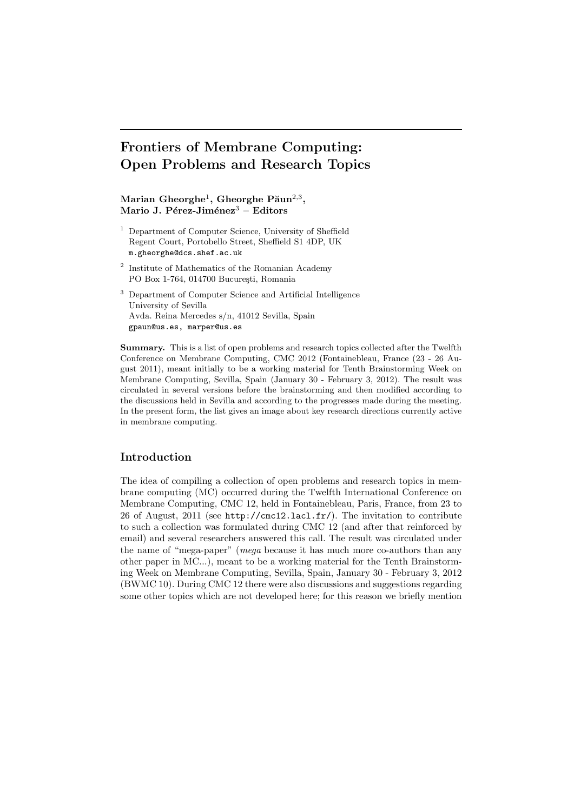# **Frontiers of Membrane Computing: Open Problems and Research Topics**

### $\mathrm{Marian\; Gheorghe^1, \, Gheorghe\, Păun^{2,3}},$ Mario J. Pérez-Jiménez<sup>3</sup> – Editors

- <sup>1</sup> Department of Computer Science, University of Sheffield Regent Court, Portobello Street, Sheffield S1 4DP, UK m.gheorghe@dcs.shef.ac.uk
- 2 Institute of Mathematics of the Romanian Academy PO Box 1-764, 014700 București, Romania
- <sup>3</sup> Department of Computer Science and Artificial Intelligence University of Sevilla Avda. Reina Mercedes s/n, 41012 Sevilla, Spain gpaun@us.es, marper@us.es

**Summary.** This is a list of open problems and research topics collected after the Twelfth Conference on Membrane Computing, CMC 2012 (Fontainebleau, France (23 - 26 August 2011), meant initially to be a working material for Tenth Brainstorming Week on Membrane Computing, Sevilla, Spain (January 30 - February 3, 2012). The result was circulated in several versions before the brainstorming and then modified according to the discussions held in Sevilla and according to the progresses made during the meeting. In the present form, the list gives an image about key research directions currently active in membrane computing.

# **Introduction**

The idea of compiling a collection of open problems and research topics in membrane computing (MC) occurred during the Twelfth International Conference on Membrane Computing, CMC 12, held in Fontainebleau, Paris, France, from 23 to 26 of August, 2011 (see http://cmc12.lacl.fr/). The invitation to contribute to such a collection was formulated during CMC 12 (and after that reinforced by email) and several researchers answered this call. The result was circulated under the name of "mega-paper" (*mega* because it has much more co-authors than any other paper in MC...), meant to be a working material for the Tenth Brainstorming Week on Membrane Computing, Sevilla, Spain, January 30 - February 3, 2012 (BWMC 10). During CMC 12 there were also discussions and suggestions regarding some other topics which are not developed here; for this reason we briefly mention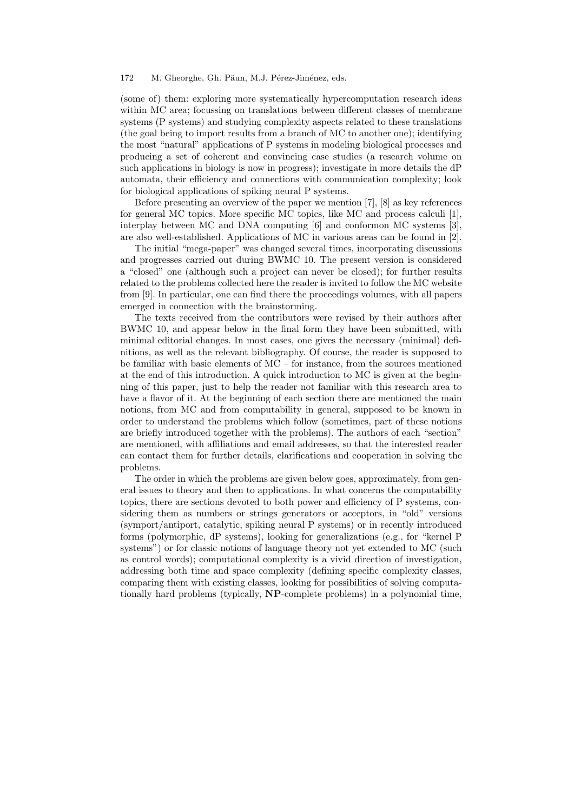(some of) them: exploring more systematically hypercomputation research ideas within MC area; focussing on translations between different classes of membrane systems (P systems) and studying complexity aspects related to these translations (the goal being to import results from a branch of MC to another one); identifying the most "natural" applications of P systems in modeling biological processes and producing a set of coherent and convincing case studies (a research volume on such applications in biology is now in progress); investigate in more details the dP automata, their efficiency and connections with communication complexity; look for biological applications of spiking neural P systems.

Before presenting an overview of the paper we mention [7], [8] as key references for general MC topics. More specific MC topics, like MC and process calculi [1], interplay between MC and DNA computing [6] and conformon MC systems [3], are also well-established. Applications of MC in various areas can be found in [2].

The initial "mega-paper" was changed several times, incorporating discussions and progresses carried out during BWMC 10. The present version is considered a "closed" one (although such a project can never be closed); for further results related to the problems collected here the reader is invited to follow the MC website from [9]. In particular, one can find there the proceedings volumes, with all papers emerged in connection with the brainstorming.

The texts received from the contributors were revised by their authors after BWMC 10, and appear below in the final form they have been submitted, with minimal editorial changes. In most cases, one gives the necessary (minimal) definitions, as well as the relevant bibliography. Of course, the reader is supposed to be familiar with basic elements of MC – for instance, from the sources mentioned at the end of this introduction. A quick introduction to MC is given at the beginning of this paper, just to help the reader not familiar with this research area to have a flavor of it. At the beginning of each section there are mentioned the main notions, from MC and from computability in general, supposed to be known in order to understand the problems which follow (sometimes, part of these notions are briefly introduced together with the problems). The authors of each "section" are mentioned, with affiliations and email addresses, so that the interested reader can contact them for further details, clarifications and cooperation in solving the problems.

The order in which the problems are given below goes, approximately, from general issues to theory and then to applications. In what concerns the computability topics, there are sections devoted to both power and efficiency of P systems, considering them as numbers or strings generators or acceptors, in "old" versions (symport/antiport, catalytic, spiking neural P systems) or in recently introduced forms (polymorphic, dP systems), looking for generalizations (e.g., for "kernel P systems") or for classic notions of language theory not yet extended to MC (such as control words); computational complexity is a vivid direction of investigation, addressing both time and space complexity (defining specific complexity classes, comparing them with existing classes, looking for possibilities of solving computationally hard problems (typically, **NP**-complete problems) in a polynomial time,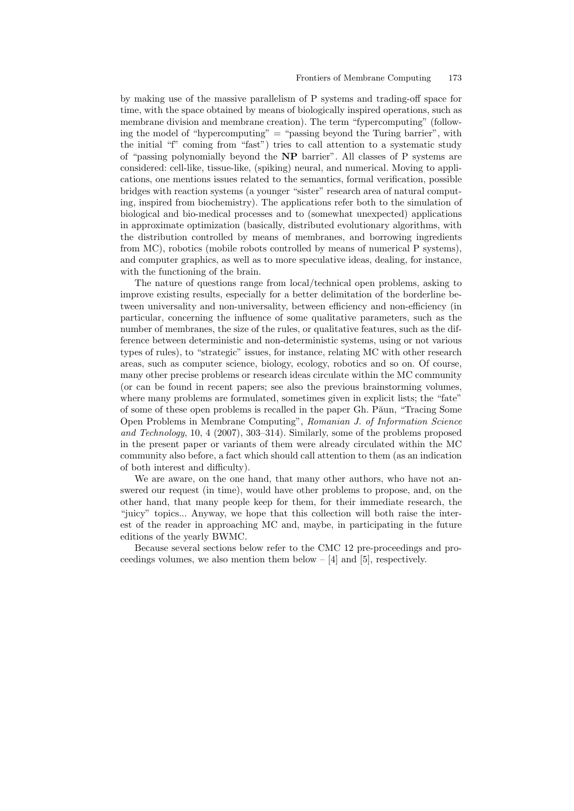by making use of the massive parallelism of P systems and trading-off space for time, with the space obtained by means of biologically inspired operations, such as membrane division and membrane creation). The term "fypercomputing" (following the model of "hypercomputing"  $=$  "passing beyond the Turing barrier", with the initial "f" coming from "fast") tries to call attention to a systematic study of "passing polynomially beyond the **NP** barrier". All classes of P systems are considered: cell-like, tissue-like, (spiking) neural, and numerical. Moving to applications, one mentions issues related to the semantics, formal verification, possible bridges with reaction systems (a younger "sister" research area of natural computing, inspired from biochemistry). The applications refer both to the simulation of biological and bio-medical processes and to (somewhat unexpected) applications in approximate optimization (basically, distributed evolutionary algorithms, with the distribution controlled by means of membranes, and borrowing ingredients from MC), robotics (mobile robots controlled by means of numerical P systems), and computer graphics, as well as to more speculative ideas, dealing, for instance, with the functioning of the brain.

The nature of questions range from local/technical open problems, asking to improve existing results, especially for a better delimitation of the borderline between universality and non-universality, between efficiency and non-efficiency (in particular, concerning the influence of some qualitative parameters, such as the number of membranes, the size of the rules, or qualitative features, such as the difference between deterministic and non-deterministic systems, using or not various types of rules), to "strategic" issues, for instance, relating MC with other research areas, such as computer science, biology, ecology, robotics and so on. Of course, many other precise problems or research ideas circulate within the MC community (or can be found in recent papers; see also the previous brainstorming volumes, where many problems are formulated, sometimes given in explicit lists; the "fate" of some of these open problems is recalled in the paper Gh. Păun, "Tracing Some Open Problems in Membrane Computing", *Romanian J. of Information Science and Technology*, 10, 4 (2007), 303–314). Similarly, some of the problems proposed in the present paper or variants of them were already circulated within the MC community also before, a fact which should call attention to them (as an indication of both interest and difficulty).

We are aware, on the one hand, that many other authors, who have not answered our request (in time), would have other problems to propose, and, on the other hand, that many people keep for them, for their immediate research, the "juicy" topics... Anyway, we hope that this collection will both raise the interest of the reader in approaching MC and, maybe, in participating in the future editions of the yearly BWMC.

Because several sections below refer to the CMC 12 pre-proceedings and proceedings volumes, we also mention them below  $-$  [4] and [5], respectively.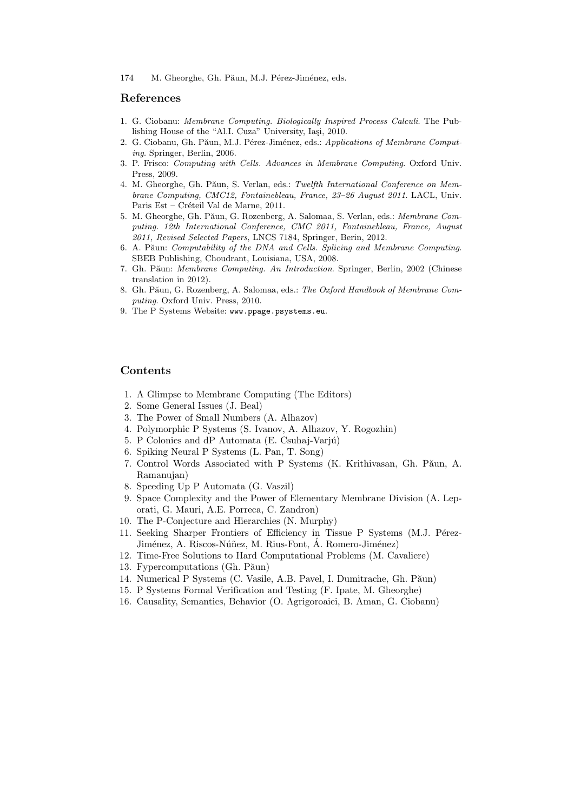### **References**

- 1. G. Ciobanu: *Membrane Computing. Biologically Inspired Process Calculi*. The Publishing House of the "Al.I. Cuza" University, Iași, 2010.
- 2. G. Ciobanu, Gh. Păun, M.J. Pérez-Jiménez, eds.: *Applications of Membrane Computing*. Springer, Berlin, 2006.
- 3. P. Frisco: *Computing with Cells. Advances in Membrane Computing*. Oxford Univ. Press, 2009.
- 4. M. Gheorghe, Gh. Păun, S. Verlan, eds.: *Twelfth International Conference on Membrane Computing, CMC12, Fontainebleau, France, 23–26 August 2011*. LACL, Univ. Paris Est – Créteil Val de Marne, 2011.
- 5. M. Gheorghe, Gh. Păun, G. Rozenberg, A. Salomaa, S. Verlan, eds.: *Membrane Computing. 12th International Conference, CMC 2011, Fontainebleau, France, August 2011, Revised Selected Papers*, LNCS 7184, Springer, Berin, 2012.
- 6. A. Păun: *Computability of the DNA and Cells. Splicing and Membrane Computing.* SBEB Publishing, Choudrant, Louisiana, USA, 2008.
- 7. Gh. Păun: *Membrane Computing. An Introduction*. Springer, Berlin, 2002 (Chinese translation in 2012).
- 8. Gh. Păun, G. Rozenberg, A. Salomaa, eds.: *The Oxford Handbook of Membrane Computing*. Oxford Univ. Press, 2010.
- 9. The P Systems Website: www.ppage.psystems.eu.

# **Contents**

- 1. A Glimpse to Membrane Computing (The Editors)
- 2. Some General Issues (J. Beal)
- 3. The Power of Small Numbers (A. Alhazov)
- 4. Polymorphic P Systems (S. Ivanov, A. Alhazov, Y. Rogozhin)
- 5. P Colonies and dP Automata (E. Csuhaj-Variú)
- 6. Spiking Neural P Systems (L. Pan, T. Song)
- 7. Control Words Associated with P Systems (K. Krithivasan, Gh. Păun, A. Ramanujan)
- 8. Speeding Up P Automata (G. Vaszil)
- 9. Space Complexity and the Power of Elementary Membrane Division (A. Leporati, G. Mauri, A.E. Porreca, C. Zandron)
- 10. The P-Conjecture and Hierarchies (N. Murphy)
- 11. Seeking Sharper Frontiers of Efficiency in Tissue P Systems (M.J. Pérez-Jiménez, A. Riscos-Núñez, M. Rius-Font, Á. Romero-Jiménez)
- 12. Time-Free Solutions to Hard Computational Problems (M. Cavaliere)
- 13. Fypercomputations (Gh. Păun)
- 14. Numerical P Systems (C. Vasile, A.B. Pavel, I. Dumitrache, Gh. Păun)
- 15. P Systems Formal Verification and Testing (F. Ipate, M. Gheorghe)
- 16. Causality, Semantics, Behavior (O. Agrigoroaiei, B. Aman, G. Ciobanu)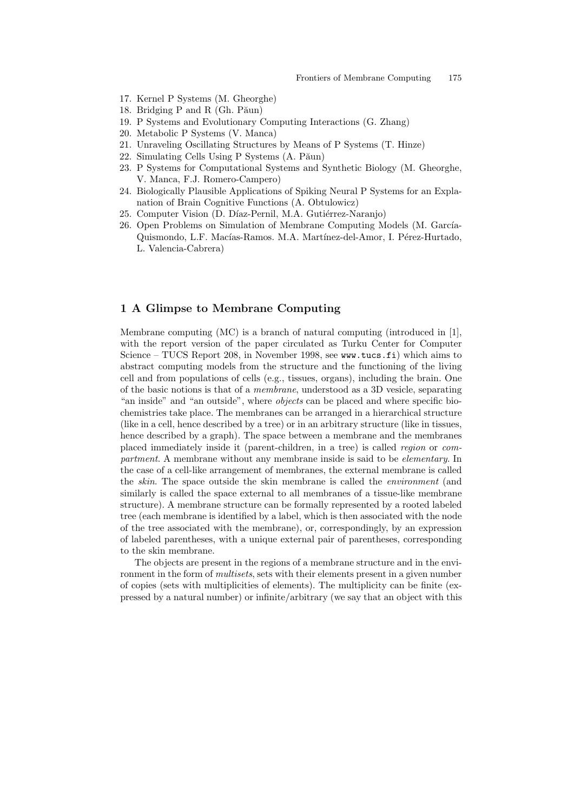- 17. Kernel P Systems (M. Gheorghe)
- 18. Bridging  $P$  and  $R$  (Gh. Păun)
- 19. P Systems and Evolutionary Computing Interactions (G. Zhang)
- 20. Metabolic P Systems (V. Manca)
- 21. Unraveling Oscillating Structures by Means of P Systems (T. Hinze)
- $22.$  Simulating Cells Using P Systems  $(A, P\check{a}un)$
- 23. P Systems for Computational Systems and Synthetic Biology (M. Gheorghe, V. Manca, F.J. Romero-Campero)
- 24. Biologically Plausible Applications of Spiking Neural P Systems for an Explanation of Brain Cognitive Functions (A. Obtulowicz)
- 25. Computer Vision (D. Díaz-Pernil, M.A. Gutiérrez-Naranjo)
- 26. Open Problems on Simulation of Membrane Computing Models (M. García-Quismondo, L.F. Macías-Ramos. M.A. Martínez-del-Amor, I. Pérez-Hurtado, L. Valencia-Cabrera)

# **1 A Glimpse to Membrane Computing**

Membrane computing (MC) is a branch of natural computing (introduced in [1], with the report version of the paper circulated as Turku Center for Computer Science – TUCS Report 208, in November 1998, see www.tucs.fi) which aims to abstract computing models from the structure and the functioning of the living cell and from populations of cells (e.g., tissues, organs), including the brain. One of the basic notions is that of a *membrane*, understood as a 3D vesicle, separating "an inside" and "an outside", where *objects* can be placed and where specific biochemistries take place. The membranes can be arranged in a hierarchical structure (like in a cell, hence described by a tree) or in an arbitrary structure (like in tissues, hence described by a graph). The space between a membrane and the membranes placed immediately inside it (parent-children, in a tree) is called *region* or *compartment*. A membrane without any membrane inside is said to be *elementary*. In the case of a cell-like arrangement of membranes, the external membrane is called the *skin*. The space outside the skin membrane is called the *environment* (and similarly is called the space external to all membranes of a tissue-like membrane structure). A membrane structure can be formally represented by a rooted labeled tree (each membrane is identified by a label, which is then associated with the node of the tree associated with the membrane), or, correspondingly, by an expression of labeled parentheses, with a unique external pair of parentheses, corresponding to the skin membrane.

The objects are present in the regions of a membrane structure and in the environment in the form of *multisets*, sets with their elements present in a given number of copies (sets with multiplicities of elements). The multiplicity can be finite (expressed by a natural number) or infinite/arbitrary (we say that an object with this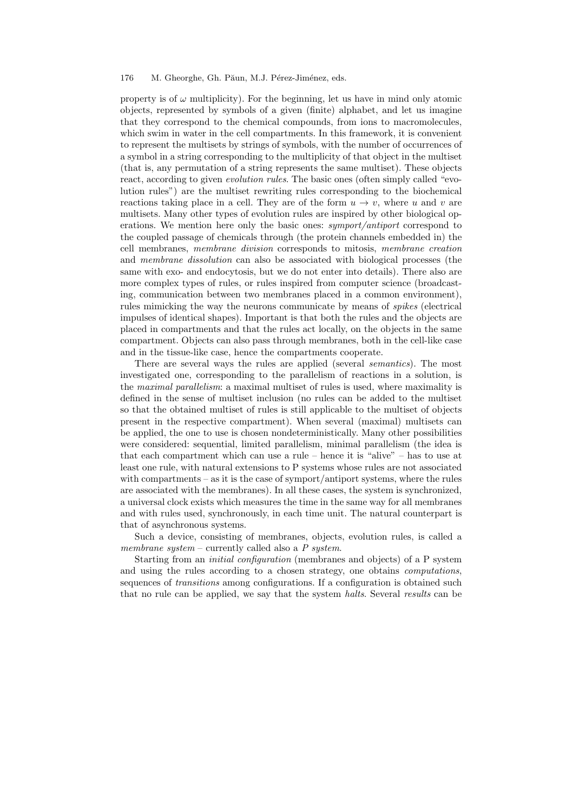property is of *ω* multiplicity). For the beginning, let us have in mind only atomic objects, represented by symbols of a given (finite) alphabet, and let us imagine that they correspond to the chemical compounds, from ions to macromolecules, which swim in water in the cell compartments. In this framework, it is convenient to represent the multisets by strings of symbols, with the number of occurrences of a symbol in a string corresponding to the multiplicity of that object in the multiset (that is, any permutation of a string represents the same multiset). These objects react, according to given *evolution rules*. The basic ones (often simply called "evolution rules") are the multiset rewriting rules corresponding to the biochemical reactions taking place in a cell. They are of the form  $u \to v$ , where *u* and *v* are multisets. Many other types of evolution rules are inspired by other biological operations. We mention here only the basic ones: *symport/antiport* correspond to the coupled passage of chemicals through (the protein channels embedded in) the cell membranes, *membrane division* corresponds to mitosis, *membrane creation* and *membrane dissolution* can also be associated with biological processes (the same with exo- and endocytosis, but we do not enter into details). There also are more complex types of rules, or rules inspired from computer science (broadcasting, communication between two membranes placed in a common environment), rules mimicking the way the neurons communicate by means of *spikes* (electrical impulses of identical shapes). Important is that both the rules and the objects are placed in compartments and that the rules act locally, on the objects in the same compartment. Objects can also pass through membranes, both in the cell-like case and in the tissue-like case, hence the compartments cooperate.

There are several ways the rules are applied (several *semantics*). The most investigated one, corresponding to the parallelism of reactions in a solution, is the *maximal parallelism*: a maximal multiset of rules is used, where maximality is defined in the sense of multiset inclusion (no rules can be added to the multiset so that the obtained multiset of rules is still applicable to the multiset of objects present in the respective compartment). When several (maximal) multisets can be applied, the one to use is chosen nondeterministically. Many other possibilities were considered: sequential, limited parallelism, minimal parallelism (the idea is that each compartment which can use a rule – hence it is "alive" – has to use at least one rule, with natural extensions to P systems whose rules are not associated with compartments – as it is the case of symport/antiport systems, where the rules are associated with the membranes). In all these cases, the system is synchronized, a universal clock exists which measures the time in the same way for all membranes and with rules used, synchronously, in each time unit. The natural counterpart is that of asynchronous systems.

Such a device, consisting of membranes, objects, evolution rules, is called a *membrane system* – currently called also a *P system*.

Starting from an *initial configuration* (membranes and objects) of a P system and using the rules according to a chosen strategy, one obtains *computations*, sequences of *transitions* among configurations. If a configuration is obtained such that no rule can be applied, we say that the system *halts*. Several *results* can be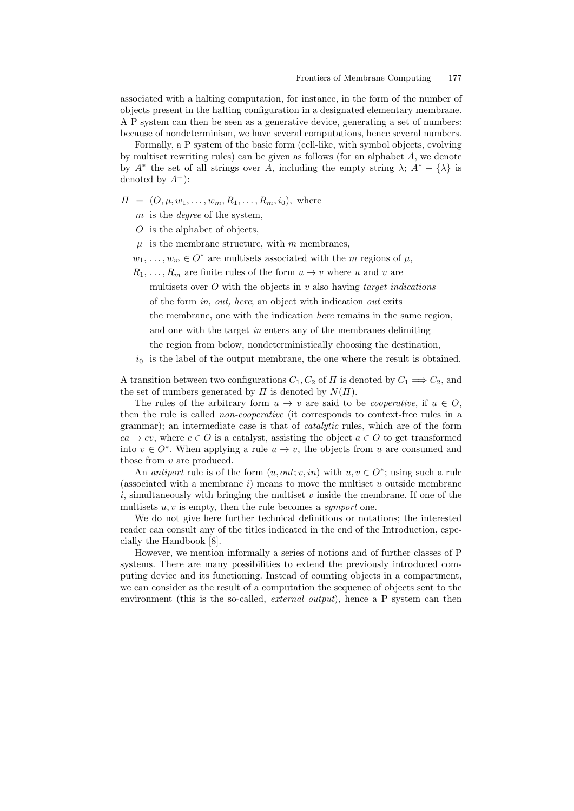associated with a halting computation, for instance, in the form of the number of objects present in the halting configuration in a designated elementary membrane. A P system can then be seen as a generative device, generating a set of numbers: because of nondeterminism, we have several computations, hence several numbers.

Formally, a P system of the basic form (cell-like, with symbol objects, evolving by multiset rewriting rules) can be given as follows (for an alphabet *A*, we denote by  $A^*$  the set of all strings over *A*, including the empty string  $\lambda$ ;  $A^* - {\lambda}$  is denoted by  $A^+$ :

- $\Pi = (O, \mu, w_1, \ldots, w_m, R_1, \ldots, R_m, i_0)$ , where
	- *m* is the *degree* of the system*,*
	- *O* is the alphabet of objects*,*
	- $\mu$  is the membrane structure, with  $m$  membranes,
	- $w_1, \ldots, w_m \in O^*$  are multisets associated with the *m* regions of  $\mu$ ,
	- $R_1, \ldots, R_m$  are finite rules of the form  $u \to v$  where *u* and *v* are

multisets over *O* with the objects in *v* also having *target indications*

of the form *in, out, here*; an object with indication *out* exits

the membrane, one with the indication *here* remains in the same region, and one with the target *in* enters any of the membranes delimiting

the region from below, nondeterministically choosing the destination*,*

 $i_0$  is the label of the output membrane, the one where the result is obtained.

A transition between two configurations  $C_1$ ,  $C_2$  of  $\Pi$  is denoted by  $C_1 \Longrightarrow C_2$ , and the set of numbers generated by  $\Pi$  is denoted by  $N(\Pi)$ .

The rules of the arbitrary form  $u \to v$  are said to be *cooperative*, if  $u \in O$ , then the rule is called *non-cooperative* (it corresponds to context-free rules in a grammar); an intermediate case is that of *catalytic* rules, which are of the form  $ca \rightarrow cv$ , where  $c \in O$  is a catalyst, assisting the object  $a \in O$  to get transformed into  $v \in O^*$ . When applying a rule  $u \to v$ , the objects from *u* are consumed and those from *v* are produced.

An *antiport* rule is of the form  $(u, out; v, in)$  with  $u, v \in O^*$ ; using such a rule (associated with a membrane *i*) means to move the multiset *u* outside membrane *i*, simultaneously with bringing the multiset *v* inside the membrane. If one of the multisets *u, v* is empty, then the rule becomes a *symport* one.

We do not give here further technical definitions or notations; the interested reader can consult any of the titles indicated in the end of the Introduction, especially the Handbook [8].

However, we mention informally a series of notions and of further classes of P systems. There are many possibilities to extend the previously introduced computing device and its functioning. Instead of counting objects in a compartment, we can consider as the result of a computation the sequence of objects sent to the environment (this is the so-called, *external output*), hence a P system can then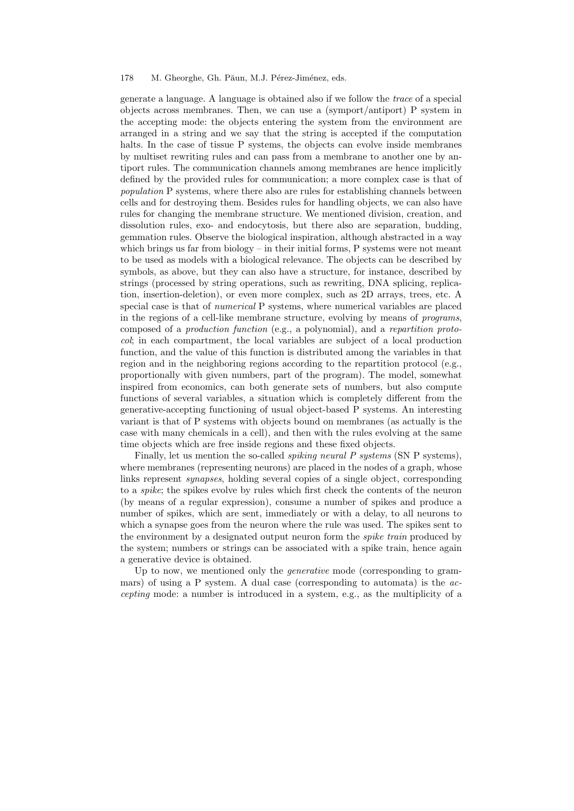generate a language. A language is obtained also if we follow the *trace* of a special objects across membranes. Then, we can use a (symport/antiport) P system in the accepting mode: the objects entering the system from the environment are arranged in a string and we say that the string is accepted if the computation halts. In the case of tissue P systems, the objects can evolve inside membranes by multiset rewriting rules and can pass from a membrane to another one by antiport rules. The communication channels among membranes are hence implicitly defined by the provided rules for communication; a more complex case is that of *population* P systems, where there also are rules for establishing channels between cells and for destroying them. Besides rules for handling objects, we can also have rules for changing the membrane structure. We mentioned division, creation, and dissolution rules, exo- and endocytosis, but there also are separation, budding, gemmation rules. Observe the biological inspiration, although abstracted in a way which brings us far from biology  $-$  in their initial forms, P systems were not meant to be used as models with a biological relevance. The objects can be described by symbols, as above, but they can also have a structure, for instance, described by strings (processed by string operations, such as rewriting, DNA splicing, replication, insertion-deletion), or even more complex, such as 2D arrays, trees, etc. A special case is that of *numerical* P systems, where numerical variables are placed in the regions of a cell-like membrane structure, evolving by means of *programs*, composed of a *production function* (e.g., a polynomial), and a *repartition protocol*; in each compartment, the local variables are subject of a local production function, and the value of this function is distributed among the variables in that region and in the neighboring regions according to the repartition protocol (e.g., proportionally with given numbers, part of the program). The model, somewhat inspired from economics, can both generate sets of numbers, but also compute functions of several variables, a situation which is completely different from the generative-accepting functioning of usual object-based P systems. An interesting variant is that of P systems with objects bound on membranes (as actually is the case with many chemicals in a cell), and then with the rules evolving at the same time objects which are free inside regions and these fixed objects.

Finally, let us mention the so-called *spiking neural P systems* (SN P systems), where membranes (representing neurons) are placed in the nodes of a graph, whose links represent *synapses*, holding several copies of a single object, corresponding to a *spike*; the spikes evolve by rules which first check the contents of the neuron (by means of a regular expression), consume a number of spikes and produce a number of spikes, which are sent, immediately or with a delay, to all neurons to which a synapse goes from the neuron where the rule was used. The spikes sent to the environment by a designated output neuron form the *spike train* produced by the system; numbers or strings can be associated with a spike train, hence again a generative device is obtained.

Up to now, we mentioned only the *generative* mode (corresponding to grammars) of using a P system. A dual case (corresponding to automata) is the *accepting* mode: a number is introduced in a system, e.g., as the multiplicity of a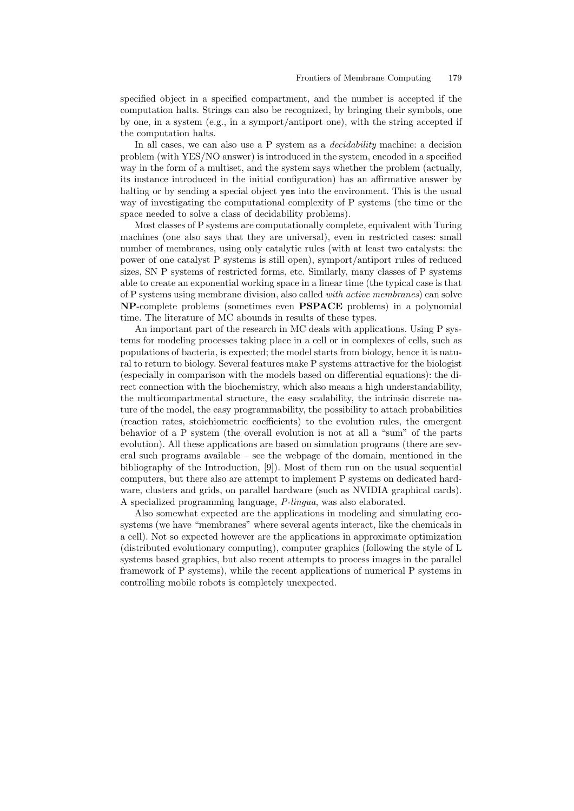specified object in a specified compartment, and the number is accepted if the computation halts. Strings can also be recognized, by bringing their symbols, one by one, in a system (e.g., in a symport/antiport one), with the string accepted if the computation halts.

In all cases, we can also use a P system as a *decidability* machine: a decision problem (with YES/NO answer) is introduced in the system, encoded in a specified way in the form of a multiset, and the system says whether the problem (actually, its instance introduced in the initial configuration) has an affirmative answer by halting or by sending a special object yes into the environment. This is the usual way of investigating the computational complexity of P systems (the time or the space needed to solve a class of decidability problems).

Most classes of P systems are computationally complete, equivalent with Turing machines (one also says that they are universal), even in restricted cases: small number of membranes, using only catalytic rules (with at least two catalysts: the power of one catalyst P systems is still open), symport/antiport rules of reduced sizes, SN P systems of restricted forms, etc. Similarly, many classes of P systems able to create an exponential working space in a linear time (the typical case is that of P systems using membrane division, also called *with active membranes*) can solve **NP**-complete problems (sometimes even **PSPACE** problems) in a polynomial time. The literature of MC abounds in results of these types.

An important part of the research in MC deals with applications. Using P systems for modeling processes taking place in a cell or in complexes of cells, such as populations of bacteria, is expected; the model starts from biology, hence it is natural to return to biology. Several features make P systems attractive for the biologist (especially in comparison with the models based on differential equations): the direct connection with the biochemistry, which also means a high understandability, the multicompartmental structure, the easy scalability, the intrinsic discrete nature of the model, the easy programmability, the possibility to attach probabilities (reaction rates, stoichiometric coefficients) to the evolution rules, the emergent behavior of a P system (the overall evolution is not at all a "sum" of the parts evolution). All these applications are based on simulation programs (there are several such programs available – see the webpage of the domain, mentioned in the bibliography of the Introduction, [9]). Most of them run on the usual sequential computers, but there also are attempt to implement P systems on dedicated hardware, clusters and grids, on parallel hardware (such as NVIDIA graphical cards). A specialized programming language, *P-lingua*, was also elaborated.

Also somewhat expected are the applications in modeling and simulating ecosystems (we have "membranes" where several agents interact, like the chemicals in a cell). Not so expected however are the applications in approximate optimization (distributed evolutionary computing), computer graphics (following the style of L systems based graphics, but also recent attempts to process images in the parallel framework of P systems), while the recent applications of numerical P systems in controlling mobile robots is completely unexpected.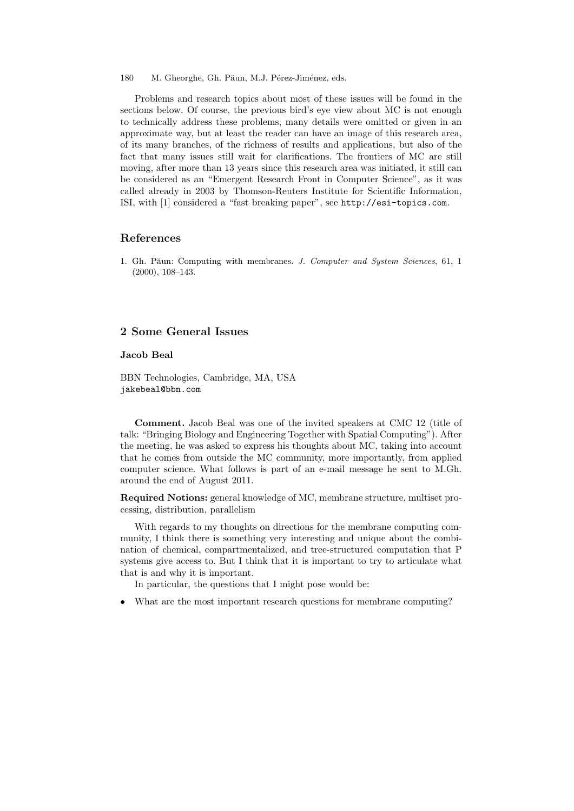Problems and research topics about most of these issues will be found in the sections below. Of course, the previous bird's eye view about MC is not enough to technically address these problems, many details were omitted or given in an approximate way, but at least the reader can have an image of this research area, of its many branches, of the richness of results and applications, but also of the fact that many issues still wait for clarifications. The frontiers of MC are still moving, after more than 13 years since this research area was initiated, it still can be considered as an "Emergent Research Front in Computer Science", as it was called already in 2003 by Thomson-Reuters Institute for Scientific Information, ISI, with [1] considered a "fast breaking paper", see http://esi-topics.com.

# **References**

1. Gh. Păun: Computing with membranes. *J. Computer and System Sciences*, 61, 1 (2000), 108–143.

# **2 Some General Issues**

### **Jacob Beal**

BBN Technologies, Cambridge, MA, USA jakebeal@bbn.com

**Comment.** Jacob Beal was one of the invited speakers at CMC 12 (title of talk: "Bringing Biology and Engineering Together with Spatial Computing"). After the meeting, he was asked to express his thoughts about MC, taking into account that he comes from outside the MC community, more importantly, from applied computer science. What follows is part of an e-mail message he sent to M.Gh. around the end of August 2011.

**Required Notions:** general knowledge of MC, membrane structure, multiset processing, distribution, parallelism

With regards to my thoughts on directions for the membrane computing community, I think there is something very interesting and unique about the combination of chemical, compartmentalized, and tree-structured computation that P systems give access to. But I think that it is important to try to articulate what that is and why it is important.

In particular, the questions that I might pose would be:

• What are the most important research questions for membrane computing?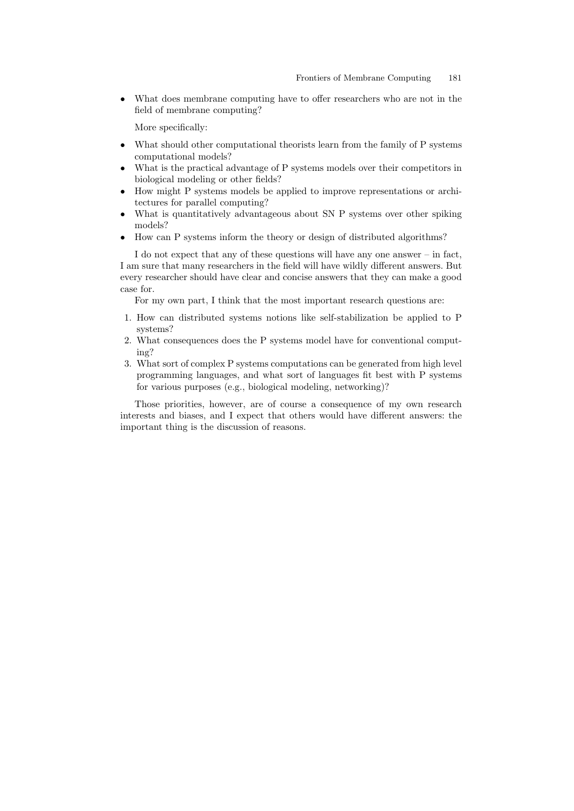*•* What does membrane computing have to offer researchers who are not in the field of membrane computing?

More specifically:

- What should other computational theorists learn from the family of P systems computational models?
- What is the practical advantage of P systems models over their competitors in biological modeling or other fields?
- *•* How might P systems models be applied to improve representations or architectures for parallel computing?
- What is quantitatively advantageous about SN P systems over other spiking models?
- How can P systems inform the theory or design of distributed algorithms?

I do not expect that any of these questions will have any one answer – in fact, I am sure that many researchers in the field will have wildly different answers. But every researcher should have clear and concise answers that they can make a good case for.

For my own part, I think that the most important research questions are:

- 1. How can distributed systems notions like self-stabilization be applied to P systems?
- 2. What consequences does the P systems model have for conventional computing?
- 3. What sort of complex P systems computations can be generated from high level programming languages, and what sort of languages fit best with P systems for various purposes (e.g., biological modeling, networking)?

Those priorities, however, are of course a consequence of my own research interests and biases, and I expect that others would have different answers: the important thing is the discussion of reasons.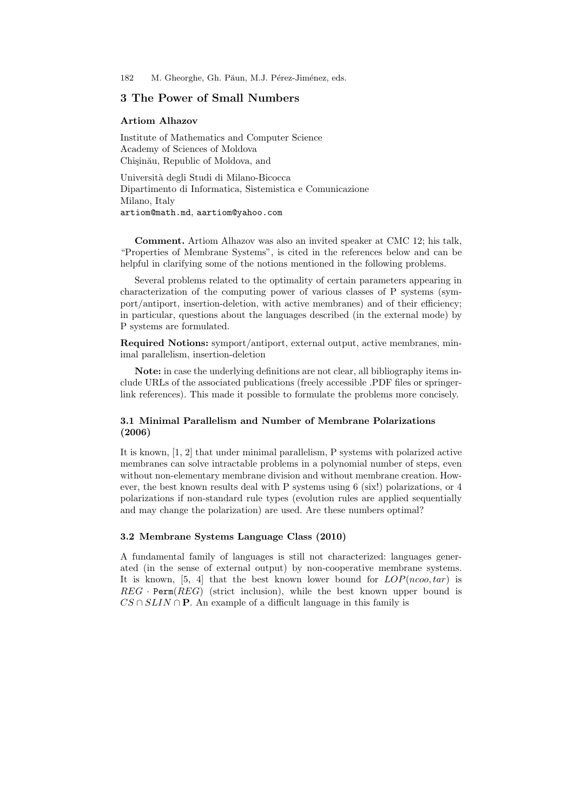# **3 The Power of Small Numbers**

### **Artiom Alhazov**

Institute of Mathematics and Computer Science Academy of Sciences of Moldova Chișinău, Republic of Moldova, and

Universit`a degli Studi di Milano-Bicocca Dipartimento di Informatica, Sistemistica e Comunicazione Milano, Italy artiom@math.md, aartiom@yahoo.com

**Comment.** Artiom Alhazov was also an invited speaker at CMC 12; his talk, "Properties of Membrane Systems", is cited in the references below and can be helpful in clarifying some of the notions mentioned in the following problems.

Several problems related to the optimality of certain parameters appearing in characterization of the computing power of various classes of P systems (symport/antiport, insertion-deletion, with active membranes) and of their efficiency; in particular, questions about the languages described (in the external mode) by P systems are formulated.

**Required Notions:** symport/antiport, external output, active membranes, minimal parallelism, insertion-deletion

**Note:** in case the underlying definitions are not clear, all bibliography items include URLs of the associated publications (freely accessible .PDF files or springerlink references). This made it possible to formulate the problems more concisely.

# **3.1 Minimal Parallelism and Number of Membrane Polarizations (2006)**

It is known, [1, 2] that under minimal parallelism, P systems with polarized active membranes can solve intractable problems in a polynomial number of steps, even without non-elementary membrane division and without membrane creation. However, the best known results deal with P systems using 6 (six!) polarizations, or 4 polarizations if non-standard rule types (evolution rules are applied sequentially and may change the polarization) are used. Are these numbers optimal?

### **3.2 Membrane Systems Language Class (2010)**

A fundamental family of languages is still not characterized: languages generated (in the sense of external output) by non-cooperative membrane systems. It is known, [5, 4] that the best known lower bound for *LOP*(*ncoo, tar*) is *REG ·* Perm(*REG*) (strict inclusion), while the best known upper bound is *CS ∩ SLIN ∩* **P**. An example of a difficult language in this family is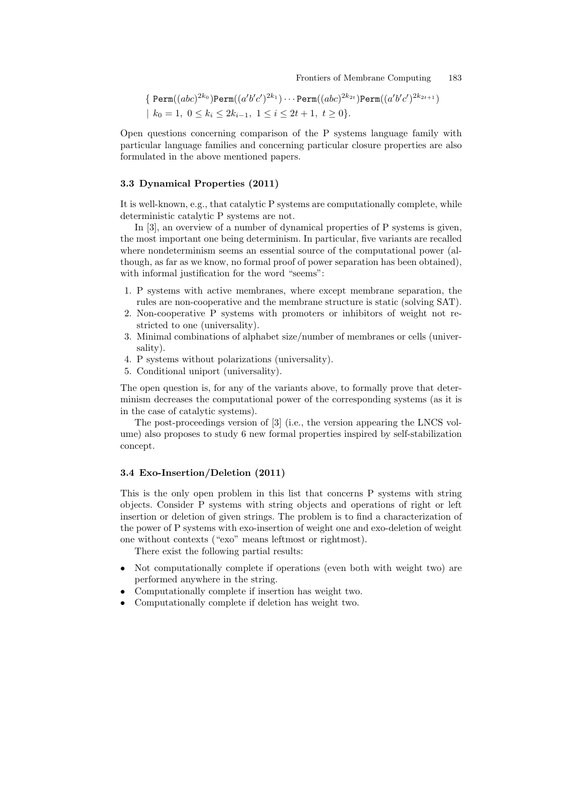{ 
$$
Perm((abc)^{2k_0})Perm((a'b'c')^{2k_1}) \cdots Perm((abc)^{2k_{2t}})Perm((a'b'c')^{2k_{2t+1}})
$$
  
|  $k_0 = 1, 0 \le k_i \le 2k_{i-1}, 1 \le i \le 2t+1, t \ge 0$ }

Open questions concerning comparison of the P systems language family with particular language families and concerning particular closure properties are also formulated in the above mentioned papers.

### **3.3 Dynamical Properties (2011)**

It is well-known, e.g., that catalytic P systems are computationally complete, while deterministic catalytic P systems are not.

In [3], an overview of a number of dynamical properties of P systems is given, the most important one being determinism. In particular, five variants are recalled where nondeterminism seems an essential source of the computational power (although, as far as we know, no formal proof of power separation has been obtained), with informal justification for the word "seems":

- 1. P systems with active membranes, where except membrane separation, the rules are non-cooperative and the membrane structure is static (solving SAT).
- 2. Non-cooperative P systems with promoters or inhibitors of weight not restricted to one (universality).
- 3. Minimal combinations of alphabet size/number of membranes or cells (universality).
- 4. P systems without polarizations (universality).
- 5. Conditional uniport (universality).

The open question is, for any of the variants above, to formally prove that determinism decreases the computational power of the corresponding systems (as it is in the case of catalytic systems).

The post-proceedings version of [3] (i.e., the version appearing the LNCS volume) also proposes to study 6 new formal properties inspired by self-stabilization concept.

#### **3.4 Exo-Insertion/Deletion (2011)**

This is the only open problem in this list that concerns P systems with string objects. Consider P systems with string objects and operations of right or left insertion or deletion of given strings. The problem is to find a characterization of the power of P systems with exo-insertion of weight one and exo-deletion of weight one without contexts ("exo" means leftmost or rightmost).

There exist the following partial results:

- Not computationally complete if operations (even both with weight two) are performed anywhere in the string.
- *•* Computationally complete if insertion has weight two.
- *•* Computationally complete if deletion has weight two.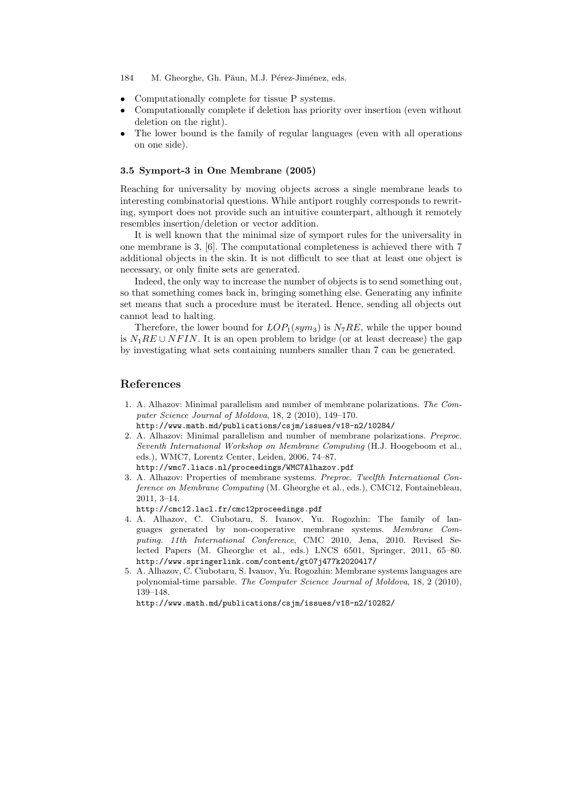- *•* Computationally complete for tissue P systems.
- *•* Computationally complete if deletion has priority over insertion (even without deletion on the right).
- The lower bound is the family of regular languages (even with all operations on one side).

#### **3.5 Symport-3 in One Membrane (2005)**

Reaching for universality by moving objects across a single membrane leads to interesting combinatorial questions. While antiport roughly corresponds to rewriting, symport does not provide such an intuitive counterpart, although it remotely resembles insertion/deletion or vector addition.

It is well known that the minimal size of symport rules for the universality in one membrane is 3, [6]. The computational completeness is achieved there with 7 additional objects in the skin. It is not difficult to see that at least one object is necessary, or only finite sets are generated.

Indeed, the only way to increase the number of objects is to send something out, so that something comes back in, bringing something else. Generating any infinite set means that such a procedure must be iterated. Hence, sending all objects out cannot lead to halting.

Therefore, the lower bound for  $LOP_1(sym_3)$  is  $N_7RE$ , while the upper bound is  $N_1RE \cup NFIN$ . It is an open problem to bridge (or at least decrease) the gap by investigating what sets containing numbers smaller than 7 can be generated.

# **References**

- 1. A. Alhazov: Minimal parallelism and number of membrane polarizations. *The Computer Science Journal of Moldova*, 18, 2 (2010), 149–170.
	- http://www.math.md/publications/csjm/issues/v18-n2/10284/
- 2. A. Alhazov: Minimal parallelism and number of membrane polarizations. *Preproc. Seventh International Workshop on Membrane Computing* (H.J. Hoogeboom et al., eds.), WMC7, Lorentz Center, Leiden, 2006, 74–87. http://wmc7.liacs.nl/proceedings/WMC7Alhazov.pdf
- 3. A. Alhazov: Properties of membrane systems. *Preproc. Twelfth International Conference on Membrane Computing* (M. Gheorghe et al., eds.), CMC12, Fontainebleau, 2011, 3–14.

http://cmc12.lacl.fr/cmc12proceedings.pdf

- 4. A. Alhazov, C. Ciubotaru, S. Ivanov, Yu. Rogozhin: The family of languages generated by non-cooperative membrane systems. *Membrane Computing. 11th International Conference*, CMC 2010, Jena, 2010. Revised Selected Papers (M. Gheorghe et al., eds.) LNCS 6501, Springer, 2011, 65–80. http://www.springerlink.com/content/gt07j477k20204l7/
- 5. A. Alhazov, C. Ciubotaru, S. Ivanov, Yu. Rogozhin: Membrane systems languages are polynomial-time parsable. *The Computer Science Journal of Moldova*, 18, 2 (2010), 139–148.

http://www.math.md/publications/csjm/issues/v18-n2/10282/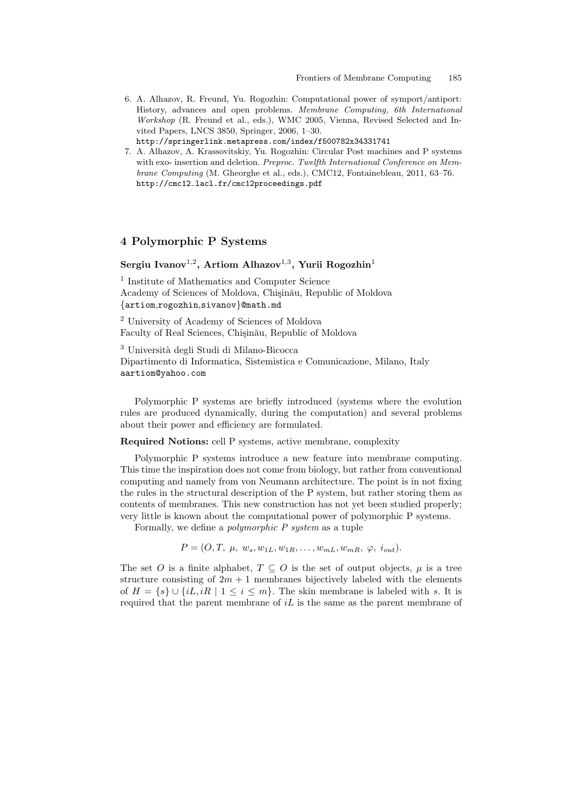- 6. A. Alhazov, R. Freund, Yu. Rogozhin: Computational power of symport/antiport: History, advances and open problems. *Membrane Computing, 6th International Workshop* (R. Freund et al., eds.), WMC 2005, Vienna, Revised Selected and Invited Papers, LNCS 3850, Springer, 2006, 1–30.
- http://springerlink.metapress.com/index/f500782x34331741
- 7. A. Alhazov, A. Krassovitskiy, Yu. Rogozhin: Circular Post machines and P systems with exo- insertion and deletion. *Preproc. Twelfth International Conference on Membrane Computing* (M. Gheorghe et al., eds.), CMC12, Fontainebleau, 2011, 63–76. http://cmc12.lacl.fr/cmc12proceedings.pdf

# **4 Polymorphic P Systems**

### **Sergiu Ivanov**<sup>1</sup>*,*<sup>2</sup> **, Artiom Alhazov**<sup>1</sup>*,*<sup>3</sup> **, Yurii Rogozhin**<sup>1</sup>

1 Institute of Mathematics and Computer Science Academy of Sciences of Moldova, Chişinău, Republic of Moldova *{*artiom,rogozhin,sivanov*}*@math.md

<sup>2</sup> University of Academy of Sciences of Moldova Faculty of Real Sciences, Chisinău, Republic of Moldova

<sup>3</sup> Università degli Studi di Milano-Bicocca Dipartimento di Informatica, Sistemistica e Comunicazione, Milano, Italy aartiom@yahoo.com

Polymorphic P systems are briefly introduced (systems where the evolution rules are produced dynamically, during the computation) and several problems about their power and efficiency are formulated.

**Required Notions:** cell P systems, active membrane, complexity

Polymorphic P systems introduce a new feature into membrane computing. This time the inspiration does not come from biology, but rather from conventional computing and namely from von Neumann architecture. The point is in not fixing the rules in the structural description of the P system, but rather storing them as contents of membranes. This new construction has not yet been studied properly; very little is known about the computational power of polymorphic P systems.

Formally, we define a *polymorphic P system* as a tuple

 $P = (O, T, \mu, w_s, w_{1L}, w_{1R}, \ldots, w_{mL}, w_{mR}, \varphi, i_{out}).$ 

The set *O* is a finite alphabet,  $T \subseteq O$  is the set of output objects,  $\mu$  is a tree structure consisting of  $2m + 1$  membranes bijectively labeled with the elements of  $H = \{s\}$  ∪  $\{iL, iR \mid 1 \leq i \leq m\}$ . The skin membrane is labeled with *s*. It is required that the parent membrane of *iL* is the same as the parent membrane of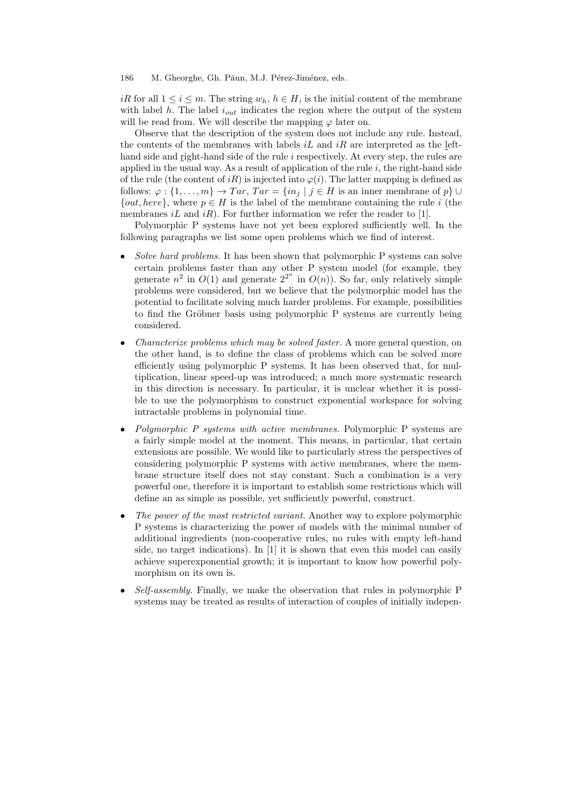*iR* for all  $1 \leq i \leq m$ . The string  $w_h$ ,  $h \in H$ , is the initial content of the membrane with label *h*. The label  $i_{out}$  indicates the region where the output of the system will be read from. We will describe the mapping  $\varphi$  later on.

Observe that the description of the system does not include any rule. Instead, the contents of the membranes with labels *iL* and *iR* are interpreted as the lefthand side and right-hand side of the rule *i* respectively. At every step, the rules are applied in the usual way. As a result of application of the rule *i*, the right-hand side of the rule (the content of *iR*) is injected into  $\varphi(i)$ . The latter mapping is defined as follows:  $\varphi$  :  $\{1,\ldots,m\} \to Tar$ ,  $Tar = \{in_j | j \in H$  is an inner membrane of  $p\} \cup$  $\{out, here\}$ , where  $p \in H$  is the label of the membrane containing the rule *i* (the membranes *iL* and *iR*). For further information we refer the reader to [1].

Polymorphic P systems have not yet been explored sufficiently well. In the following paragraphs we list some open problems which we find of interest.

- *• Solve hard problems.* It has been shown that polymorphic P systems can solve certain problems faster than any other P system model (for example, they generate  $n^2$  in  $O(1)$  and generate  $2^{2^n}$  in  $O(n)$ ). So far, only relatively simple problems were considered, but we believe that the polymorphic model has the potential to facilitate solving much harder problems. For example, possibilities to find the Gröbner basis using polymorphic P systems are currently being considered.
- *• Characterize problems which may be solved faster.* A more general question, on the other hand, is to define the class of problems which can be solved more efficiently using polymorphic P systems. It has been observed that, for multiplication, linear speed-up was introduced; a much more systematic research in this direction is necessary. In particular, it is unclear whether it is possible to use the polymorphism to construct exponential workspace for solving intractable problems in polynomial time.
- *• Polymorphic P systems with active membranes.* Polymorphic P systems are a fairly simple model at the moment. This means, in particular, that certain extensions are possible. We would like to particularly stress the perspectives of considering polymorphic P systems with active membranes, where the membrane structure itself does not stay constant. Such a combination is a very powerful one, therefore it is important to establish some restrictions which will define an as simple as possible, yet sufficiently powerful, construct.
- *The power of the most restricted variant.* Another way to explore polymorphic P systems is characterizing the power of models with the minimal number of additional ingredients (non-cooperative rules, no rules with empty left-hand side, no target indications). In [1] it is shown that even this model can easily achieve superexponential growth; it is important to know how powerful polymorphism on its own is.
- *Self-assembly*. Finally, we make the observation that rules in polymorphic P systems may be treated as results of interaction of couples of initially indepen-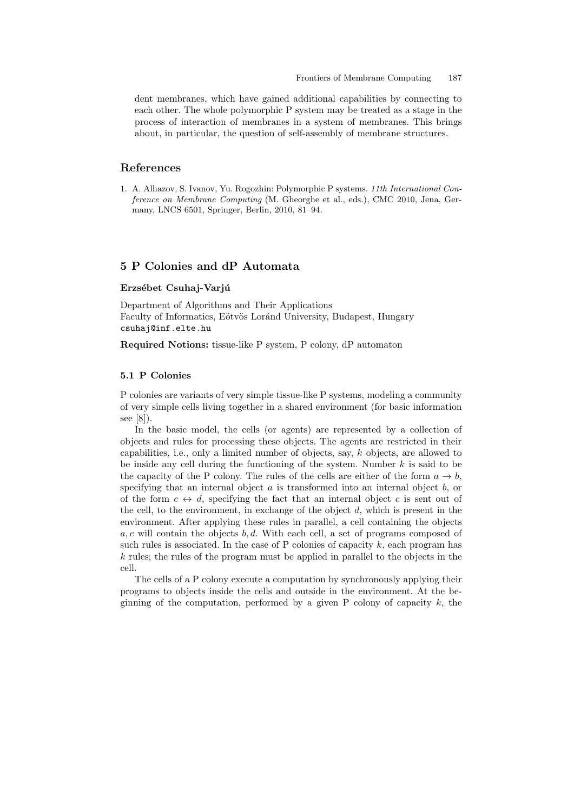dent membranes, which have gained additional capabilities by connecting to each other. The whole polymorphic P system may be treated as a stage in the process of interaction of membranes in a system of membranes. This brings about, in particular, the question of self-assembly of membrane structures.

### **References**

1. A. Alhazov, S. Ivanov, Yu. Rogozhin: Polymorphic P systems. *11th International Conference on Membrane Computing* (M. Gheorghe et al., eds.), CMC 2010, Jena, Germany, LNCS 6501, Springer, Berlin, 2010, 81–94.

# **5 P Colonies and dP Automata**

Erzsébet Csuhaj-Varjú

Department of Algorithms and Their Applications Faculty of Informatics, Eötvös Loránd University, Budapest, Hungary csuhaj@inf.elte.hu

**Required Notions:** tissue-like P system, P colony, dP automaton

### **5.1 P Colonies**

P colonies are variants of very simple tissue-like P systems, modeling a community of very simple cells living together in a shared environment (for basic information see [8]).

In the basic model, the cells (or agents) are represented by a collection of objects and rules for processing these objects. The agents are restricted in their capabilities, i.e., only a limited number of objects, say, *k* objects, are allowed to be inside any cell during the functioning of the system. Number *k* is said to be the capacity of the P colony. The rules of the cells are either of the form  $a \rightarrow b$ , specifying that an internal object *a* is transformed into an internal object *b*, or of the form  $c \leftrightarrow d$ , specifying the fact that an internal object c is sent out of the cell, to the environment, in exchange of the object *d*, which is present in the environment. After applying these rules in parallel, a cell containing the objects *a, c* will contain the objects *b, d*. With each cell, a set of programs composed of such rules is associated. In the case of  $P$  colonies of capacity  $k$ , each program has *k* rules; the rules of the program must be applied in parallel to the objects in the cell.

The cells of a P colony execute a computation by synchronously applying their programs to objects inside the cells and outside in the environment. At the beginning of the computation, performed by a given  $P$  colony of capacity  $k$ , the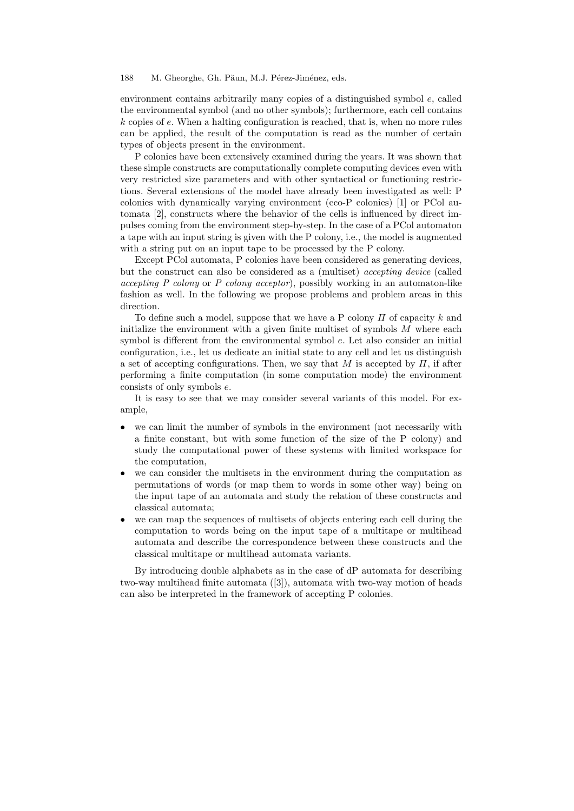environment contains arbitrarily many copies of a distinguished symbol *e*, called the environmental symbol (and no other symbols); furthermore, each cell contains *k* copies of *e*. When a halting configuration is reached, that is, when no more rules can be applied, the result of the computation is read as the number of certain types of objects present in the environment.

P colonies have been extensively examined during the years. It was shown that these simple constructs are computationally complete computing devices even with very restricted size parameters and with other syntactical or functioning restrictions. Several extensions of the model have already been investigated as well: P colonies with dynamically varying environment (eco-P colonies) [1] or PCol automata [2], constructs where the behavior of the cells is influenced by direct impulses coming from the environment step-by-step. In the case of a PCol automaton a tape with an input string is given with the P colony, i.e., the model is augmented with a string put on an input tape to be processed by the P colony.

Except PCol automata, P colonies have been considered as generating devices, but the construct can also be considered as a (multiset) *accepting device* (called *accepting P colony* or *P colony acceptor*), possibly working in an automaton-like fashion as well. In the following we propose problems and problem areas in this direction.

To define such a model, suppose that we have a P colony *Π* of capacity *k* and initialize the environment with a given finite multiset of symbols *M* where each symbol is different from the environmental symbol *e*. Let also consider an initial configuration, i.e., let us dedicate an initial state to any cell and let us distinguish a set of accepting configurations. Then, we say that *M* is accepted by *Π*, if after performing a finite computation (in some computation mode) the environment consists of only symbols *e*.

It is easy to see that we may consider several variants of this model. For example,

- we can limit the number of symbols in the environment (not necessarily with a finite constant, but with some function of the size of the P colony) and study the computational power of these systems with limited workspace for the computation,
- *•* we can consider the multisets in the environment during the computation as permutations of words (or map them to words in some other way) being on the input tape of an automata and study the relation of these constructs and classical automata;
- we can map the sequences of multisets of objects entering each cell during the computation to words being on the input tape of a multitape or multihead automata and describe the correspondence between these constructs and the classical multitape or multihead automata variants.

By introducing double alphabets as in the case of dP automata for describing two-way multihead finite automata ([3]), automata with two-way motion of heads can also be interpreted in the framework of accepting P colonies.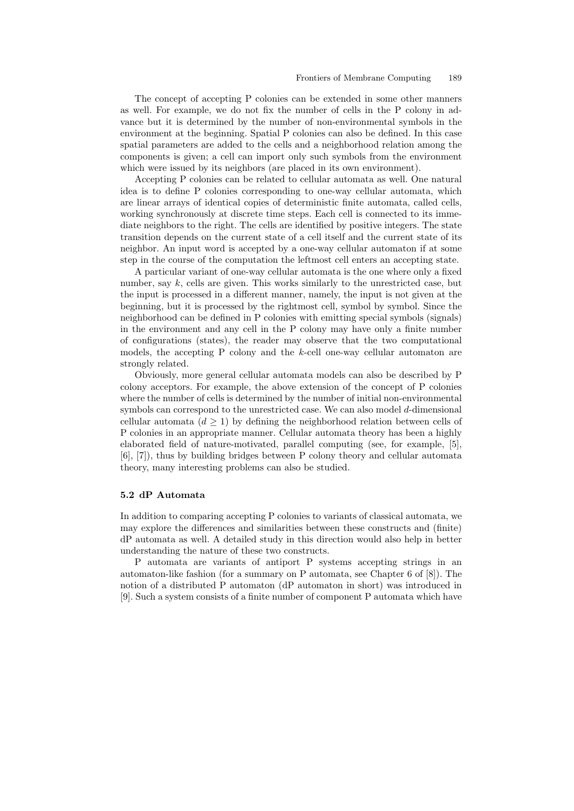The concept of accepting P colonies can be extended in some other manners as well. For example, we do not fix the number of cells in the P colony in advance but it is determined by the number of non-environmental symbols in the environment at the beginning. Spatial P colonies can also be defined. In this case spatial parameters are added to the cells and a neighborhood relation among the components is given; a cell can import only such symbols from the environment which were issued by its neighbors (are placed in its own environment).

Accepting P colonies can be related to cellular automata as well. One natural idea is to define P colonies corresponding to one-way cellular automata, which are linear arrays of identical copies of deterministic finite automata, called cells, working synchronously at discrete time steps. Each cell is connected to its immediate neighbors to the right. The cells are identified by positive integers. The state transition depends on the current state of a cell itself and the current state of its neighbor. An input word is accepted by a one-way cellular automaton if at some step in the course of the computation the leftmost cell enters an accepting state.

A particular variant of one-way cellular automata is the one where only a fixed number, say *k*, cells are given. This works similarly to the unrestricted case, but the input is processed in a different manner, namely, the input is not given at the beginning, but it is processed by the rightmost cell, symbol by symbol. Since the neighborhood can be defined in P colonies with emitting special symbols (signals) in the environment and any cell in the P colony may have only a finite number of configurations (states), the reader may observe that the two computational models, the accepting P colony and the *k*-cell one-way cellular automaton are strongly related.

Obviously, more general cellular automata models can also be described by P colony acceptors. For example, the above extension of the concept of P colonies where the number of cells is determined by the number of initial non-environmental symbols can correspond to the unrestricted case. We can also model *d*-dimensional cellular automata  $(d \geq 1)$  by defining the neighborhood relation between cells of P colonies in an appropriate manner. Cellular automata theory has been a highly elaborated field of nature-motivated, parallel computing (see, for example, [5], [6], [7]), thus by building bridges between P colony theory and cellular automata theory, many interesting problems can also be studied.

#### **5.2 dP Automata**

In addition to comparing accepting P colonies to variants of classical automata, we may explore the differences and similarities between these constructs and (finite) dP automata as well. A detailed study in this direction would also help in better understanding the nature of these two constructs.

P automata are variants of antiport P systems accepting strings in an automaton-like fashion (for a summary on P automata, see Chapter 6 of [8]). The notion of a distributed P automaton (dP automaton in short) was introduced in [9]. Such a system consists of a finite number of component P automata which have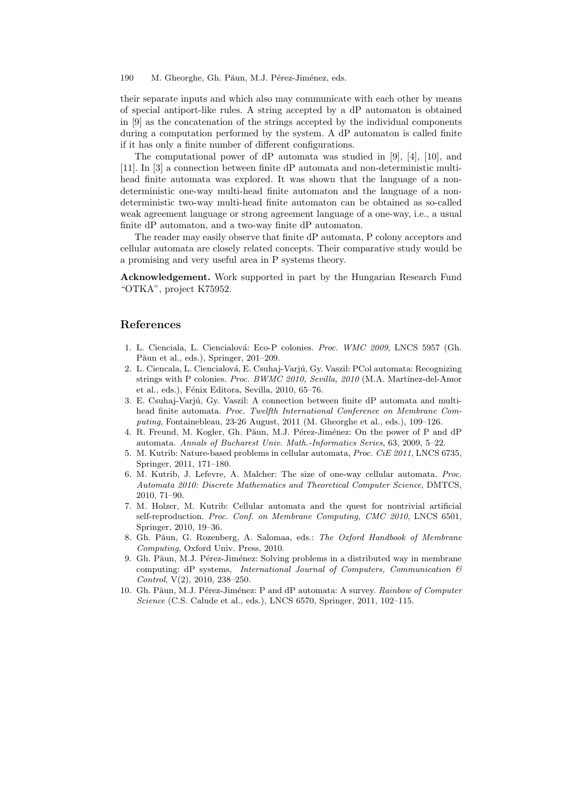their separate inputs and which also may communicate with each other by means of special antiport-like rules. A string accepted by a dP automaton is obtained in [9] as the concatenation of the strings accepted by the individual components during a computation performed by the system. A dP automaton is called finite if it has only a finite number of different configurations.

The computational power of dP automata was studied in [9], [4], [10], and [11]. In [3] a connection between finite dP automata and non-deterministic multihead finite automata was explored. It was shown that the language of a nondeterministic one-way multi-head finite automaton and the language of a nondeterministic two-way multi-head finite automaton can be obtained as so-called weak agreement language or strong agreement language of a one-way, i.e., a usual finite dP automaton, and a two-way finite dP automaton.

The reader may easily observe that finite dP automata, P colony acceptors and cellular automata are closely related concepts. Their comparative study would be a promising and very useful area in P systems theory.

**Acknowledgement.** Work supported in part by the Hungarian Research Fund "OTKA", project K75952.

- 1. L. Cienciala, L. Ciencialov´a: Eco-P colonies. *Proc. WMC 2009*, LNCS 5957 (Gh. Păun et al., eds.), Springer, 201–209.
- 2. L. Ciencala, L. Ciencialová, E. Csuhaj-Varjú, Gy. Vaszil: PCol automata: Recognizing strings with P colonies. Proc. BWMC 2010, Sevilla, 2010 (M.A. Martínez-del-Amor et al., eds.), Fénix Editora, Sevilla, 2010, 65–76.
- 3. E. Csuhaj-Varjú, Gy. Vaszil: A connection between finite dP automata and multihead finite automata. *Proc. Twelfth International Conference on Membrane Computing*, Fontainebleau, 23-26 August, 2011 (M. Gheorghe et al., eds.), 109–126.
- 4. R. Freund, M. Kogler, Gh. Păun, M.J. Pérez-Jiménez: On the power of P and dP automata. *Annals of Bucharest Univ. Math.-Informatics Series*, 63, 2009, 5–22.
- 5. M. Kutrib: Nature-based problems in cellular automata, *Proc. CiE 2011*, LNCS 6735, Springer, 2011, 171–180.
- 6. M. Kutrib, J. Lefevre, A. Malcher: The size of one-way cellular automata. *Proc. Automata 2010: Discrete Mathematics and Theoretical Computer Science*, DMTCS, 2010, 71–90.
- 7. M. Holzer, M. Kutrib: Cellular automata and the quest for nontrivial artificial self-reproduction. *Proc. Conf. on Membrane Computing, CMC 2010*, LNCS 6501, Springer, 2010, 19–36.
- 8. Gh. P˘aun, G. Rozenberg, A. Salomaa, eds.: *The Oxford Handbook of Membrane Computing*, Oxford Univ. Press, 2010.
- 9. Gh. Păun, M.J. Pérez-Jiménez: Solving problems in a distributed way in membrane computing: dP systems, *International Journal of Computers, Communication & Control*, V(2), 2010, 238–250.
- 10. Gh. Păun, M.J. Pérez-Jiménez: P and dP automata: A survey. *Rainbow of Computer Science* (C.S. Calude et al., eds.), LNCS 6570, Springer, 2011, 102–115.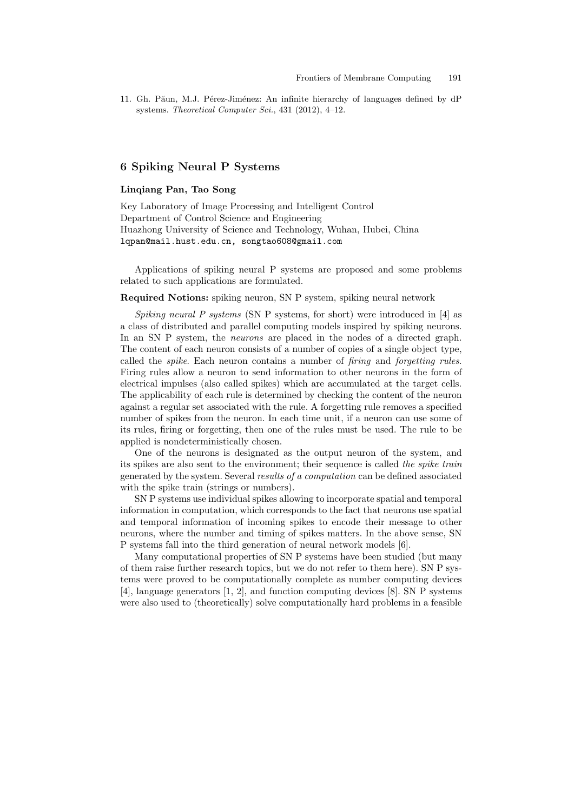11. Gh. Păun, M.J. Pérez-Jiménez: An infinite hierarchy of languages defined by dP systems. *Theoretical Computer Sci.*, 431 (2012), 4–12.

# **6 Spiking Neural P Systems**

### **Linqiang Pan, Tao Song**

Key Laboratory of Image Processing and Intelligent Control Department of Control Science and Engineering Huazhong University of Science and Technology, Wuhan, Hubei, China lqpan@mail.hust.edu.cn, songtao608@gmail.com

Applications of spiking neural P systems are proposed and some problems related to such applications are formulated.

**Required Notions:** spiking neuron, SN P system, spiking neural network

*Spiking neural P systems* (SN P systems, for short) were introduced in [4] as a class of distributed and parallel computing models inspired by spiking neurons. In an SN P system, the *neurons* are placed in the nodes of a directed graph. The content of each neuron consists of a number of copies of a single object type, called the *spike*. Each neuron contains a number of *firing* and *forgetting rules*. Firing rules allow a neuron to send information to other neurons in the form of electrical impulses (also called spikes) which are accumulated at the target cells. The applicability of each rule is determined by checking the content of the neuron against a regular set associated with the rule. A forgetting rule removes a specified number of spikes from the neuron. In each time unit, if a neuron can use some of its rules, firing or forgetting, then one of the rules must be used. The rule to be applied is nondeterministically chosen.

One of the neurons is designated as the output neuron of the system, and its spikes are also sent to the environment; their sequence is called *the spike train* generated by the system. Several *results of a computation* can be defined associated with the spike train (strings or numbers).

SN P systems use individual spikes allowing to incorporate spatial and temporal information in computation, which corresponds to the fact that neurons use spatial and temporal information of incoming spikes to encode their message to other neurons, where the number and timing of spikes matters. In the above sense, SN P systems fall into the third generation of neural network models [6].

Many computational properties of SN P systems have been studied (but many of them raise further research topics, but we do not refer to them here). SN P systems were proved to be computationally complete as number computing devices [4], language generators [1, 2], and function computing devices [8]. SN P systems were also used to (theoretically) solve computationally hard problems in a feasible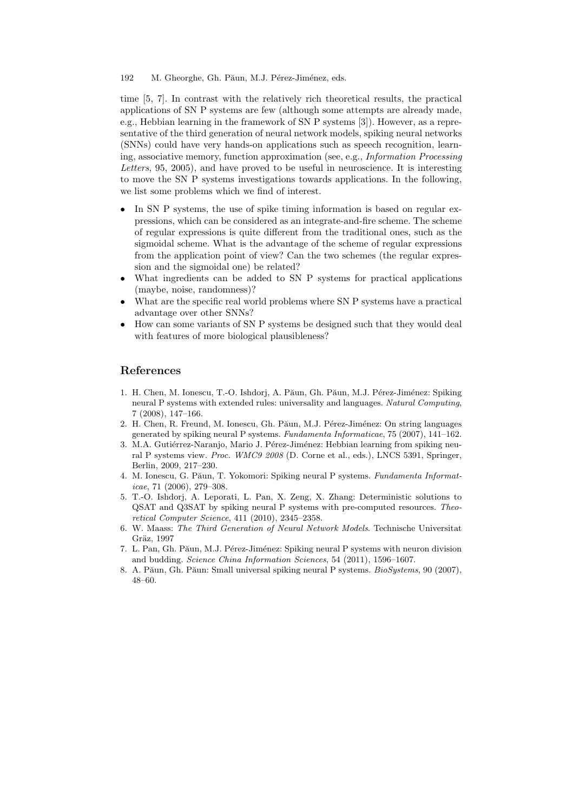time [5, 7]. In contrast with the relatively rich theoretical results, the practical applications of SN P systems are few (although some attempts are already made, e.g., Hebbian learning in the framework of SN P systems [3]). However, as a representative of the third generation of neural network models, spiking neural networks (SNNs) could have very hands-on applications such as speech recognition, learning, associative memory, function approximation (see, e.g., *Information Processing Letters*, 95, 2005), and have proved to be useful in neuroscience. It is interesting to move the SN P systems investigations towards applications. In the following, we list some problems which we find of interest.

- In SN P systems, the use of spike timing information is based on regular expressions, which can be considered as an integrate-and-fire scheme. The scheme of regular expressions is quite different from the traditional ones, such as the sigmoidal scheme. What is the advantage of the scheme of regular expressions from the application point of view? Can the two schemes (the regular expression and the sigmoidal one) be related?
- What ingredients can be added to SN P systems for practical applications (maybe, noise, randomness)?
- What are the specific real world problems where SN P systems have a practical advantage over other SNNs?
- *•* How can some variants of SN P systems be designed such that they would deal with features of more biological plausibleness?

- 1. H. Chen, M. Ionescu, T.-O. Ishdori, A. Păun, Gh. Păun, M.J. Pérez-Jiménez: Spiking neural P systems with extended rules: universality and languages. *Natural Computing*, 7 (2008), 147–166.
- 2. H. Chen, R. Freund, M. Ionescu, Gh. Păun, M.J. Pérez-Jiménez: On string languages generated by spiking neural P systems. *Fundamenta Informaticae*, 75 (2007), 141–162.
- 3. M.A. Gutiérrez-Naranjo, Mario J. Pérez-Jiménez: Hebbian learning from spiking neural P systems view. *Proc. WMC9 2008* (D. Corne et al., eds.), LNCS 5391, Springer, Berlin, 2009, 217–230.
- 4. M. Ionescu, G. P˘aun, T. Yokomori: Spiking neural P systems. *Fundamenta Informaticae*, 71 (2006), 279–308.
- 5. T.-O. Ishdorj, A. Leporati, L. Pan, X. Zeng, X. Zhang: Deterministic solutions to QSAT and Q3SAT by spiking neural P systems with pre-computed resources. *Theoretical Computer Science*, 411 (2010), 2345–2358.
- 6. W. Maass: *The Third Generation of Neural Network Models*. Technische Universitat Gräz, 1997
- 7. L. Pan, Gh. Păun, M.J. Pérez-Jiménez: Spiking neural P systems with neuron division and budding. *Science China Information Sciences*, 54 (2011), 1596–1607.
- 8. A. Păun, Gh. Păun: Small universal spiking neural P systems. *BioSystems*, 90 (2007), 48–60.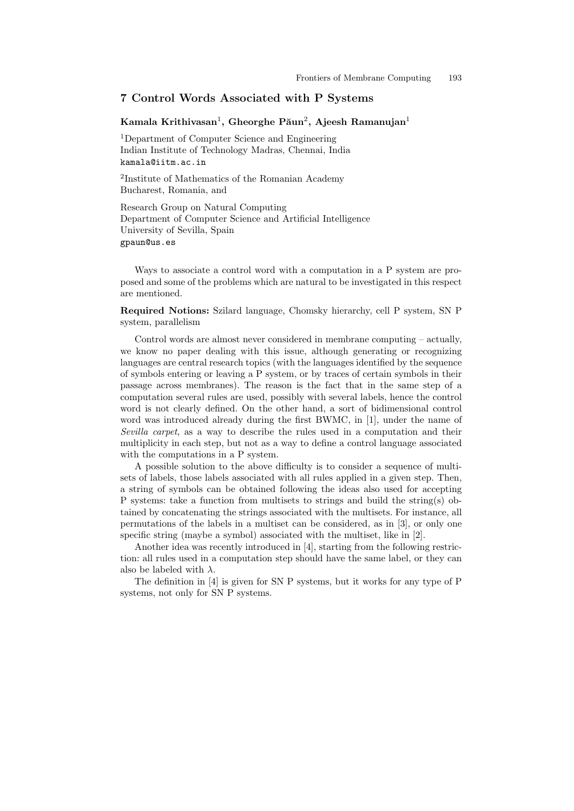# **7 Control Words Associated with P Systems**

### $\mathbf K$ amala  $\mathbf K$ rithivasan<sup>1</sup>, Gheorghe Păun<sup>2</sup>, Ajeesh Ramanujan<sup>1</sup>

<sup>1</sup>Department of Computer Science and Engineering Indian Institute of Technology Madras, Chennai, India kamala@iitm.ac.in

2 Institute of Mathematics of the Romanian Academy Bucharest, Romania, and

Research Group on Natural Computing Department of Computer Science and Artificial Intelligence University of Sevilla, Spain gpaun@us.es

Ways to associate a control word with a computation in a P system are proposed and some of the problems which are natural to be investigated in this respect are mentioned.

**Required Notions:** Szilard language, Chomsky hierarchy, cell P system, SN P system, parallelism

Control words are almost never considered in membrane computing – actually, we know no paper dealing with this issue, although generating or recognizing languages are central research topics (with the languages identified by the sequence of symbols entering or leaving a P system, or by traces of certain symbols in their passage across membranes). The reason is the fact that in the same step of a computation several rules are used, possibly with several labels, hence the control word is not clearly defined. On the other hand, a sort of bidimensional control word was introduced already during the first BWMC, in [1], under the name of *Sevilla carpet*, as a way to describe the rules used in a computation and their multiplicity in each step, but not as a way to define a control language associated with the computations in a P system.

A possible solution to the above difficulty is to consider a sequence of multisets of labels, those labels associated with all rules applied in a given step. Then, a string of symbols can be obtained following the ideas also used for accepting P systems: take a function from multisets to strings and build the string(s) obtained by concatenating the strings associated with the multisets. For instance, all permutations of the labels in a multiset can be considered, as in [3], or only one specific string (maybe a symbol) associated with the multiset, like in [2].

Another idea was recently introduced in [4], starting from the following restriction: all rules used in a computation step should have the same label, or they can also be labeled with *λ*.

The definition in [4] is given for SN P systems, but it works for any type of P systems, not only for SN P systems.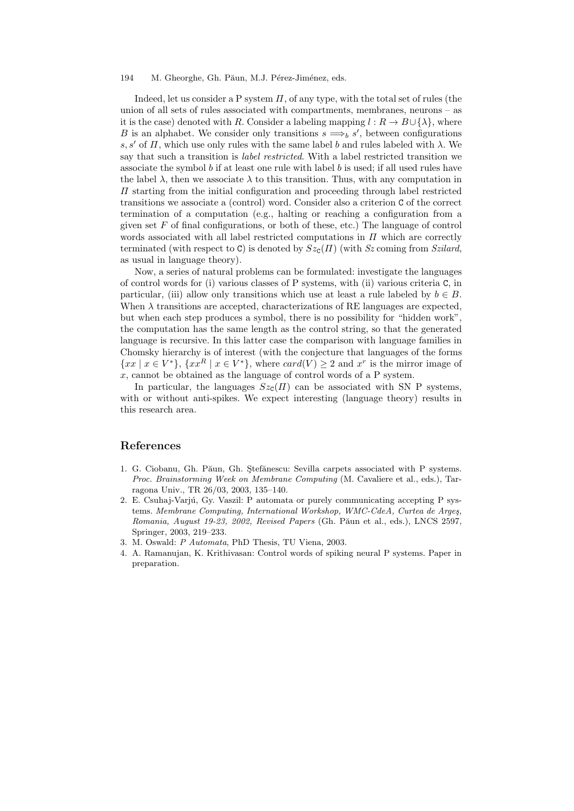Indeed, let us consider a P system  $\Pi$ , of any type, with the total set of rules (the union of all sets of rules associated with compartments, membranes, neurons – as it is the case) denoted with *R*. Consider a labeling mapping  $l : R \to B \cup \{\lambda\}$ , where *B* is an alphabet. We consider only transitions  $s \implies_b s'$ , between configurations  $s, s'$  of  $\Pi$ , which use only rules with the same label *b* and rules labeled with  $\lambda$ . We say that such a transition is *label restricted*. With a label restricted transition we associate the symbol *b* if at least one rule with label *b* is used; if all used rules have the label  $\lambda$ , then we associate  $\lambda$  to this transition. Thus, with any computation in *Π* starting from the initial configuration and proceeding through label restricted transitions we associate a (control) word. Consider also a criterion C of the correct termination of a computation (e.g., halting or reaching a configuration from a given set *F* of final configurations, or both of these, etc.) The language of control words associated with all label restricted computations in *Π* which are correctly terminated (with respect to C) is denoted by  $Sz<sub>c</sub>(\Pi)$  (with  $Sz$  coming from *Szilard*, as usual in language theory).

Now, a series of natural problems can be formulated: investigate the languages of control words for (i) various classes of P systems, with (ii) various criteria C, in particular, (iii) allow only transitions which use at least a rule labeled by  $b \in B$ . When  $\lambda$  transitions are accepted, characterizations of RE languages are expected, but when each step produces a symbol, there is no possibility for "hidden work", the computation has the same length as the control string, so that the generated language is recursive. In this latter case the comparison with language families in Chomsky hierarchy is of interest (with the conjecture that languages of the forms  $\{xx \mid x \in V^*\},\, \{xx^R \mid x \in V^*\},\,$  where  $card(V) \geq 2$  and  $x^r$  is the mirror image of *x*, cannot be obtained as the language of control words of a P system.

In particular, the languages  $Sz<sub>c</sub>(*H*)$  can be associated with SN P systems, with or without anti-spikes. We expect interesting (language theory) results in this research area.

- 1. G. Ciobanu, Gh. Păun, Gh. Stefănescu: Sevilla carpets associated with P systems. *Proc. Brainstorming Week on Membrane Computing* (M. Cavaliere et al., eds.), Tarragona Univ., TR 26/03, 2003, 135–140.
- 2. E. Csuhaj-Varjú, Gy. Vaszil: P automata or purely communicating accepting P systems. *Membrane Computing, International Workshop, WMC-CdeA, Curtea de Arges*, *Romania, August 19-23, 2002, Revised Papers* (Gh. Păun et al., eds.), LNCS 2597, Springer, 2003, 219–233.
- 3. M. Oswald: *P Automata*, PhD Thesis, TU Viena, 2003.
- 4. A. Ramanujan, K. Krithivasan: Control words of spiking neural P systems. Paper in preparation.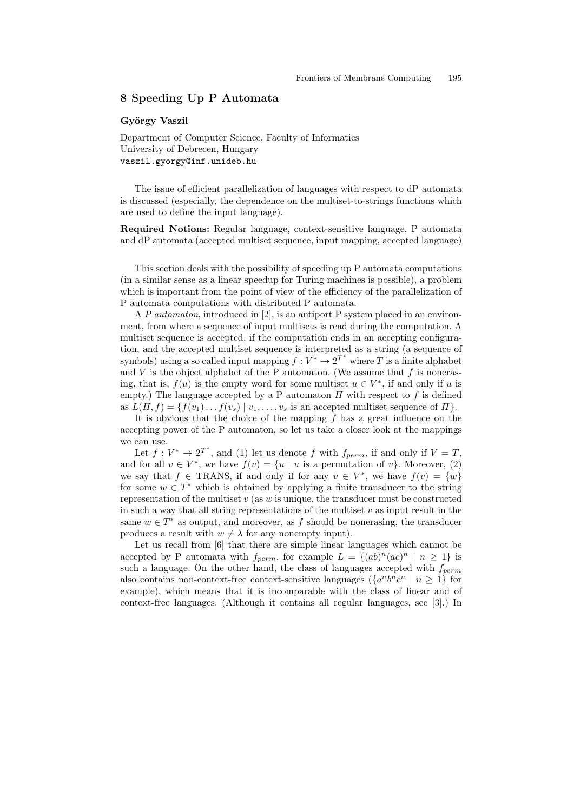# **8 Speeding Up P Automata**

# **György Vaszil**

Department of Computer Science, Faculty of Informatics University of Debrecen, Hungary vaszil.gyorgy@inf.unideb.hu

The issue of efficient parallelization of languages with respect to dP automata is discussed (especially, the dependence on the multiset-to-strings functions which are used to define the input language).

**Required Notions:** Regular language, context-sensitive language, P automata and dP automata (accepted multiset sequence, input mapping, accepted language)

This section deals with the possibility of speeding up P automata computations (in a similar sense as a linear speedup for Turing machines is possible), a problem which is important from the point of view of the efficiency of the parallelization of P automata computations with distributed P automata.

A *P automaton*, introduced in [2], is an antiport P system placed in an environment, from where a sequence of input multisets is read during the computation. A multiset sequence is accepted, if the computation ends in an accepting configuration, and the accepted multiset sequence is interpreted as a string (a sequence of symbols) using a so called input mapping  $f: V^* \to 2^{T^*}$  where T is a finite alphabet and  $V$  is the object alphabet of the  $P$  automaton. (We assume that  $f$  is nonerasing, that is,  $f(u)$  is the empty word for some multiset  $u \in V^*$ , if and only if *u* is empty.) The language accepted by a P automaton  $\Pi$  with respect to  $f$  is defined as  $L(\Pi, f) = \{f(v_1) \dots f(v_s) \mid v_1, \dots, v_s \text{ is an accepted multiset sequence of } \Pi \}.$ 

It is obvious that the choice of the mapping *f* has a great influence on the accepting power of the P automaton, so let us take a closer look at the mappings we can use.

Let  $f: V^* \to 2^{T^*}$ , and (1) let us denote  $f$  with  $f_{perm}$ , if and only if  $V = T$ , and for all  $v \in V^*$ , we have  $f(v) = \{u \mid u$  is a permutation of  $v\}$ . Moreover, (2) we say that  $f \in \text{TRANS}$ , if and only if for any  $v \in V^*$ , we have  $f(v) = \{w\}$ for some  $w \in T^*$  which is obtained by applying a finite transducer to the string representation of the multiset  $v$  (as  $w$  is unique, the transducer must be constructed in such a way that all string representations of the multiset *v* as input result in the same  $w \in T^*$  as output, and moreover, as  $f$  should be nonerasing, the transducer produces a result with  $w \neq \lambda$  for any nonempty input).

Let us recall from [6] that there are simple linear languages which cannot be accepted by P automata with  $f_{perm}$ , for example  $L = \{(ab)^n(ac)^n \mid n \ge 1\}$  is such a language. On the other hand, the class of languages accepted with *fperm* also contains non-context-free context-sensitive languages  $({a^n b^n c^n \mid n \ge 1})$  for example), which means that it is incomparable with the class of linear and of context-free languages. (Although it contains all regular languages, see [3].) In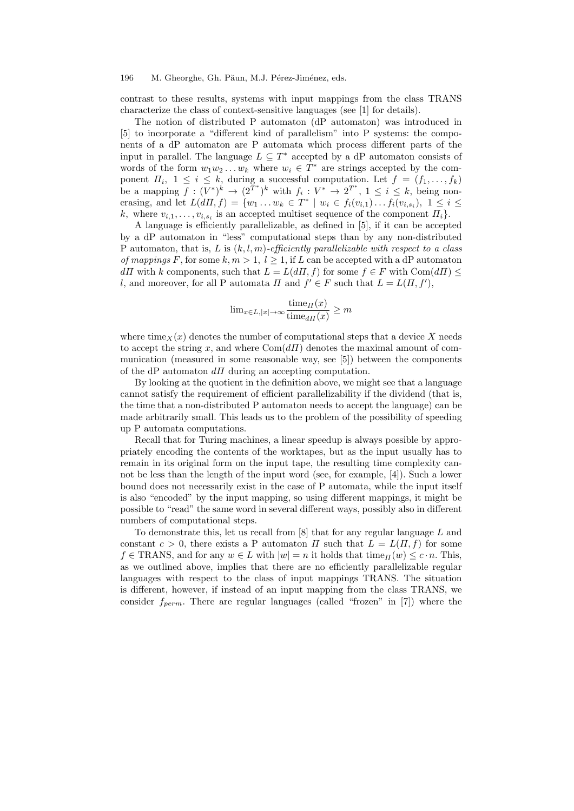contrast to these results, systems with input mappings from the class TRANS characterize the class of context-sensitive languages (see [1] for details).

The notion of distributed P automaton (dP automaton) was introduced in [5] to incorporate a "different kind of parallelism" into P systems: the components of a dP automaton are P automata which process different parts of the input in parallel. The language  $L \subseteq T^*$  accepted by a dP automaton consists of words of the form  $w_1w_2 \ldots w_k$  where  $w_i \in T^*$  are strings accepted by the component  $\Pi_i$ ,  $1 \leq i \leq k$ , during a successful computation. Let  $f = (f_1, \ldots, f_k)$ be a mapping  $f: (V^*)^k \to (2^{T^*})^k$  with  $f_i: V^* \to 2^{T^*}, 1 \le i \le k$ , being nonerasing, and let  $L(dH, f) = \{w_1 \dots w_k \in T^* \mid w_i \in f_i(v_{i,1}) \dots f_i(v_{i,s_i}), 1 \le i \le n\}$ *k*, where  $v_{i,1}, \ldots, v_{i,s_i}$  is an accepted multiset sequence of the component  $\Pi_i$ .

A language is efficiently parallelizable, as defined in [5], if it can be accepted by a dP automaton in "less" computational steps than by any non-distributed P automaton, that is, *L* is (*k, l, m*)*-efficiently parallelizable with respect to a class of mappings* F, for some  $k, m > 1, l \geq 1$ , if L can be accepted with a dP automaton *dΠ* with *k* components, such that  $L = L(dH, f)$  for some  $f \in F$  with Com( $dH$ ) < *l*, and moreover, for all P automata *Π* and  $f' \in F$  such that  $L = L(\Pi, f')$ ,

$$
\textstyle \lim_{x\in L, |x|\to\infty} \frac{\textstyle \operatorname{time}_\varPi(x)}{\textstyle \operatorname{time}_{d\varPi}(x)}\geq m
$$

where time  $\chi(x)$  denotes the number of computational steps that a device X needs to accept the string *x*, and where Com(*dΠ*) denotes the maximal amount of communication (measured in some reasonable way, see [5]) between the components of the dP automaton *dΠ* during an accepting computation.

By looking at the quotient in the definition above, we might see that a language cannot satisfy the requirement of efficient parallelizability if the dividend (that is, the time that a non-distributed P automaton needs to accept the language) can be made arbitrarily small. This leads us to the problem of the possibility of speeding up P automata computations.

Recall that for Turing machines, a linear speedup is always possible by appropriately encoding the contents of the worktapes, but as the input usually has to remain in its original form on the input tape, the resulting time complexity cannot be less than the length of the input word (see, for example, [4]). Such a lower bound does not necessarily exist in the case of P automata, while the input itself is also "encoded" by the input mapping, so using different mappings, it might be possible to "read" the same word in several different ways, possibly also in different numbers of computational steps.

To demonstrate this, let us recall from [8] that for any regular language *L* and constant  $c > 0$ , there exists a P automaton *Π* such that  $L = L(H, f)$  for some  $f \in \text{TRANS}$ , and for any  $w \in L$  with  $|w| = n$  it holds that time<sub>*Π*</sub>(*w*)  $\leq c \cdot n$ . This, as we outlined above, implies that there are no efficiently parallelizable regular languages with respect to the class of input mappings TRANS. The situation is different, however, if instead of an input mapping from the class TRANS, we consider *fperm*. There are regular languages (called "frozen" in [7]) where the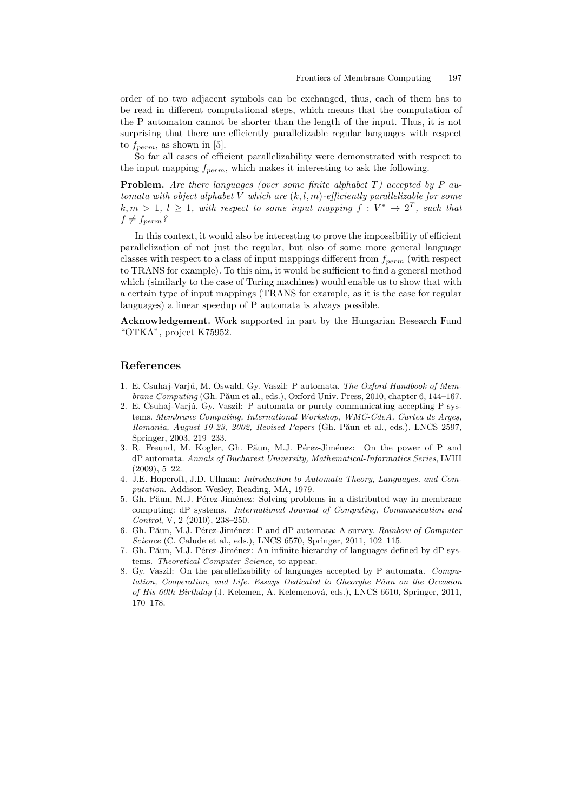order of no two adjacent symbols can be exchanged, thus, each of them has to be read in different computational steps, which means that the computation of the P automaton cannot be shorter than the length of the input. Thus, it is not surprising that there are efficiently parallelizable regular languages with respect to *fperm*, as shown in [5].

So far all cases of efficient parallelizability were demonstrated with respect to the input mapping *fperm*, which makes it interesting to ask the following.

**Problem.** *Are there languages (over some finite alphabet T) accepted by P automata with object alphabet V which are* (*k, l, m*)*-efficiently parallelizable for some*  $k, m > 1, l \geq 1$ , with respect to some input mapping  $f: V^* \to 2^T$ , such that  $f \neq f_{perm}$ ?

In this context, it would also be interesting to prove the impossibility of efficient parallelization of not just the regular, but also of some more general language classes with respect to a class of input mappings different from *fperm* (with respect to TRANS for example). To this aim, it would be sufficient to find a general method which (similarly to the case of Turing machines) would enable us to show that with a certain type of input mappings (TRANS for example, as it is the case for regular languages) a linear speedup of P automata is always possible.

**Acknowledgement.** Work supported in part by the Hungarian Research Fund "OTKA", project K75952.

- 1. E. Csuhaj-Varj´u, M. Oswald, Gy. Vaszil: P automata. *The Oxford Handbook of Membrane Computing* (Gh. Păun et al., eds.), Oxford Univ. Press, 2010, chapter 6, 144–167.
- 2. E. Csuhaj-Varjú, Gy. Vaszil: P automata or purely communicating accepting P systems. *Membrane Computing, International Workshop, WMC-CdeA, Curtea de Arges, Romania, August 19-23, 2002, Revised Papers* (Gh. Păun et al., eds.), LNCS 2597, Springer, 2003, 219–233.
- 3. R. Freund, M. Kogler, Gh. Păun, M.J. Pérez-Jiménez: On the power of P and dP automata. *Annals of Bucharest University, Mathematical-Informatics Series*, LVIII (2009), 5–22.
- 4. J.E. Hopcroft, J.D. Ullman: *Introduction to Automata Theory, Languages, and Computation*. Addison-Wesley, Reading, MA, 1979.
- 5. Gh. Păun, M.J. Pérez-Jiménez: Solving problems in a distributed way in membrane computing: dP systems. *International Journal of Computing, Communication and Control*, V, 2 (2010), 238–250.
- 6. Gh. Păun, M.J. Pérez-Jiménez: P and dP automata: A survey. *Rainbow of Computer Science* (C. Calude et al., eds.), LNCS 6570, Springer, 2011, 102–115.
- 7. Gh. Păun, M.J. Pérez-Jiménez: An infinite hierarchy of languages defined by dP systems. *Theoretical Computer Science*, to appear.
- 8. Gy. Vaszil: On the parallelizability of languages accepted by P automata. *Computation, Cooperation, and Life. Essays Dedicated to Gheorghe P˘aun on the Occasion of His 60th Birthday* (J. Kelemen, A. Kelemenov´a, eds.), LNCS 6610, Springer, 2011, 170–178.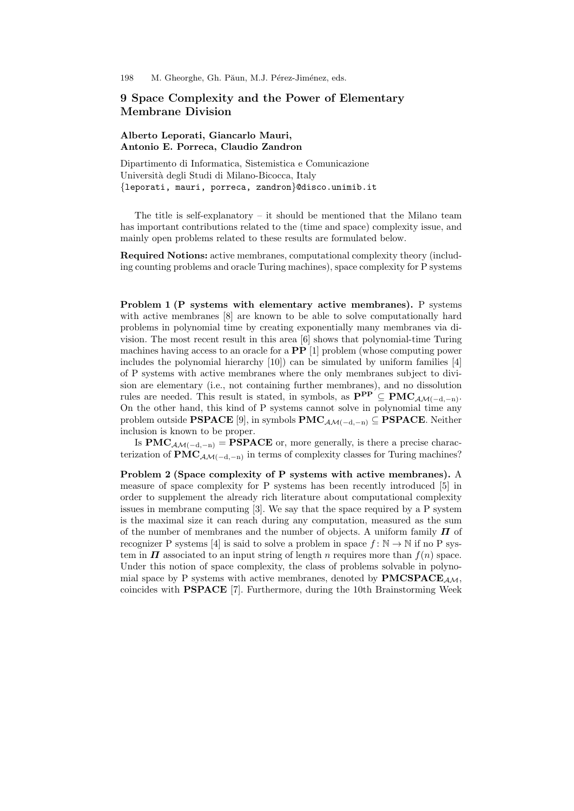# **9 Space Complexity and the Power of Elementary Membrane Division**

### **Alberto Leporati, Giancarlo Mauri, Antonio E. Porreca, Claudio Zandron**

Dipartimento di Informatica, Sistemistica e Comunicazione Universit`a degli Studi di Milano-Bicocca, Italy *{*leporati, mauri, porreca, zandron*}*@disco.unimib.it

The title is self-explanatory  $-$  it should be mentioned that the Milano team has important contributions related to the (time and space) complexity issue, and mainly open problems related to these results are formulated below.

**Required Notions:** active membranes, computational complexity theory (including counting problems and oracle Turing machines), space complexity for P systems

**Problem 1 (P systems with elementary active membranes).** P systems with active membranes [8] are known to be able to solve computationally hard problems in polynomial time by creating exponentially many membranes via division. The most recent result in this area [6] shows that polynomial-time Turing machines having access to an oracle for a **PP** [1] problem (whose computing power includes the polynomial hierarchy [10]) can be simulated by uniform families [4] of P systems with active membranes where the only membranes subject to division are elementary (i.e., not containing further membranes), and no dissolution rules are needed. This result is stated, in symbols, as  $\mathbf{P}^{\mathbf{PP}} \subseteq \mathbf{PMC}_{AM(-d,-n)}$ . On the other hand, this kind of P systems cannot solve in polynomial time any problem outside **PSPACE** [9], in symbols **PMC***AM*(*−*d*,−*n) *⊆* **PSPACE**. Neither inclusion is known to be proper.

Is  $\text{PMC}_{\mathcal{AM}(-d,-n)} = \text{PSPACE}$  or, more generally, is there a precise characterization of **PMC***AM*(*−*d*,−*n) in terms of complexity classes for Turing machines?

**Problem 2 (Space complexity of P systems with active membranes).** A measure of space complexity for P systems has been recently introduced [5] in order to supplement the already rich literature about computational complexity issues in membrane computing [3]. We say that the space required by a P system is the maximal size it can reach during any computation, measured as the sum of the number of membranes and the number of objects. A uniform family *Π* of recognizer P systems [4] is said to solve a problem in space  $f : \mathbb{N} \to \mathbb{N}$  if no P system in  $\Pi$  associated to an input string of length *n* requires more than  $f(n)$  space. Under this notion of space complexity, the class of problems solvable in polynomial space by P systems with active membranes, denoted by  $\mathbf{PMCSPACE}_{AM}$ , coincides with **PSPACE** [7]. Furthermore, during the 10th Brainstorming Week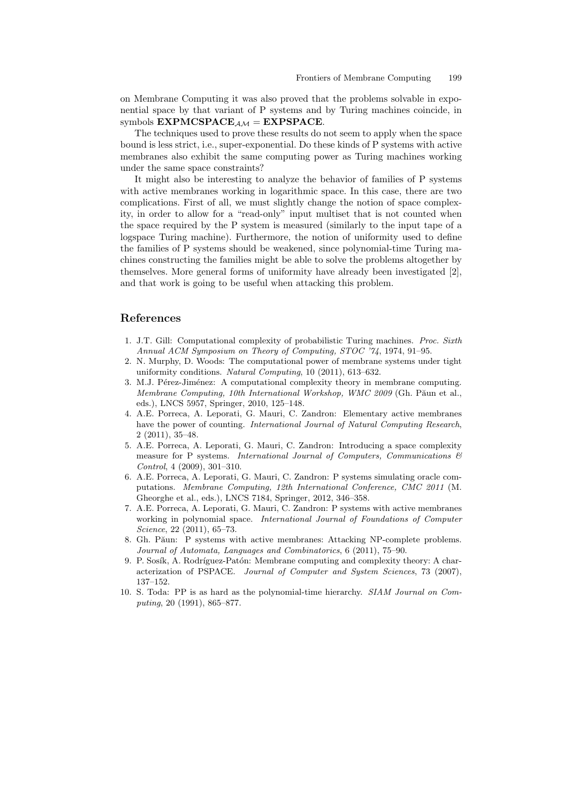on Membrane Computing it was also proved that the problems solvable in exponential space by that variant of P systems and by Turing machines coincide, in symbols **EXPMCSPACE***AM* = **EXPSPACE**.

The techniques used to prove these results do not seem to apply when the space bound is less strict, i.e., super-exponential. Do these kinds of P systems with active membranes also exhibit the same computing power as Turing machines working under the same space constraints?

It might also be interesting to analyze the behavior of families of P systems with active membranes working in logarithmic space. In this case, there are two complications. First of all, we must slightly change the notion of space complexity, in order to allow for a "read-only" input multiset that is not counted when the space required by the P system is measured (similarly to the input tape of a logspace Turing machine). Furthermore, the notion of uniformity used to define the families of P systems should be weakened, since polynomial-time Turing machines constructing the families might be able to solve the problems altogether by themselves. More general forms of uniformity have already been investigated [2], and that work is going to be useful when attacking this problem.

- 1. J.T. Gill: Computational complexity of probabilistic Turing machines. *Proc. Sixth Annual ACM Symposium on Theory of Computing, STOC '74*, 1974, 91–95.
- 2. N. Murphy, D. Woods: The computational power of membrane systems under tight uniformity conditions. *Natural Computing*, 10 (2011), 613–632.
- 3. M.J. Pérez-Jiménez: A computational complexity theory in membrane computing. *Membrane Computing, 10th International Workshop, WMC 2009* (Gh. Păun et al., eds.), LNCS 5957, Springer, 2010, 125–148.
- 4. A.E. Porreca, A. Leporati, G. Mauri, C. Zandron: Elementary active membranes have the power of counting. *International Journal of Natural Computing Research*, 2 (2011), 35–48.
- 5. A.E. Porreca, A. Leporati, G. Mauri, C. Zandron: Introducing a space complexity measure for P systems. *International Journal of Computers, Communications & Control*, 4 (2009), 301–310.
- 6. A.E. Porreca, A. Leporati, G. Mauri, C. Zandron: P systems simulating oracle computations. *Membrane Computing, 12th International Conference, CMC 2011* (M. Gheorghe et al., eds.), LNCS 7184, Springer, 2012, 346–358.
- 7. A.E. Porreca, A. Leporati, G. Mauri, C. Zandron: P systems with active membranes working in polynomial space. *International Journal of Foundations of Computer Science*, 22 (2011), 65–73.
- 8. Gh. Păun: P systems with active membranes: Attacking NP-complete problems. *Journal of Automata, Languages and Combinatorics*, 6 (2011), 75–90.
- 9. P. Sosík, A. Rodríguez-Patón: Membrane computing and complexity theory: A characterization of PSPACE. *Journal of Computer and System Sciences*, 73 (2007), 137–152.
- 10. S. Toda: PP is as hard as the polynomial-time hierarchy. *SIAM Journal on Computing*, 20 (1991), 865–877.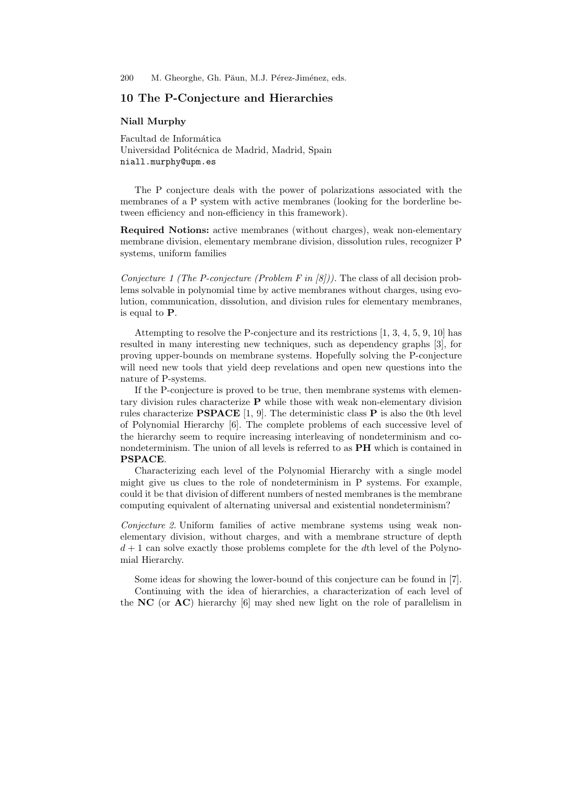# **10 The P-Conjecture and Hierarchies**

### **Niall Murphy**

Facultad de Informática Universidad Politécnica de Madrid, Madrid, Spain niall.murphy@upm.es

The P conjecture deals with the power of polarizations associated with the membranes of a P system with active membranes (looking for the borderline between efficiency and non-efficiency in this framework).

**Required Notions:** active membranes (without charges), weak non-elementary membrane division, elementary membrane division, dissolution rules, recognizer P systems, uniform families

*Conjecture 1 (The P-conjecture (Problem F in [8])).* The class of all decision problems solvable in polynomial time by active membranes without charges, using evolution, communication, dissolution, and division rules for elementary membranes, is equal to **P**.

Attempting to resolve the P-conjecture and its restrictions [1, 3, 4, 5, 9, 10] has resulted in many interesting new techniques, such as dependency graphs [3], for proving upper-bounds on membrane systems. Hopefully solving the P-conjecture will need new tools that yield deep revelations and open new questions into the nature of P-systems.

If the P-conjecture is proved to be true, then membrane systems with elementary division rules characterize **P** while those with weak non-elementary division rules characterize **PSPACE** [1, 9]. The deterministic class **P** is also the 0th level of Polynomial Hierarchy [6]. The complete problems of each successive level of the hierarchy seem to require increasing interleaving of nondeterminism and conondeterminism. The union of all levels is referred to as **PH** which is contained in **PSPACE**.

Characterizing each level of the Polynomial Hierarchy with a single model might give us clues to the role of nondeterminism in P systems. For example, could it be that division of different numbers of nested membranes is the membrane computing equivalent of alternating universal and existential nondeterminism?

*Conjecture 2.* Uniform families of active membrane systems using weak nonelementary division, without charges, and with a membrane structure of depth *d* + 1 can solve exactly those problems complete for the *d*th level of the Polynomial Hierarchy.

Some ideas for showing the lower-bound of this conjecture can be found in [7]. Continuing with the idea of hierarchies, a characterization of each level of the **NC** (or **AC**) hierarchy [6] may shed new light on the role of parallelism in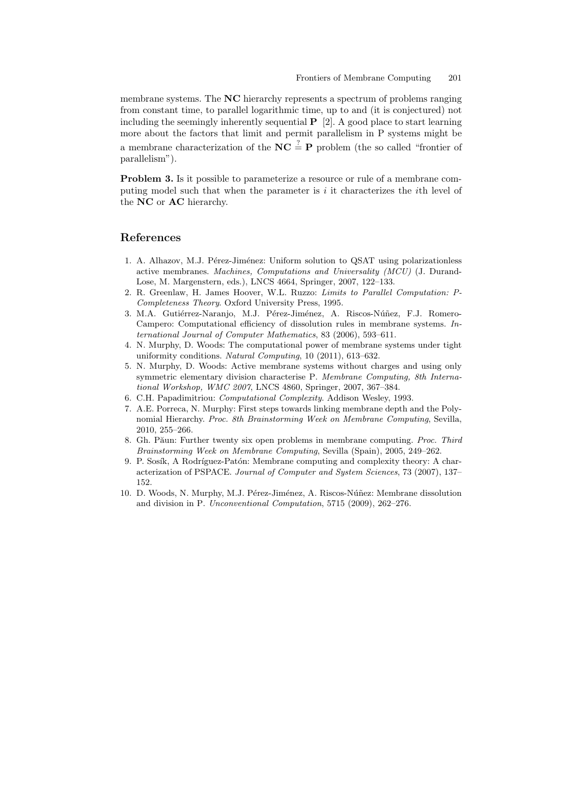membrane systems. The **NC** hierarchy represents a spectrum of problems ranging from constant time, to parallel logarithmic time, up to and (it is conjectured) not including the seemingly inherently sequential  $P$  [2]. A good place to start learning more about the factors that limit and permit parallelism in P systems might be a membrane characterization of the  $NC \stackrel{?}{=} P$  problem (the so called "frontier of parallelism").

**Problem 3.** Is it possible to parameterize a resource or rule of a membrane computing model such that when the parameter is *i* it characterizes the *i*th level of the **NC** or **AC** hierarchy.

- 1. A. Alhazov, M.J. Pérez-Jiménez: Uniform solution to QSAT using polarizationless active membranes. *Machines, Computations and Universality (MCU)* (J. Durand-Lose, M. Margenstern, eds.), LNCS 4664, Springer, 2007, 122–133.
- 2. R. Greenlaw, H. James Hoover, W.L. Ruzzo: *Limits to Parallel Computation: P-Completeness Theory*. Oxford University Press, 1995.
- 3. M.A. Gutiérrez-Naranjo, M.J. Pérez-Jiménez, A. Riscos-Núñez, F.J. Romero-Campero: Computational efficiency of dissolution rules in membrane systems. *International Journal of Computer Mathematics*, 83 (2006), 593–611.
- 4. N. Murphy, D. Woods: The computational power of membrane systems under tight uniformity conditions. *Natural Computing*, 10 (2011), 613–632.
- 5. N. Murphy, D. Woods: Active membrane systems without charges and using only symmetric elementary division characterise P. *Membrane Computing, 8th International Workshop, WMC 2007*, LNCS 4860, Springer, 2007, 367–384.
- 6. C.H. Papadimitriou: *Computational Complexity*. Addison Wesley, 1993.
- 7. A.E. Porreca, N. Murphy: First steps towards linking membrane depth and the Polynomial Hierarchy. *Proc. 8th Brainstorming Week on Membrane Computing*, Sevilla, 2010, 255–266.
- 8. Gh. Păun: Further twenty six open problems in membrane computing. *Proc. Third Brainstorming Week on Membrane Computing*, Sevilla (Spain), 2005, 249–262.
- 9. P. Sosík, A Rodríguez-Patón: Membrane computing and complexity theory: A characterization of PSPACE. *Journal of Computer and System Sciences*, 73 (2007), 137– 152.
- 10. D. Woods, N. Murphy, M.J. Pérez-Jiménez, A. Riscos-Núñez: Membrane dissolution and division in P. *Unconventional Computation*, 5715 (2009), 262–276.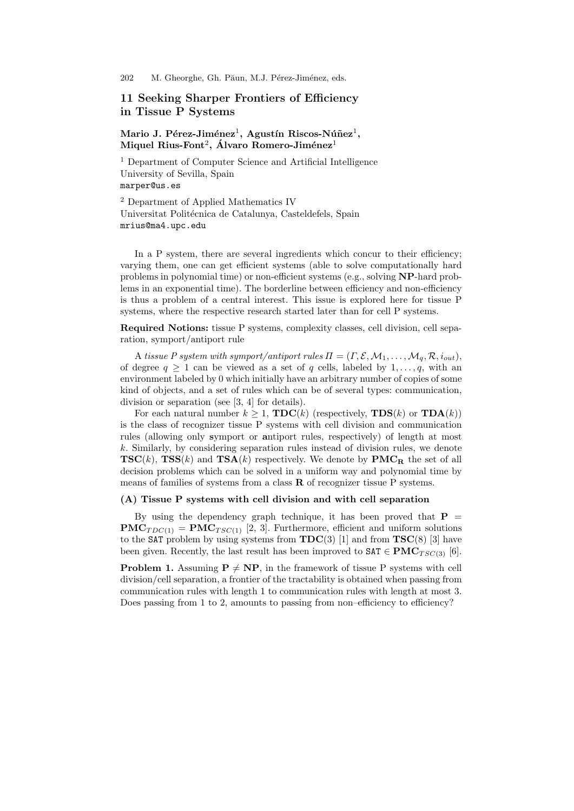# **11 Seeking Sharper Frontiers of Efficiency in Tissue P Systems**

# $\operatorname{Mario}\,$  J. Pérez-Jiménez<sup>1</sup>, Agustín Riscos-Núñez<sup>1</sup>,  $\mathbf{M}$ iquel Rius-Font $^2$ , Álvaro Romero-Jiménez $^1$

<sup>1</sup> Department of Computer Science and Artificial Intelligence University of Sevilla, Spain marper@us.es

<sup>2</sup> Department of Applied Mathematics IV Universitat Politécnica de Catalunya, Casteldefels, Spain mrius@ma4.upc.edu

In a P system, there are several ingredients which concur to their efficiency; varying them, one can get efficient systems (able to solve computationally hard problems in polynomial time) or non-efficient systems (e.g., solving **NP**-hard problems in an exponential time). The borderline between efficiency and non-efficiency is thus a problem of a central interest. This issue is explored here for tissue P systems, where the respective research started later than for cell P systems.

**Required Notions:** tissue P systems, complexity classes, cell division, cell separation, symport/antiport rule

A *tissue P system with symport/antiport rules*  $\Pi = (\Gamma, \mathcal{E}, \mathcal{M}_1, \dots, \mathcal{M}_q, \mathcal{R}, i_{out}),$ of degree  $q \geq 1$  can be viewed as a set of q cells, labeled by  $1, \ldots, q$ , with an environment labeled by 0 which initially have an arbitrary number of copies of some kind of objects, and a set of rules which can be of several types: communication, division or separation (see [3, 4] for details).

For each natural number  $k \geq 1$ , **TDC**(*k*) (respectively, **TDS**(*k*) or **TDA**(*k*)) is the class of recognizer tissue P systems with cell division and communication rules (allowing only **s**ymport or **a**ntiport rules, respectively) of length at most *k*. Similarly, by considering separation rules instead of division rules, we denote **TSC**(*k*), **TSS**(*k*) and **TSA**(*k*) respectively. We denote by  $\textbf{PMC}_{\textbf{R}}$  the set of all decision problems which can be solved in a uniform way and polynomial time by means of families of systems from a class **R** of recognizer tissue P systems.

### **(A) Tissue P systems with cell division and with cell separation**

By using the dependency graph technique, it has been proved that  $P =$  $\text{PMC}_{TDC(1)} = \text{PMC}_{TSC(1)}$  [2, 3]. Furthermore, efficient and uniform solutions to the SAT problem by using systems from **TDC**(3) [1] and from **TSC**(8) [3] have been given. Recently, the last result has been improved to  $SAT \in PMC_{TSC(3)}$  [6].

**Problem 1.** Assuming  $P \neq NP$ , in the framework of tissue P systems with cell division/cell separation, a frontier of the tractability is obtained when passing from communication rules with length 1 to communication rules with length at most 3. Does passing from 1 to 2, amounts to passing from non–efficiency to efficiency?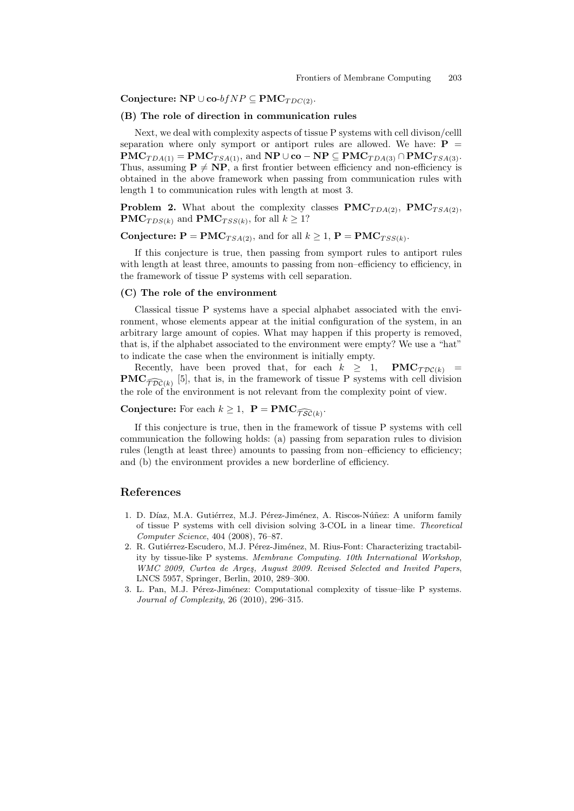$\textbf{Conjecture: NP} ∪ \textbf{co-}bfNP ⊆ \textbf{PMC}_{TDC(2)}.$ 

#### **(B) The role of direction in communication rules**

Next, we deal with complexity aspects of tissue P systems with cell divison/celll separation where only symport or antiport rules are allowed. We have:  $P =$  $\textbf{PMC}_{TDA(1)} = \textbf{PMC}_{TSA(1)}$ , and  $\textbf{NP} \cup \textbf{co} - \textbf{NP} \subseteq \textbf{PMC}_{TDA(3)} \cap \textbf{PMC}_{TSA(3)}$ . Thus, assuming  $P \neq NP$ , a first frontier between efficiency and non-efficiency is obtained in the above framework when passing from communication rules with length 1 to communication rules with length at most 3.

**Problem 2.** What about the complexity classes  $\text{PMC}_{TDA(2)}$ ,  $\text{PMC}_{TSA(2)}$ ,  $\textbf{PMC}_{TDS(k)}$  and  $\textbf{PMC}_{TSS(k)}$ , for all  $k \geq 1$ ?

**Conjecture:**  $P = PMC_{TSA(2)}$ , and for all  $k \geq 1$ ,  $P = PMC_{TSS(k)}$ .

If this conjecture is true, then passing from symport rules to antiport rules with length at least three, amounts to passing from non–efficiency to efficiency, in the framework of tissue P systems with cell separation.

#### **(C) The role of the environment**

Classical tissue P systems have a special alphabet associated with the environment, whose elements appear at the initial configuration of the system, in an arbitrary large amount of copies. What may happen if this property is removed, that is, if the alphabet associated to the environment were empty? We use a "hat" to indicate the case when the environment is initially empty.

Recently, have been proved that, for each  $k \geq 1$ ,  $\text{PMC}_{\text{TDC}(k)}$  = **PMC** $\widehat{\tau}_{\widehat{\mathcal{DC}}(k)}$  [5], that is, in the framework of tissue P systems with cell division the role of the environment is not relevant from the complexity point of view.

**Conjecture:** For each  $k \geq 1$ ,  $\mathbf{P} = \mathbf{PMC}_{\widehat{\mathcal{TSC}}(k)}$ .

If this conjecture is true, then in the framework of tissue P systems with cell communication the following holds: (a) passing from separation rules to division rules (length at least three) amounts to passing from non–efficiency to efficiency; and (b) the environment provides a new borderline of efficiency.

- 1. D. Díaz, M.A. Gutiérrez, M.J. Pérez-Jiménez, A. Riscos-Núñez: A uniform family of tissue P systems with cell division solving 3-COL in a linear time. *Theoretical Computer Science*, 404 (2008), 76–87.
- 2. R. Gutiérrez-Escudero, M.J. Pérez-Jiménez, M. Rius-Font: Characterizing tractability by tissue-like P systems. *Membrane Computing. 10th International Workshop, WMC 2009, Curtea de Arge¸s, August 2009. Revised Selected and Invited Papers*, LNCS 5957, Springer, Berlin, 2010, 289–300.
- 3. L. Pan, M.J. Pérez-Jiménez: Computational complexity of tissue–like P systems. *Journal of Complexity*, 26 (2010), 296–315.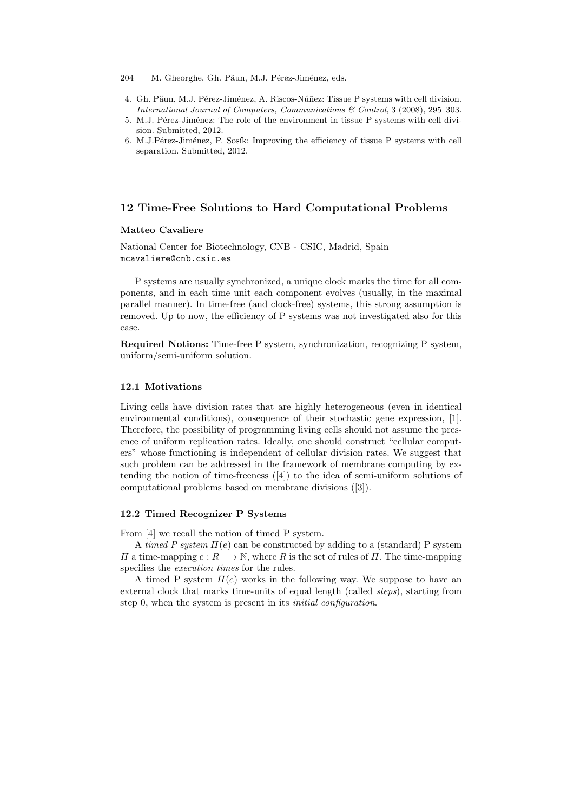- 204 M. Gheorghe, Gh. Păun, M.J. Pérez-Jiménez, eds.
- 4. Gh. Păun, M.J. Pérez-Jiménez, A. Riscos-Núñez: Tissue P systems with cell division. *International Journal of Computers, Communications & Control*, 3 (2008), 295–303.
- 5. M.J. Pérez-Jiménez: The role of the environment in tissue P systems with cell division. Submitted, 2012.
- 6. M.J.Pérez-Jiménez, P. Sosík: Improving the efficiency of tissue P systems with cell separation. Submitted, 2012.

# **12 Time-Free Solutions to Hard Computational Problems**

# **Matteo Cavaliere**

National Center for Biotechnology, CNB - CSIC, Madrid, Spain mcavaliere@cnb.csic.es

P systems are usually synchronized, a unique clock marks the time for all components, and in each time unit each component evolves (usually, in the maximal parallel manner). In time-free (and clock-free) systems, this strong assumption is removed. Up to now, the efficiency of P systems was not investigated also for this case.

**Required Notions:** Time-free P system, synchronization, recognizing P system, uniform/semi-uniform solution.

### **12.1 Motivations**

Living cells have division rates that are highly heterogeneous (even in identical environmental conditions), consequence of their stochastic gene expression, [1]. Therefore, the possibility of programming living cells should not assume the presence of uniform replication rates. Ideally, one should construct "cellular computers" whose functioning is independent of cellular division rates. We suggest that such problem can be addressed in the framework of membrane computing by extending the notion of time-freeness ([4]) to the idea of semi-uniform solutions of computational problems based on membrane divisions ([3]).

# **12.2 Timed Recognizer P Systems**

From [4] we recall the notion of timed P system.

A *timed P system*  $\Pi(e)$  can be constructed by adding to a (standard) P system *Π* a time-mapping  $e: R \longrightarrow \mathbb{N}$ , where *R* is the set of rules of *Π*. The time-mapping specifies the *execution times* for the rules.

A timed P system *Π*(*e*) works in the following way. We suppose to have an external clock that marks time-units of equal length (called *steps*), starting from step 0, when the system is present in its *initial configuration*.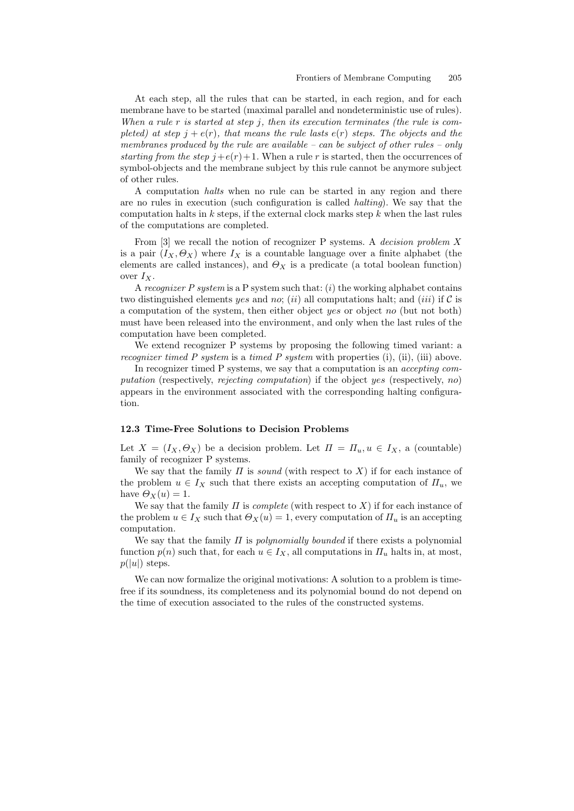At each step, all the rules that can be started, in each region, and for each membrane have to be started (maximal parallel and nondeterministic use of rules). *When a rule r is started at step j, then its execution terminates (the rule is completed)* at step  $j + e(r)$ , that means the rule lasts  $e(r)$  steps. The objects and the *membranes produced by the rule are available – can be subject of other rules – only starting from the step*  $j + e(r) + 1$ . When a rule *r* is started, then the occurrences of symbol-objects and the membrane subject by this rule cannot be anymore subject of other rules.

A computation *halts* when no rule can be started in any region and there are no rules in execution (such configuration is called *halting*). We say that the computation halts in *k* steps, if the external clock marks step *k* when the last rules of the computations are completed.

From [3] we recall the notion of recognizer P systems. A *decision problem X* is a pair  $(I_X, \Theta_X)$  where  $I_X$  is a countable language over a finite alphabet (the elements are called instances), and  $\Theta_X$  is a predicate (a total boolean function) over  $I_X$ .

A *recognizer P system* is a P system such that: (*i*) the working alphabet contains two distinguished elements *yes* and *no*; (*ii*) all computations halt; and (*iii*) if *C* is a computation of the system, then either object *yes* or object *no* (but not both) must have been released into the environment, and only when the last rules of the computation have been completed.

We extend recognizer P systems by proposing the following timed variant: a *recognizer timed P system* is a *timed P system* with properties (i), (ii), (iii) above.

In recognizer timed P systems, we say that a computation is an *accepting computation* (respectively, *rejecting computation*) if the object *yes* (respectively, *no*) appears in the environment associated with the corresponding halting configuration.

#### **12.3 Time-Free Solutions to Decision Problems**

Let  $X = (I_X, \Theta_X)$  be a decision problem. Let  $\Pi = \Pi_u, u \in I_X$ , a (countable) family of recognizer P systems.

We say that the family *Π* is *sound* (with respect to *X*) if for each instance of the problem  $u \in I_X$  such that there exists an accepting computation of  $\Pi_u$ , we have  $\Theta_X(u) = 1$ .

We say that the family *Π* is *complete* (with respect to *X*) if for each instance of the problem  $u \in I_X$  such that  $\Theta_X(u) = 1$ , every computation of  $\Pi_u$  is an accepting computation.

We say that the family *Π* is *polynomially bounded* if there exists a polynomial function  $p(n)$  such that, for each  $u \in I_X$ , all computations in  $\Pi_u$  halts in, at most,  $p(|u|)$  steps.

We can now formalize the original motivations: A solution to a problem is timefree if its soundness, its completeness and its polynomial bound do not depend on the time of execution associated to the rules of the constructed systems.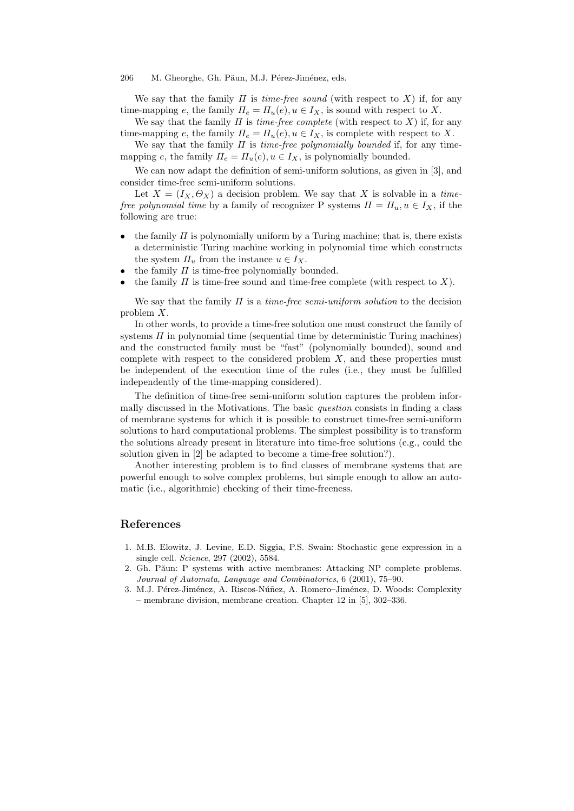We say that the family  $\Pi$  is *time-free sound* (with respect to  $X$ ) if, for any time-mapping *e*, the family  $\Pi_e = \Pi_u(e), u \in I_X$ , is sound with respect to X.

We say that the family  $\Pi$  is *time-free complete* (with respect to  $X$ ) if, for any time-mapping *e*, the family  $\Pi_e = \Pi_u(e), u \in I_X$ , is complete with respect to *X*.

We say that the family *Π* is *time-free polynomially bounded* if, for any timemapping *e*, the family  $\Pi_e = \Pi_u(e), u \in I_X$ , is polynomially bounded.

We can now adapt the definition of semi-uniform solutions, as given in [3], and consider time-free semi-uniform solutions.

Let  $X = (I_X, \Theta_X)$  a decision problem. We say that X is solvable in a *timefree polynomial time* by a family of recognizer P systems  $\Pi = \Pi_u, u \in I_X$ , if the following are true:

- *•* the family *Π* is polynomially uniform by a Turing machine; that is, there exists a deterministic Turing machine working in polynomial time which constructs the system  $\Pi_u$  from the instance  $u \in I_X$ .
- the family  $\Pi$  is time-free polynomially bounded.
- the family  $\Pi$  is time-free sound and time-free complete (with respect to  $X$ ).

We say that the family *Π* is a *time-free semi-uniform solution* to the decision problem *X*.

In other words, to provide a time-free solution one must construct the family of systems  $\Pi$  in polynomial time (sequential time by deterministic Turing machines) and the constructed family must be "fast" (polynomially bounded), sound and complete with respect to the considered problem *X*, and these properties must be independent of the execution time of the rules (i.e., they must be fulfilled independently of the time-mapping considered).

The definition of time-free semi-uniform solution captures the problem informally discussed in the Motivations. The basic *question* consists in finding a class of membrane systems for which it is possible to construct time-free semi-uniform solutions to hard computational problems. The simplest possibility is to transform the solutions already present in literature into time-free solutions (e.g., could the solution given in [2] be adapted to become a time-free solution?).

Another interesting problem is to find classes of membrane systems that are powerful enough to solve complex problems, but simple enough to allow an automatic (i.e., algorithmic) checking of their time-freeness.

- 1. M.B. Elowitz, J. Levine, E.D. Siggia, P.S. Swain: Stochastic gene expression in a single cell. *Science*, 297 (2002), 5584.
- 2. Gh. Păun: P systems with active membranes: Attacking NP complete problems. *Journal of Automata, Language and Combinatorics*, 6 (2001), 75–90.
- 3. M.J. Pérez-Jiménez, A. Riscos-Núñez, A. Romero–Jiménez, D. Woods: Complexity – membrane division, membrane creation. Chapter 12 in [5], 302–336.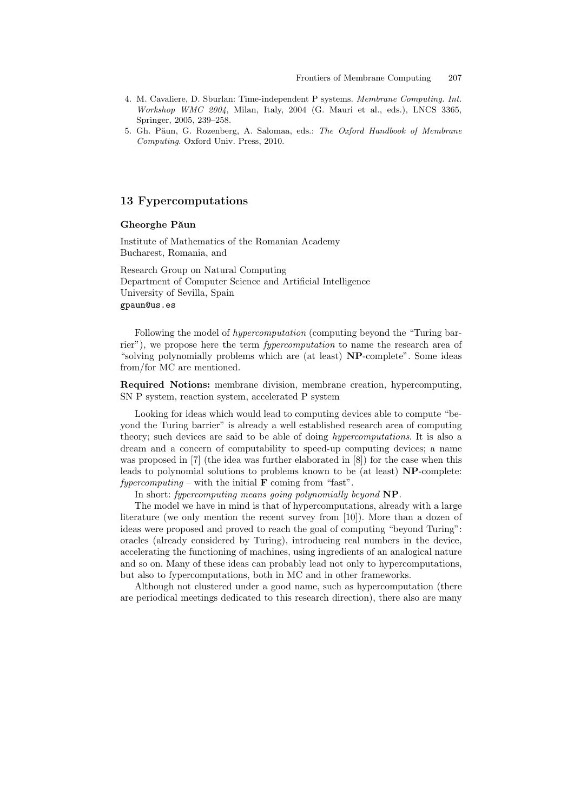- 4. M. Cavaliere, D. Sburlan: Time-independent P systems. *Membrane Computing. Int. Workshop WMC 2004*, Milan, Italy, 2004 (G. Mauri et al., eds.), LNCS 3365, Springer, 2005, 239–258.
- 5. Gh. Păun, G. Rozenberg, A. Salomaa, eds.: *The Oxford Handbook of Membrane Computing*. Oxford Univ. Press, 2010.

## **13 Fypercomputations**

### **Gheorghe Păun**

Institute of Mathematics of the Romanian Academy Bucharest, Romania, and

Research Group on Natural Computing Department of Computer Science and Artificial Intelligence University of Sevilla, Spain gpaun@us.es

Following the model of *hypercomputation* (computing beyond the "Turing barrier"), we propose here the term *fypercomputation* to name the research area of "solving polynomially problems which are (at least) **NP**-complete". Some ideas from/for MC are mentioned.

**Required Notions:** membrane division, membrane creation, hypercomputing, SN P system, reaction system, accelerated P system

Looking for ideas which would lead to computing devices able to compute "beyond the Turing barrier" is already a well established research area of computing theory; such devices are said to be able of doing *hypercomputations*. It is also a dream and a concern of computability to speed-up computing devices; a name was proposed in [7] (the idea was further elaborated in [8]) for the case when this leads to polynomial solutions to problems known to be (at least) **NP**-complete: *fypercomputing* – with the initial **F** coming from "fast".

In short: *fypercomputing means going polynomially beyond* **NP**.

The model we have in mind is that of hypercomputations, already with a large literature (we only mention the recent survey from [10]). More than a dozen of ideas were proposed and proved to reach the goal of computing "beyond Turing": oracles (already considered by Turing), introducing real numbers in the device, accelerating the functioning of machines, using ingredients of an analogical nature and so on. Many of these ideas can probably lead not only to hypercomputations, but also to fypercomputations, both in MC and in other frameworks.

Although not clustered under a good name, such as hypercomputation (there are periodical meetings dedicated to this research direction), there also are many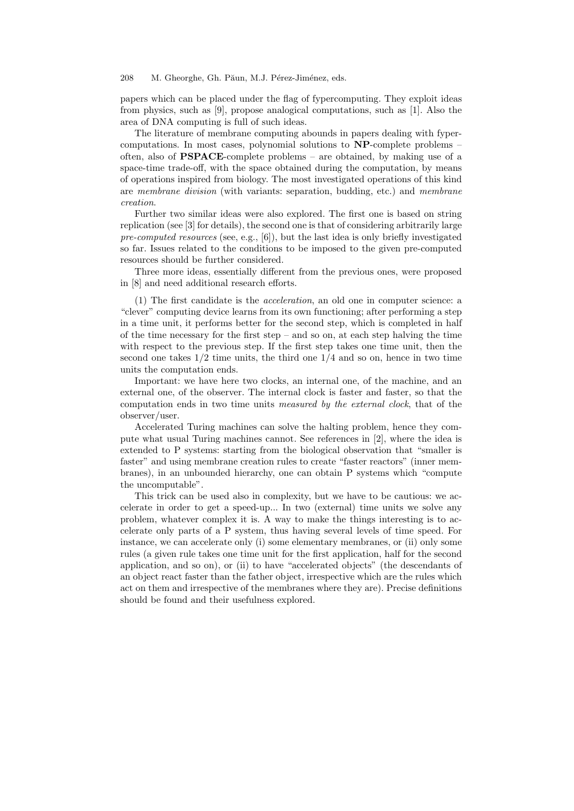papers which can be placed under the flag of fypercomputing. They exploit ideas from physics, such as [9], propose analogical computations, such as [1]. Also the area of DNA computing is full of such ideas.

The literature of membrane computing abounds in papers dealing with fypercomputations. In most cases, polynomial solutions to **NP**-complete problems – often, also of **PSPACE**-complete problems – are obtained, by making use of a space-time trade-off, with the space obtained during the computation, by means of operations inspired from biology. The most investigated operations of this kind are *membrane division* (with variants: separation, budding, etc.) and *membrane creation*.

Further two similar ideas were also explored. The first one is based on string replication (see [3] for details), the second one is that of considering arbitrarily large *pre-computed resources* (see, e.g., [6]), but the last idea is only briefly investigated so far. Issues related to the conditions to be imposed to the given pre-computed resources should be further considered.

Three more ideas, essentially different from the previous ones, were proposed in [8] and need additional research efforts.

(1) The first candidate is the *acceleration*, an old one in computer science: a "clever" computing device learns from its own functioning; after performing a step in a time unit, it performs better for the second step, which is completed in half of the time necessary for the first step – and so on, at each step halving the time with respect to the previous step. If the first step takes one time unit, then the second one takes  $1/2$  time units, the third one  $1/4$  and so on, hence in two time units the computation ends.

Important: we have here two clocks, an internal one, of the machine, and an external one, of the observer. The internal clock is faster and faster, so that the computation ends in two time units *measured by the external clock*, that of the observer/user.

Accelerated Turing machines can solve the halting problem, hence they compute what usual Turing machines cannot. See references in [2], where the idea is extended to P systems: starting from the biological observation that "smaller is faster" and using membrane creation rules to create "faster reactors" (inner membranes), in an unbounded hierarchy, one can obtain P systems which "compute the uncomputable".

This trick can be used also in complexity, but we have to be cautious: we accelerate in order to get a speed-up... In two (external) time units we solve any problem, whatever complex it is. A way to make the things interesting is to accelerate only parts of a P system, thus having several levels of time speed. For instance, we can accelerate only (i) some elementary membranes, or (ii) only some rules (a given rule takes one time unit for the first application, half for the second application, and so on), or (ii) to have "accelerated objects" (the descendants of an object react faster than the father object, irrespective which are the rules which act on them and irrespective of the membranes where they are). Precise definitions should be found and their usefulness explored.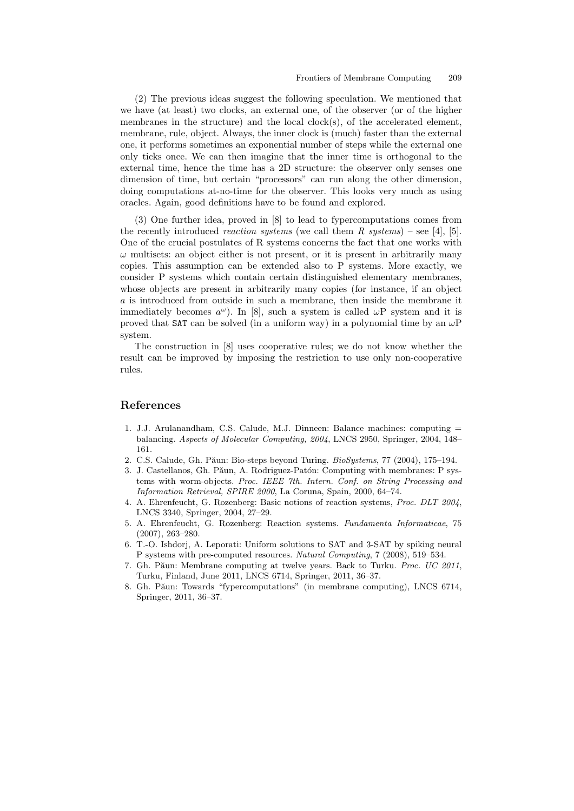(2) The previous ideas suggest the following speculation. We mentioned that we have (at least) two clocks, an external one, of the observer (or of the higher membranes in the structure) and the local clock(s), of the accelerated element, membrane, rule, object. Always, the inner clock is (much) faster than the external one, it performs sometimes an exponential number of steps while the external one only ticks once. We can then imagine that the inner time is orthogonal to the external time, hence the time has a 2D structure: the observer only senses one dimension of time, but certain "processors" can run along the other dimension, doing computations at-no-time for the observer. This looks very much as using oracles. Again, good definitions have to be found and explored.

(3) One further idea, proved in [8] to lead to fypercomputations comes from the recently introduced *reaction systems* (we call them *R systems*) – see [4], [5]. One of the crucial postulates of R systems concerns the fact that one works with *ω* multisets: an object either is not present, or it is present in arbitrarily many copies. This assumption can be extended also to P systems. More exactly, we consider P systems which contain certain distinguished elementary membranes, whose objects are present in arbitrarily many copies (for instance, if an object *a* is introduced from outside in such a membrane, then inside the membrane it immediately becomes  $a^{\omega}$ ). In [8], such a system is called  $\omega P$  system and it is proved that SAT can be solved (in a uniform way) in a polynomial time by an *ω*P system.

The construction in [8] uses cooperative rules; we do not know whether the result can be improved by imposing the restriction to use only non-cooperative rules.

- 1. J.J. Arulanandham, C.S. Calude, M.J. Dinneen: Balance machines: computing = balancing. *Aspects of Molecular Computing, 2004*, LNCS 2950, Springer, 2004, 148– 161.
- 2. C.S. Calude, Gh. Păun: Bio-steps beyond Turing. *BioSystems*, 77 (2004), 175–194.
- 3. J. Castellanos, Gh. Păun, A. Rodriguez-Patón: Computing with membranes: P systems with worm-objects. *Proc. IEEE 7th. Intern. Conf. on String Processing and Information Retrieval, SPIRE 2000*, La Coruna, Spain, 2000, 64–74.
- 4. A. Ehrenfeucht, G. Rozenberg: Basic notions of reaction systems, *Proc. DLT 2004*, LNCS 3340, Springer, 2004, 27–29.
- 5. A. Ehrenfeucht, G. Rozenberg: Reaction systems. *Fundamenta Informaticae*, 75 (2007), 263–280.
- 6. T.-O. Ishdorj, A. Leporati: Uniform solutions to SAT and 3-SAT by spiking neural P systems with pre-computed resources. *Natural Computing*, 7 (2008), 519–534.
- 7. Gh. Păun: Membrane computing at twelve years. Back to Turku. *Proc. UC 2011*, Turku, Finland, June 2011, LNCS 6714, Springer, 2011, 36–37.
- 8. Gh. Păun: Towards "fypercomputations" (in membrane computing), LNCS 6714, Springer, 2011, 36–37.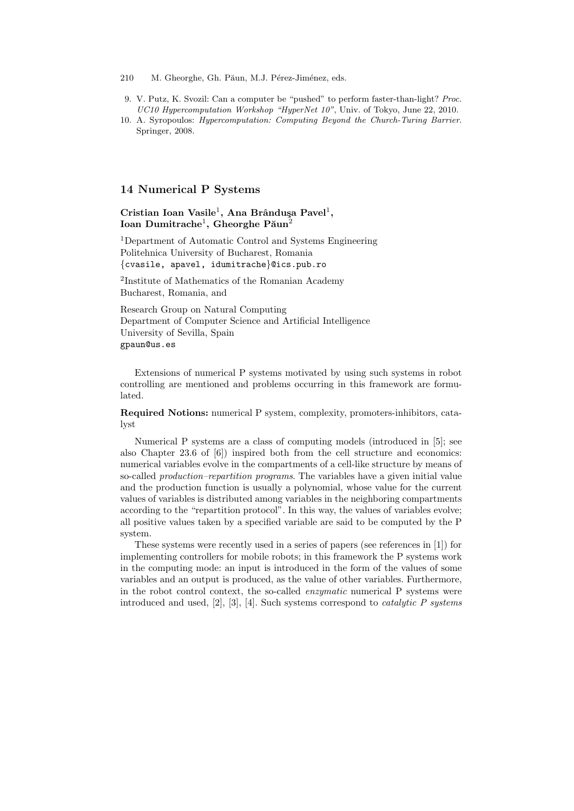- 210 M. Gheorghe, Gh. Păun, M.J. Pérez-Jiménez, eds.
- 9. V. Putz, K. Svozil: Can a computer be "pushed" to perform faster-than-light? *Proc. UC10 Hypercomputation Workshop "HyperNet 10"*, Univ. of Tokyo, June 22, 2010.
- 10. A. Syropoulos: *Hypercomputation: Computing Beyond the Church-Turing Barrier*. Springer, 2008.

## **14 Numerical P Systems**

## Cristian Ioan Vasile<sup>1</sup>, Ana Brânduşa Pavel<sup>1</sup>,  $\emph{\textbf{Ioan Dumitrache}}^1,$   $\emph{\textbf{Gheorghe Păun}}^2$

<sup>1</sup>Department of Automatic Control and Systems Engineering Politehnica University of Bucharest, Romania *{*cvasile, apavel, idumitrache*}*@ics.pub.ro

2 Institute of Mathematics of the Romanian Academy Bucharest, Romania, and

Research Group on Natural Computing Department of Computer Science and Artificial Intelligence University of Sevilla, Spain gpaun@us.es

Extensions of numerical P systems motivated by using such systems in robot controlling are mentioned and problems occurring in this framework are formulated.

**Required Notions:** numerical P system, complexity, promoters-inhibitors, catalyst

Numerical P systems are a class of computing models (introduced in [5]; see also Chapter 23.6 of [6]) inspired both from the cell structure and economics: numerical variables evolve in the compartments of a cell-like structure by means of so-called *production–repartition programs*. The variables have a given initial value and the production function is usually a polynomial, whose value for the current values of variables is distributed among variables in the neighboring compartments according to the "repartition protocol". In this way, the values of variables evolve; all positive values taken by a specified variable are said to be computed by the P system.

These systems were recently used in a series of papers (see references in [1]) for implementing controllers for mobile robots; in this framework the P systems work in the computing mode: an input is introduced in the form of the values of some variables and an output is produced, as the value of other variables. Furthermore, in the robot control context, the so-called *enzymatic* numerical P systems were introduced and used, [2], [3], [4]. Such systems correspond to *catalytic P systems*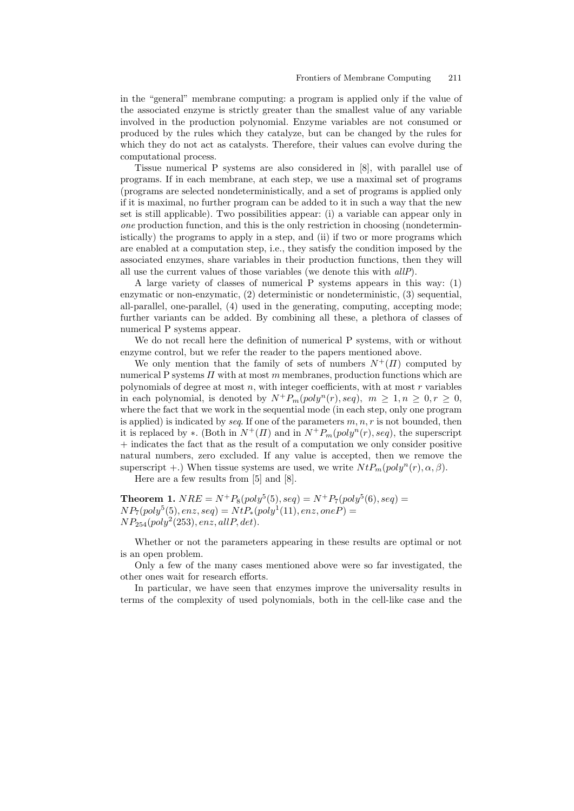in the "general" membrane computing: a program is applied only if the value of the associated enzyme is strictly greater than the smallest value of any variable involved in the production polynomial. Enzyme variables are not consumed or produced by the rules which they catalyze, but can be changed by the rules for which they do not act as catalysts. Therefore, their values can evolve during the computational process.

Tissue numerical P systems are also considered in [8], with parallel use of programs. If in each membrane, at each step, we use a maximal set of programs (programs are selected nondeterministically, and a set of programs is applied only if it is maximal, no further program can be added to it in such a way that the new set is still applicable). Two possibilities appear: (i) a variable can appear only in *one* production function, and this is the only restriction in choosing (nondeterministically) the programs to apply in a step, and (ii) if two or more programs which are enabled at a computation step, i.e., they satisfy the condition imposed by the associated enzymes, share variables in their production functions, then they will all use the current values of those variables (we denote this with *allP*).

A large variety of classes of numerical P systems appears in this way: (1) enzymatic or non-enzymatic, (2) deterministic or nondeterministic, (3) sequential, all-parallel, one-parallel, (4) used in the generating, computing, accepting mode; further variants can be added. By combining all these, a plethora of classes of numerical P systems appear.

We do not recall here the definition of numerical P systems, with or without enzyme control, but we refer the reader to the papers mentioned above.

We only mention that the family of sets of numbers  $N^+(I)$  computed by numerical P systems *Π* with at most *m* membranes, production functions which are polynomials of degree at most *n*, with integer coefficients, with at most *r* variables in each polynomial, is denoted by  $N^+P_m(poly^n(r), seq), m \geq 1, n \geq 0, r \geq 0$ , where the fact that we work in the sequential mode (in each step, only one program is applied) is indicated by *seq*. If one of the parameters *m, n, r* is not bounded, then it is replaced by  $*$ . (Both in  $N^+(I)$  and in  $N^+P_m(poly^n(r), seq)$ , the superscript + indicates the fact that as the result of a computation we only consider positive natural numbers, zero excluded. If any value is accepted, then we remove the superscript +.) When tissue systems are used, we write  $N t P_m (poly^n(r), \alpha, \beta)$ .

Here are a few results from [5] and [8].

**Theorem 1.**  $NRE = N^+P_8(poly^5(5), seq) = N^+P_7(poly^5(6), seq) =$  $NP_7(poly^5(5), enz, seq) = NtP_*(poly^1(11), enz, oneP) =$ *NP*254(*poly*<sup>2</sup> (253)*, enz, allP, det*)*.*

Whether or not the parameters appearing in these results are optimal or not is an open problem.

Only a few of the many cases mentioned above were so far investigated, the other ones wait for research efforts.

In particular, we have seen that enzymes improve the universality results in terms of the complexity of used polynomials, both in the cell-like case and the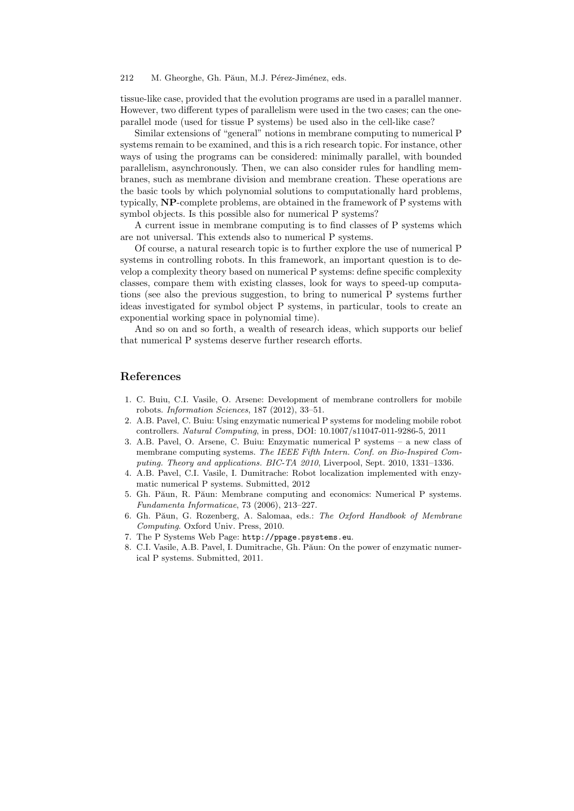tissue-like case, provided that the evolution programs are used in a parallel manner. However, two different types of parallelism were used in the two cases; can the oneparallel mode (used for tissue P systems) be used also in the cell-like case?

Similar extensions of "general" notions in membrane computing to numerical P systems remain to be examined, and this is a rich research topic. For instance, other ways of using the programs can be considered: minimally parallel, with bounded parallelism, asynchronously. Then, we can also consider rules for handling membranes, such as membrane division and membrane creation. These operations are the basic tools by which polynomial solutions to computationally hard problems, typically, **NP**-complete problems, are obtained in the framework of P systems with symbol objects. Is this possible also for numerical P systems?

A current issue in membrane computing is to find classes of P systems which are not universal. This extends also to numerical P systems.

Of course, a natural research topic is to further explore the use of numerical P systems in controlling robots. In this framework, an important question is to develop a complexity theory based on numerical P systems: define specific complexity classes, compare them with existing classes, look for ways to speed-up computations (see also the previous suggestion, to bring to numerical P systems further ideas investigated for symbol object P systems, in particular, tools to create an exponential working space in polynomial time).

And so on and so forth, a wealth of research ideas, which supports our belief that numerical P systems deserve further research efforts.

- 1. C. Buiu, C.I. Vasile, O. Arsene: Development of membrane controllers for mobile robots. *Information Sciences*, 187 (2012), 33–51.
- 2. A.B. Pavel, C. Buiu: Using enzymatic numerical P systems for modeling mobile robot controllers. *Natural Computing*, in press, DOI: 10.1007/s11047-011-9286-5, 2011
- 3. A.B. Pavel, O. Arsene, C. Buiu: Enzymatic numerical P systems a new class of membrane computing systems. *The IEEE Fifth Intern. Conf. on Bio-Inspired Computing. Theory and applications. BIC-TA 2010*, Liverpool, Sept. 2010, 1331–1336.
- 4. A.B. Pavel, C.I. Vasile, I. Dumitrache: Robot localization implemented with enzymatic numerical P systems. Submitted, 2012
- 5. Gh. Păun, R. Păun: Membrane computing and economics: Numerical P systems. *Fundamenta Informaticae*, 73 (2006), 213–227.
- 6. Gh. P˘aun, G. Rozenberg, A. Salomaa, eds.: *The Oxford Handbook of Membrane Computing*. Oxford Univ. Press, 2010.
- 7. The P Systems Web Page: http://ppage.psystems.eu.
- 8. C.I. Vasile, A.B. Pavel, I. Dumitrache, Gh. Păun: On the power of enzymatic numerical P systems. Submitted, 2011.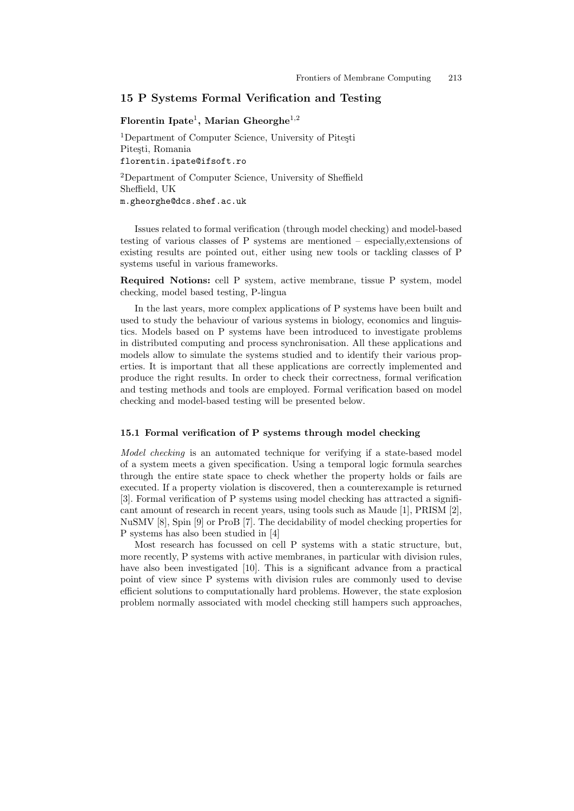## **15 P Systems Formal Verification and Testing**

## **Florentin Ipate**<sup>1</sup> **, Marian Gheorghe**<sup>1</sup>*,*<sup>2</sup>

<sup>1</sup>Department of Computer Science, University of Pitești Pitesti, Romania florentin.ipate@ifsoft.ro <sup>2</sup>Department of Computer Science, University of Sheffield

Sheffield, UK m.gheorghe@dcs.shef.ac.uk

Issues related to formal verification (through model checking) and model-based testing of various classes of P systems are mentioned – especially,extensions of existing results are pointed out, either using new tools or tackling classes of P systems useful in various frameworks.

**Required Notions:** cell P system, active membrane, tissue P system, model checking, model based testing, P-lingua

In the last years, more complex applications of P systems have been built and used to study the behaviour of various systems in biology, economics and linguistics. Models based on P systems have been introduced to investigate problems in distributed computing and process synchronisation. All these applications and models allow to simulate the systems studied and to identify their various properties. It is important that all these applications are correctly implemented and produce the right results. In order to check their correctness, formal verification and testing methods and tools are employed. Formal verification based on model checking and model-based testing will be presented below.

#### **15.1 Formal verification of P systems through model checking**

*Model checking* is an automated technique for verifying if a state-based model of a system meets a given specification. Using a temporal logic formula searches through the entire state space to check whether the property holds or fails are executed. If a property violation is discovered, then a counterexample is returned [3]. Formal verification of P systems using model checking has attracted a significant amount of research in recent years, using tools such as Maude [1], PRISM [2], NuSMV [8], Spin [9] or ProB [7]. The decidability of model checking properties for P systems has also been studied in [4]

Most research has focussed on cell P systems with a static structure, but, more recently, P systems with active membranes, in particular with division rules, have also been investigated [10]. This is a significant advance from a practical point of view since P systems with division rules are commonly used to devise efficient solutions to computationally hard problems. However, the state explosion problem normally associated with model checking still hampers such approaches,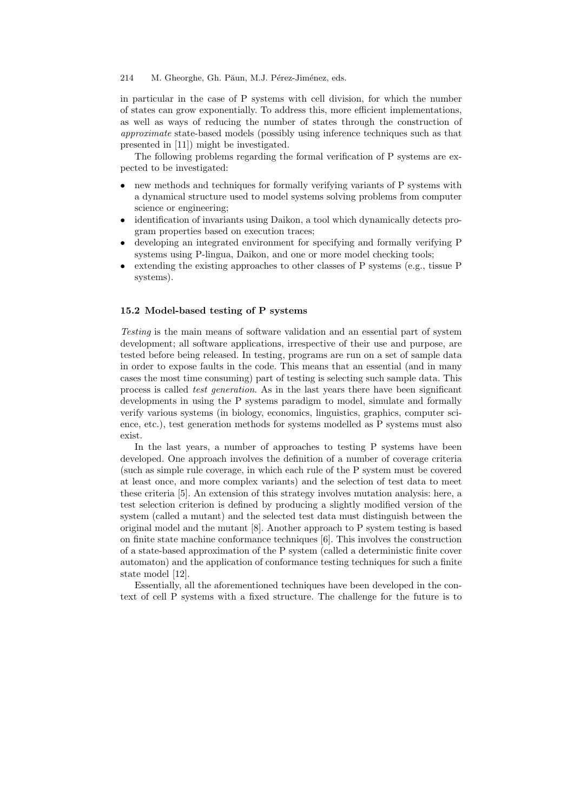in particular in the case of P systems with cell division, for which the number of states can grow exponentially. To address this, more efficient implementations, as well as ways of reducing the number of states through the construction of *approximate* state-based models (possibly using inference techniques such as that presented in [11]) might be investigated.

The following problems regarding the formal verification of P systems are expected to be investigated:

- *•* new methods and techniques for formally verifying variants of P systems with a dynamical structure used to model systems solving problems from computer science or engineering;
- *•* identification of invariants using Daikon, a tool which dynamically detects program properties based on execution traces;
- *•* developing an integrated environment for specifying and formally verifying P systems using P-lingua, Daikon, and one or more model checking tools;
- extending the existing approaches to other classes of P systems (e.g., tissue P systems).

### **15.2 Model-based testing of P systems**

*Testing* is the main means of software validation and an essential part of system development; all software applications, irrespective of their use and purpose, are tested before being released. In testing, programs are run on a set of sample data in order to expose faults in the code. This means that an essential (and in many cases the most time consuming) part of testing is selecting such sample data. This process is called *test generation*. As in the last years there have been significant developments in using the P systems paradigm to model, simulate and formally verify various systems (in biology, economics, linguistics, graphics, computer science, etc.), test generation methods for systems modelled as P systems must also exist.

In the last years, a number of approaches to testing P systems have been developed. One approach involves the definition of a number of coverage criteria (such as simple rule coverage, in which each rule of the P system must be covered at least once, and more complex variants) and the selection of test data to meet these criteria [5]. An extension of this strategy involves mutation analysis: here, a test selection criterion is defined by producing a slightly modified version of the system (called a mutant) and the selected test data must distinguish between the original model and the mutant [8]. Another approach to P system testing is based on finite state machine conformance techniques [6]. This involves the construction of a state-based approximation of the P system (called a deterministic finite cover automaton) and the application of conformance testing techniques for such a finite state model [12].

Essentially, all the aforementioned techniques have been developed in the context of cell P systems with a fixed structure. The challenge for the future is to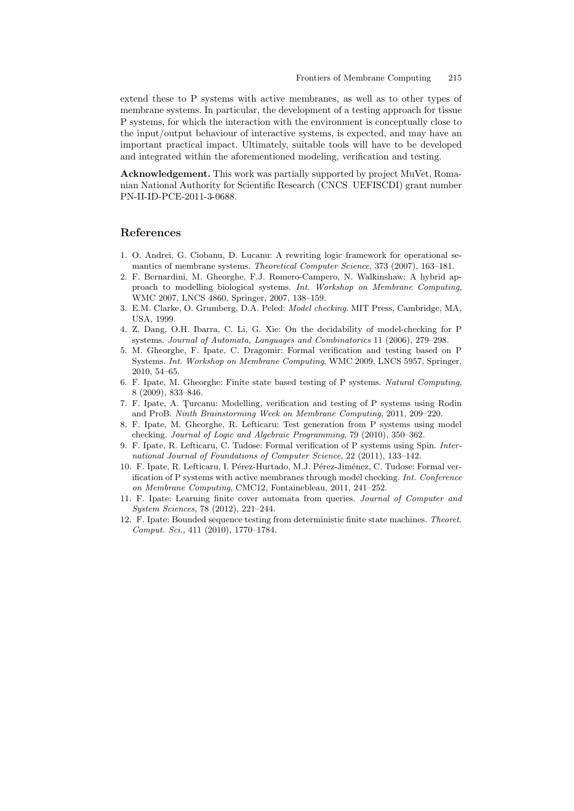extend these to P systems with active membranes, as well as to other types of membrane systems. In particular, the development of a testing approach for tissue P systems, for which the interaction with the environment is conceptually close to the input/output behaviour of interactive systems, is expected, and may have an important practical impact. Ultimately, suitable tools will have to be developed and integrated within the aforementioned modeling, verification and testing.

**Acknowledgement.** This work was partially supported by project MuVet, Romanian National Authority for Scientific Research (CNCS UEFISCDI) grant number PN-II-ID-PCE-2011-3-0688.

- 1. O. Andrei, G. Ciobanu, D. Lucanu: A rewriting logic framework for operational semantics of membrane systems. *Theoretical Computer Science*, 373 (2007), 163–181.
- 2. F. Bernardini, M. Gheorghe, F.J. Romero-Campero, N. Walkinshaw: A hybrid approach to modelling biological systems. *Int. Workshop on Membrane Computing*, WMC 2007, LNCS 4860, Springer, 2007, 138–159.
- 3. E.M. Clarke, O. Grumberg, D.A. Peled: *Model checking*. MIT Press, Cambridge, MA, USA, 1999.
- 4. Z. Dang, O.H. Ibarra, C. Li, G. Xie: On the decidability of model-checking for P systems. *Journal of Automata, Languages and Combinatorics* 11 (2006), 279–298.
- 5. M. Gheorghe, F. Ipate, C. Dragomir: Formal verification and testing based on P Systems. *Int. Workshop on Membrane Computing*, WMC 2009, LNCS 5957, Springer, 2010, 54–65.
- 6. F. Ipate, M. Gheorghe: Finite state based testing of P systems. *Natural Computing*, 8 (2009), 833–846.
- 7. F. Ipate, A. Turcanu: Modelling, verification and testing of P systems using Rodin and ProB. *Ninth Brainstorming Week on Membrane Computing*, 2011, 209–220.
- 8. F. Ipate, M. Gheorghe, R. Lefticaru: Test generation from P systems using model checking. *Journal of Logic and Algebraic Programming*, 79 (2010), 350–362.
- 9. F. Ipate, R. Lefticaru, C. Tudose: Formal verification of P systems using Spin. *International Journal of Foundations of Computer Science*, 22 (2011), 133–142.
- 10. F. Ipate, R. Lefticaru, I. Pérez-Hurtado, M.J. Pérez-Jiménez, C. Tudose: Formal verification of P systems with active membranes through model checking. *Int. Conference on Membrane Computing*, CMC12, Fontainebleau, 2011, 241–252.
- 11. F. Ipate: Learning finite cover automata from queries. *Journal of Computer and System Sciences*, 78 (2012), 221–244.
- 12. F. Ipate: Bounded sequence testing from deterministic finite state machines. *Theoret. Comput. Sci.*, 411 (2010), 1770–1784.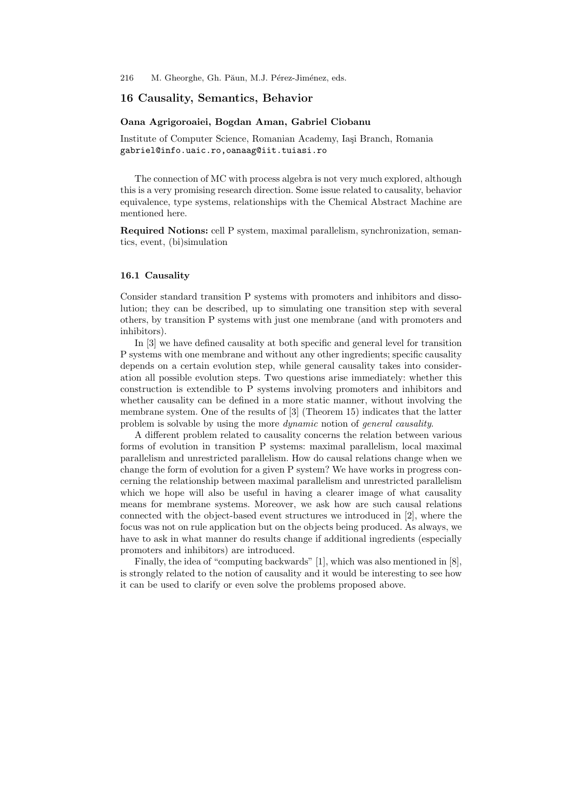### **16 Causality, Semantics, Behavior**

### **Oana Agrigoroaiei, Bogdan Aman, Gabriel Ciobanu**

Institute of Computer Science, Romanian Academy, Iași Branch, Romania gabriel@info.uaic.ro,oanaag@iit.tuiasi.ro

The connection of MC with process algebra is not very much explored, although this is a very promising research direction. Some issue related to causality, behavior equivalence, type systems, relationships with the Chemical Abstract Machine are mentioned here.

**Required Notions:** cell P system, maximal parallelism, synchronization, semantics, event, (bi)simulation

### **16.1 Causality**

Consider standard transition P systems with promoters and inhibitors and dissolution; they can be described, up to simulating one transition step with several others, by transition P systems with just one membrane (and with promoters and inhibitors).

In [3] we have defined causality at both specific and general level for transition P systems with one membrane and without any other ingredients; specific causality depends on a certain evolution step, while general causality takes into consideration all possible evolution steps. Two questions arise immediately: whether this construction is extendible to P systems involving promoters and inhibitors and whether causality can be defined in a more static manner, without involving the membrane system. One of the results of [3] (Theorem 15) indicates that the latter problem is solvable by using the more *dynamic* notion of *general causality*.

A different problem related to causality concerns the relation between various forms of evolution in transition P systems: maximal parallelism, local maximal parallelism and unrestricted parallelism. How do causal relations change when we change the form of evolution for a given P system? We have works in progress concerning the relationship between maximal parallelism and unrestricted parallelism which we hope will also be useful in having a clearer image of what causality means for membrane systems. Moreover, we ask how are such causal relations connected with the object-based event structures we introduced in [2], where the focus was not on rule application but on the objects being produced. As always, we have to ask in what manner do results change if additional ingredients (especially promoters and inhibitors) are introduced.

Finally, the idea of "computing backwards" [1], which was also mentioned in [8], is strongly related to the notion of causality and it would be interesting to see how it can be used to clarify or even solve the problems proposed above.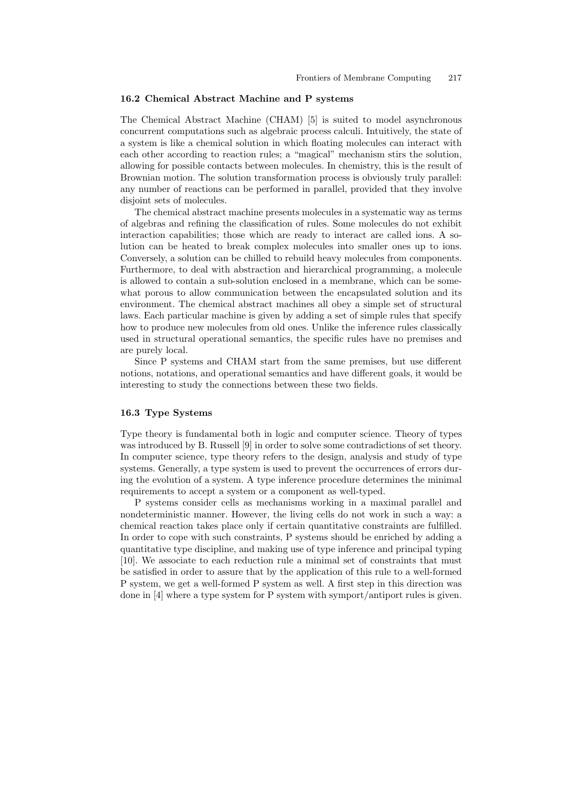### **16.2 Chemical Abstract Machine and P systems**

The Chemical Abstract Machine (CHAM) [5] is suited to model asynchronous concurrent computations such as algebraic process calculi. Intuitively, the state of a system is like a chemical solution in which floating molecules can interact with each other according to reaction rules; a "magical" mechanism stirs the solution, allowing for possible contacts between molecules. In chemistry, this is the result of Brownian motion. The solution transformation process is obviously truly parallel: any number of reactions can be performed in parallel, provided that they involve disjoint sets of molecules.

The chemical abstract machine presents molecules in a systematic way as terms of algebras and refining the classification of rules. Some molecules do not exhibit interaction capabilities; those which are ready to interact are called ions. A solution can be heated to break complex molecules into smaller ones up to ions. Conversely, a solution can be chilled to rebuild heavy molecules from components. Furthermore, to deal with abstraction and hierarchical programming, a molecule is allowed to contain a sub-solution enclosed in a membrane, which can be somewhat porous to allow communication between the encapsulated solution and its environment. The chemical abstract machines all obey a simple set of structural laws. Each particular machine is given by adding a set of simple rules that specify how to produce new molecules from old ones. Unlike the inference rules classically used in structural operational semantics, the specific rules have no premises and are purely local.

Since P systems and CHAM start from the same premises, but use different notions, notations, and operational semantics and have different goals, it would be interesting to study the connections between these two fields.

#### **16.3 Type Systems**

Type theory is fundamental both in logic and computer science. Theory of types was introduced by B. Russell [9] in order to solve some contradictions of set theory. In computer science, type theory refers to the design, analysis and study of type systems. Generally, a type system is used to prevent the occurrences of errors during the evolution of a system. A type inference procedure determines the minimal requirements to accept a system or a component as well-typed.

P systems consider cells as mechanisms working in a maximal parallel and nondeterministic manner. However, the living cells do not work in such a way: a chemical reaction takes place only if certain quantitative constraints are fulfilled. In order to cope with such constraints, P systems should be enriched by adding a quantitative type discipline, and making use of type inference and principal typing [10]. We associate to each reduction rule a minimal set of constraints that must be satisfied in order to assure that by the application of this rule to a well-formed P system, we get a well-formed P system as well. A first step in this direction was done in [4] where a type system for P system with symport/antiport rules is given.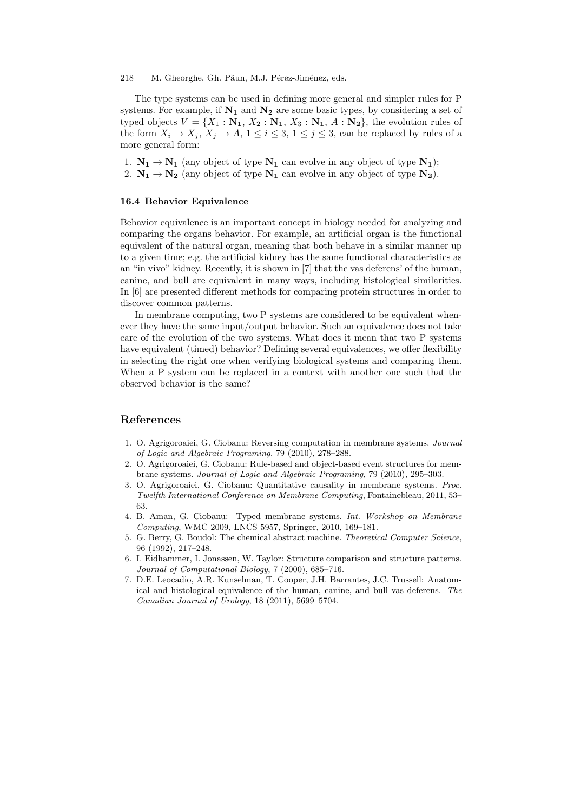The type systems can be used in defining more general and simpler rules for P systems. For example, if **N<sup>1</sup>** and **N<sup>2</sup>** are some basic types, by considering a set of typed objects  $V = \{X_1 : \mathbf{N}_1, X_2 : \mathbf{N}_1, X_3 : \mathbf{N}_1, A : \mathbf{N}_2\}$ , the evolution rules of the form  $X_i \to X_j$ ,  $X_j \to A$ ,  $1 \leq i \leq 3$ ,  $1 \leq j \leq 3$ , can be replaced by rules of a more general form:

1.  $N_1 \rightarrow N_1$  (any object of type  $N_1$  can evolve in any object of type  $N_1$ ); 2.  $N_1 \rightarrow N_2$  (any object of type  $N_1$  can evolve in any object of type  $N_2$ ).

### **16.4 Behavior Equivalence**

Behavior equivalence is an important concept in biology needed for analyzing and comparing the organs behavior. For example, an artificial organ is the functional equivalent of the natural organ, meaning that both behave in a similar manner up to a given time; e.g. the artificial kidney has the same functional characteristics as an "in vivo" kidney. Recently, it is shown in [7] that the vas deferens' of the human, canine, and bull are equivalent in many ways, including histological similarities. In [6] are presented different methods for comparing protein structures in order to discover common patterns.

In membrane computing, two P systems are considered to be equivalent whenever they have the same input/output behavior. Such an equivalence does not take care of the evolution of the two systems. What does it mean that two P systems have equivalent (timed) behavior? Defining several equivalences, we offer flexibility in selecting the right one when verifying biological systems and comparing them. When a P system can be replaced in a context with another one such that the observed behavior is the same?

- 1. O. Agrigoroaiei, G. Ciobanu: Reversing computation in membrane systems. *Journal of Logic and Algebraic Programing*, 79 (2010), 278–288.
- 2. O. Agrigoroaiei, G. Ciobanu: Rule-based and object-based event structures for membrane systems. *Journal of Logic and Algebraic Programing*, 79 (2010), 295–303.
- 3. O. Agrigoroaiei, G. Ciobanu: Quantitative causality in membrane systems. *Proc. Twelfth International Conference on Membrane Computing*, Fontainebleau, 2011, 53– 63.
- 4. B. Aman, G. Ciobanu: Typed membrane systems. *Int. Workshop on Membrane Computing*, WMC 2009, LNCS 5957, Springer, 2010, 169–181.
- 5. G. Berry, G. Boudol: The chemical abstract machine. *Theoretical Computer Science*, 96 (1992), 217–248.
- 6. I. Eidhammer, I. Jonassen, W. Taylor: Structure comparison and structure patterns. *Journal of Computational Biology*, 7 (2000), 685–716.
- 7. D.E. Leocadio, A.R. Kunselman, T. Cooper, J.H. Barrantes, J.C. Trussell: Anatomical and histological equivalence of the human, canine, and bull vas deferens. *The Canadian Journal of Urology*, 18 (2011), 5699–5704.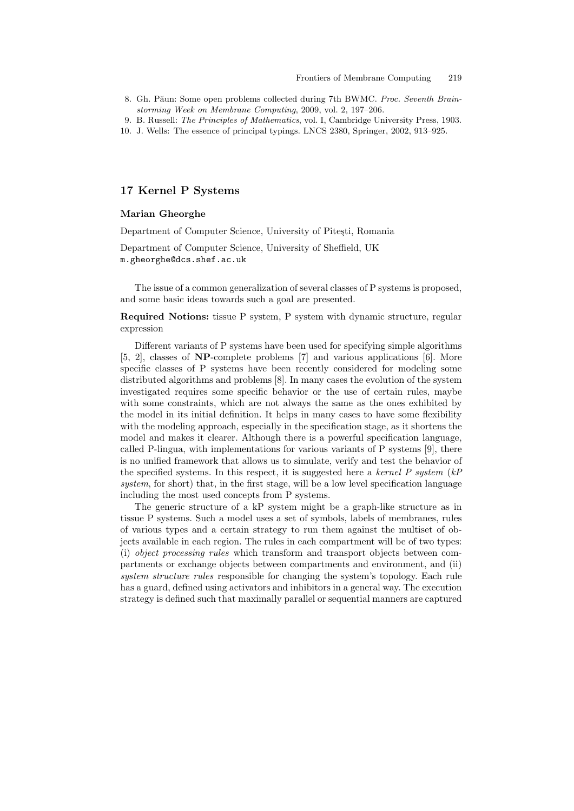- 8. Gh. Păun: Some open problems collected during 7th BWMC. *Proc. Seventh Brainstorming Week on Membrane Computing*, 2009, vol. 2, 197–206.
- 9. B. Russell: *The Principles of Mathematics*, vol. I, Cambridge University Press, 1903.
- 10. J. Wells: The essence of principal typings. LNCS 2380, Springer, 2002, 913–925.

## **17 Kernel P Systems**

### **Marian Gheorghe**

Department of Computer Science, University of Pitești, Romania

Department of Computer Science, University of Sheffield, UK m.gheorghe@dcs.shef.ac.uk

The issue of a common generalization of several classes of P systems is proposed, and some basic ideas towards such a goal are presented.

**Required Notions:** tissue P system, P system with dynamic structure, regular expression

Different variants of P systems have been used for specifying simple algorithms [5, 2], classes of **NP**-complete problems [7] and various applications [6]. More specific classes of P systems have been recently considered for modeling some distributed algorithms and problems [8]. In many cases the evolution of the system investigated requires some specific behavior or the use of certain rules, maybe with some constraints, which are not always the same as the ones exhibited by the model in its initial definition. It helps in many cases to have some flexibility with the modeling approach, especially in the specification stage, as it shortens the model and makes it clearer. Although there is a powerful specification language, called P-lingua, with implementations for various variants of P systems [9], there is no unified framework that allows us to simulate, verify and test the behavior of the specified systems. In this respect, it is suggested here a *kernel P system* (*kP system*, for short) that, in the first stage, will be a low level specification language including the most used concepts from P systems.

The generic structure of a kP system might be a graph-like structure as in tissue P systems. Such a model uses a set of symbols, labels of membranes, rules of various types and a certain strategy to run them against the multiset of objects available in each region. The rules in each compartment will be of two types: (i) *object processing rules* which transform and transport objects between compartments or exchange objects between compartments and environment, and (ii) *system structure rules* responsible for changing the system's topology. Each rule has a guard, defined using activators and inhibitors in a general way. The execution strategy is defined such that maximally parallel or sequential manners are captured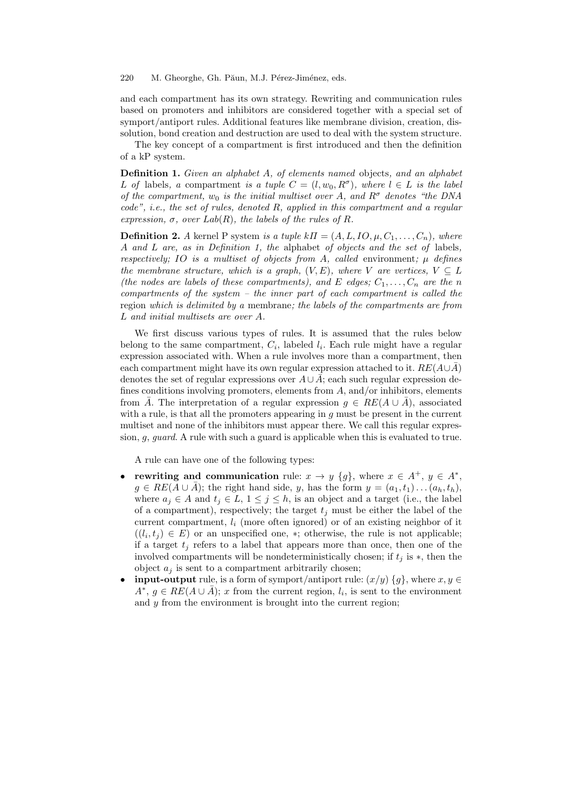and each compartment has its own strategy. Rewriting and communication rules based on promoters and inhibitors are considered together with a special set of symport/antiport rules. Additional features like membrane division, creation, dissolution, bond creation and destruction are used to deal with the system structure.

The key concept of a compartment is first introduced and then the definition of a kP system.

**Definition 1.** *Given an alphabet A, of elements named* objects*, and an alphabet L of* labels, a compartment *is a tuple*  $C = (l, w_0, R^{\sigma})$ , where  $l \in L$  *is the label of the compartment,*  $w_0$  *is the initial multiset over A, and*  $R^{\sigma}$  *denotes "the DNA code", i.e., the set of rules, denoted R, applied in this compartment and a regular expression,*  $\sigma$ *, over*  $Lab(R)$ *, the labels of the rules of*  $R$ *.* 

**Definition 2.** *A* kernel P system *is a tuple*  $kH = (A, L, IO, µ, C_1, \ldots, C_n)$ *, where A and L are, as in Definition 1, the* alphabet *of objects and the set of* labels*, respectively; IO is a multiset of objects from A, called* environment*; µ defines the membrane structure, which is a graph,*  $(V, E)$ *, where V are vertices,*  $V \subseteq L$ *(the nodes are labels of these compartments), and*  $E$  *edges;*  $C_1, \ldots, C_n$  *are the n compartments of the system – the inner part of each compartment is called the* region *which is delimited by a* membrane*; the labels of the compartments are from L and initial multisets are over A.*

We first discuss various types of rules. It is assumed that the rules below belong to the same compartment,  $C_i$ , labeled  $l_i$ . Each rule might have a regular expression associated with. When a rule involves more than a compartment, then each compartment might have its own regular expression attached to it.  $RE(A\cup\overline{A})$ denotes the set of regular expressions over  $A \cup \overline{A}$ ; each such regular expression defines conditions involving promoters, elements from *A*, and/or inhibitors, elements from *A*. The interpretation of a regular expression  $q \in RE(A \cup A)$ , associated with a rule, is that all the promoters appearing in *g* must be present in the current multiset and none of the inhibitors must appear there. We call this regular expression, *g*, *guard*. A rule with such a guard is applicable when this is evaluated to true.

A rule can have one of the following types:

- **rewriting and communication** rule:  $x \to y$  { $g$ }, where  $x \in A^+$ ,  $y \in A^*$ ,  $g \in RE(A \cup \overline{A})$ ; the right hand side, *y*, has the form  $y = (a_1, t_1) \dots (a_h, t_h)$ , where  $a_j \in A$  and  $t_j \in L$ ,  $1 \leq j \leq h$ , is an object and a target (i.e., the label of a compartment), respectively; the target  $t<sub>j</sub>$  must be either the label of the current compartment, *l<sup>i</sup>* (more often ignored) or of an existing neighbor of it  $((l_i, t_j) \in E)$  or an unspecified one, \*; otherwise, the rule is not applicable; if a target  $t_i$  refers to a label that appears more than once, then one of the involved compartments will be nondeterministically chosen; if *t<sup>j</sup>* is *∗*, then the object  $a_j$  is sent to a compartment arbitrarily chosen;
- **input-output** rule, is a form of symport/antiport rule:  $(x/y)$   $\{g\}$ , where  $x, y \in$  $A^*$ ,  $g \in RE(A \cup \overline{A})$ ; *x* from the current region, *l<sub>i</sub>*, is sent to the environment and *y* from the environment is brought into the current region;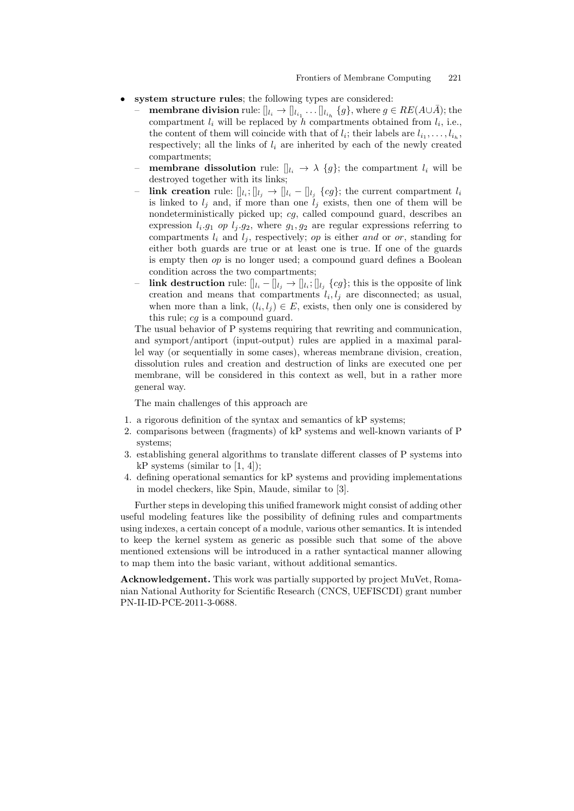- *•* **system structure rules**; the following types are considered:
	- *→* **membrane division** rule:  $\left[\n\right]_l_i \to \left[\n\right]_l_i$  *...*  $\left[\n\right]_l_i$  {*g*}*,* where *g* ∈ *RE*(*A*∪*A*); the compartment  $l_i$  will be replaced by  $h$  compartments obtained from  $l_i$ , i.e., the content of them will coincide with that of  $l_i$ ; their labels are  $l_{i_1}, \ldots, l_{i_h}$ , respectively; all the links of  $l_i$  are inherited by each of the newly created compartments;
	- **membrane dissolution** rule:  $\left[\iota_i \to \lambda \{g\};\right)$  the compartment  $\iota_i$  will be destroyed together with its links;
	- $-$  **link creation** rule:  $\left[\right]_{l_i}$ ;  $\left[\right]_{l_j} \to \left[\right]_{l_i} \left[\right]_{l_j}$  {cg}; the current compartment  $l_i$ is linked to  $l_j$  and, if more than one  $l_j$  exists, then one of them will be nondeterministically picked up; *cg*, called compound guard, describes an expression  $l_i$ ,  $g_1$  op  $l_j$ ,  $g_2$ , where  $g_1$ ,  $g_2$  are regular expressions referring to compartments  $l_i$  and  $l_j$ , respectively; *op* is either *and* or *or*, standing for either both guards are true or at least one is true. If one of the guards is empty then *op* is no longer used; a compound guard defines a Boolean condition across the two compartments;
	- **link destruction** rule: []*<sup>l</sup><sup>i</sup> −* []*<sup>l</sup><sup>j</sup> →* []*<sup>l</sup><sup>i</sup>* ; []*<sup>l</sup><sup>j</sup> {cg}*; this is the opposite of link creation and means that compartments  $l_i, l_j$  are disconnected; as usual, when more than a link,  $(l_i, l_j) \in E$ , exists, then only one is considered by this rule; *cg* is a compound guard.

The usual behavior of P systems requiring that rewriting and communication, and symport/antiport (input-output) rules are applied in a maximal parallel way (or sequentially in some cases), whereas membrane division, creation, dissolution rules and creation and destruction of links are executed one per membrane, will be considered in this context as well, but in a rather more general way.

The main challenges of this approach are

- 1. a rigorous definition of the syntax and semantics of kP systems;
- 2. comparisons between (fragments) of kP systems and well-known variants of P systems;
- 3. establishing general algorithms to translate different classes of P systems into kP systems (similar to  $[1, 4]$ );
- 4. defining operational semantics for kP systems and providing implementations in model checkers, like Spin, Maude, similar to [3].

Further steps in developing this unified framework might consist of adding other useful modeling features like the possibility of defining rules and compartments using indexes, a certain concept of a module, various other semantics. It is intended to keep the kernel system as generic as possible such that some of the above mentioned extensions will be introduced in a rather syntactical manner allowing to map them into the basic variant, without additional semantics.

**Acknowledgement.** This work was partially supported by project MuVet, Romanian National Authority for Scientific Research (CNCS, UEFISCDI) grant number PN-II-ID-PCE-2011-3-0688.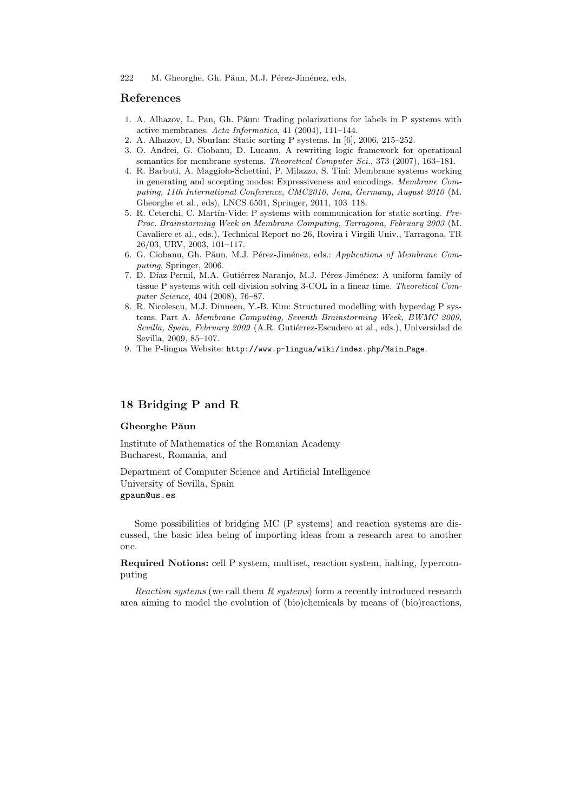## **References**

- 1. A. Alhazov, L. Pan, Gh. Păun: Trading polarizations for labels in P systems with active membranes. *Acta Informatica*, 41 (2004), 111–144.
- 2. A. Alhazov, D. Sburlan: Static sorting P systems. In [6], 2006, 215–252.
- 3. O. Andrei, G. Ciobanu, D. Lucanu, A rewriting logic framework for operational semantics for membrane systems. *Theoretical Computer Sci.*, 373 (2007), 163–181.
- 4. R. Barbuti, A. Maggiolo-Schettini, P. Milazzo, S. Tini: Membrane systems working in generating and accepting modes: Expressiveness and encodings. *Membrane Computing, 11th International Conference, CMC2010, Jena, Germany, August 2010* (M. Gheorghe et al., eds), LNCS 6501, Springer, 2011, 103–118.
- 5. R. Ceterchi, C. Mart´ın-Vide: P systems with communication for static sorting. *Pre-Proc. Brainstorming Week on Membrane Computing, Tarragona, February 2003* (M. Cavaliere et al., eds.), Technical Report no 26, Rovira i Virgili Univ., Tarragona, TR 26/03, URV, 2003, 101–117.
- 6. G. Ciobanu, Gh. Păun, M.J. Pérez-Jiménez, eds.: *Applications of Membrane Computing*, Springer, 2006.
- 7. D. Díaz-Pernil, M.A. Gutiérrez-Naranjo, M.J. Pérez-Jiménez: A uniform family of tissue P systems with cell division solving 3-COL in a linear time. *Theoretical Computer Science*, 404 (2008), 76–87.
- 8. R. Nicolescu, M.J. Dinneen, Y.-B. Kim: Structured modelling with hyperdag P systems. Part A. *Membrane Computing, Seventh Brainstorming Week, BWMC 2009, Sevilla, Spain, February 2009* (A.R. Gutiérrez-Escudero at al., eds.), Universidad de Sevilla, 2009, 85–107.
- 9. The P-lingua Website: http://www.p-lingua/wiki/index.php/Main Page.

## **18 Bridging P and R**

### **Gheorghe Păun**

Institute of Mathematics of the Romanian Academy Bucharest, Romania, and

Department of Computer Science and Artificial Intelligence University of Sevilla, Spain gpaun@us.es

Some possibilities of bridging MC (P systems) and reaction systems are discussed, the basic idea being of importing ideas from a research area to another one.

**Required Notions:** cell P system, multiset, reaction system, halting, fypercomputing

*Reaction systems* (we call them *R systems*) form a recently introduced research area aiming to model the evolution of (bio)chemicals by means of (bio)reactions,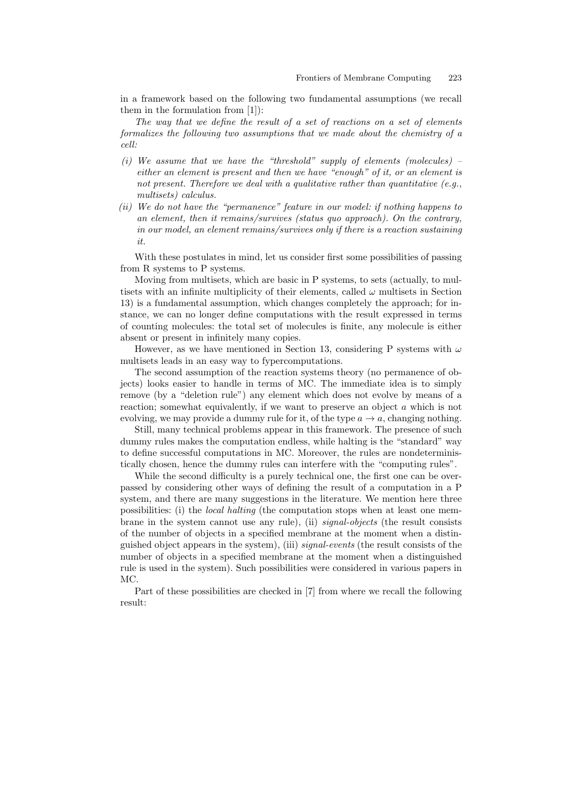in a framework based on the following two fundamental assumptions (we recall them in the formulation from [1]):

*The way that we define the result of a set of reactions on a set of elements formalizes the following two assumptions that we made about the chemistry of a cell:*

- *(i) We assume that we have the "threshold" supply of elements (molecules) – either an element is present and then we have "enough" of it, or an element is not present. Therefore we deal with a qualitative rather than quantitative (e.g., multisets) calculus.*
- *(ii) We do not have the "permanence" feature in our model: if nothing happens to an element, then it remains/survives (status quo approach). On the contrary, in our model, an element remains/survives only if there is a reaction sustaining it.*

With these postulates in mind, let us consider first some possibilities of passing from R systems to P systems.

Moving from multisets, which are basic in P systems, to sets (actually, to multisets with an infinite multiplicity of their elements, called *ω* multisets in Section 13) is a fundamental assumption, which changes completely the approach; for instance, we can no longer define computations with the result expressed in terms of counting molecules: the total set of molecules is finite, any molecule is either absent or present in infinitely many copies.

However, as we have mentioned in Section 13, considering P systems with *ω* multisets leads in an easy way to fypercomputations.

The second assumption of the reaction systems theory (no permanence of objects) looks easier to handle in terms of MC. The immediate idea is to simply remove (by a "deletion rule") any element which does not evolve by means of a reaction; somewhat equivalently, if we want to preserve an object *a* which is not evolving, we may provide a dummy rule for it, of the type  $a \rightarrow a$ , changing nothing.

Still, many technical problems appear in this framework. The presence of such dummy rules makes the computation endless, while halting is the "standard" way to define successful computations in MC. Moreover, the rules are nondeterministically chosen, hence the dummy rules can interfere with the "computing rules".

While the second difficulty is a purely technical one, the first one can be overpassed by considering other ways of defining the result of a computation in a P system, and there are many suggestions in the literature. We mention here three possibilities: (i) the *local halting* (the computation stops when at least one membrane in the system cannot use any rule), (ii) *signal-objects* (the result consists of the number of objects in a specified membrane at the moment when a distinguished object appears in the system), (iii) *signal-events* (the result consists of the number of objects in a specified membrane at the moment when a distinguished rule is used in the system). Such possibilities were considered in various papers in MC.

Part of these possibilities are checked in [7] from where we recall the following result: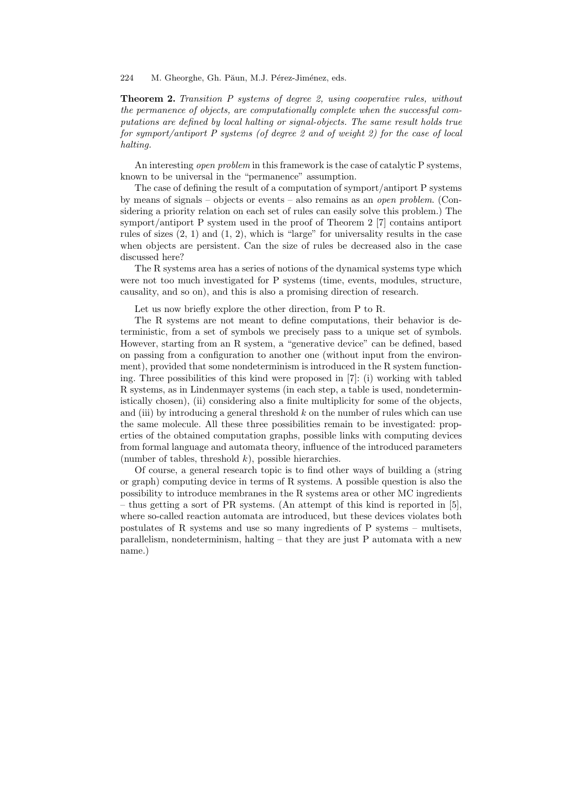**Theorem 2.** *Transition P systems of degree 2, using cooperative rules, without the permanence of objects, are computationally complete when the successful computations are defined by local halting or signal-objects. The same result holds true for symport/antiport P systems (of degree 2 and of weight 2) for the case of local halting.*

An interesting *open problem* in this framework is the case of catalytic P systems, known to be universal in the "permanence" assumption.

The case of defining the result of a computation of symport/antiport P systems by means of signals – objects or events – also remains as an *open problem*. (Considering a priority relation on each set of rules can easily solve this problem.) The symport/antiport P system used in the proof of Theorem 2 [7] contains antiport rules of sizes  $(2, 1)$  and  $(1, 2)$ , which is "large" for universality results in the case when objects are persistent. Can the size of rules be decreased also in the case discussed here?

The R systems area has a series of notions of the dynamical systems type which were not too much investigated for P systems (time, events, modules, structure, causality, and so on), and this is also a promising direction of research.

Let us now briefly explore the other direction, from P to R.

The R systems are not meant to define computations, their behavior is deterministic, from a set of symbols we precisely pass to a unique set of symbols. However, starting from an R system, a "generative device" can be defined, based on passing from a configuration to another one (without input from the environment), provided that some nondeterminism is introduced in the R system functioning. Three possibilities of this kind were proposed in [7]: (i) working with tabled R systems, as in Lindenmayer systems (in each step, a table is used, nondeterministically chosen), (ii) considering also a finite multiplicity for some of the objects, and (iii) by introducing a general threshold *k* on the number of rules which can use the same molecule. All these three possibilities remain to be investigated: properties of the obtained computation graphs, possible links with computing devices from formal language and automata theory, influence of the introduced parameters (number of tables, threshold *k*), possible hierarchies.

Of course, a general research topic is to find other ways of building a (string or graph) computing device in terms of R systems. A possible question is also the possibility to introduce membranes in the R systems area or other MC ingredients – thus getting a sort of PR systems. (An attempt of this kind is reported in [5], where so-called reaction automata are introduced, but these devices violates both postulates of R systems and use so many ingredients of P systems – multisets, parallelism, nondeterminism, halting – that they are just P automata with a new name.)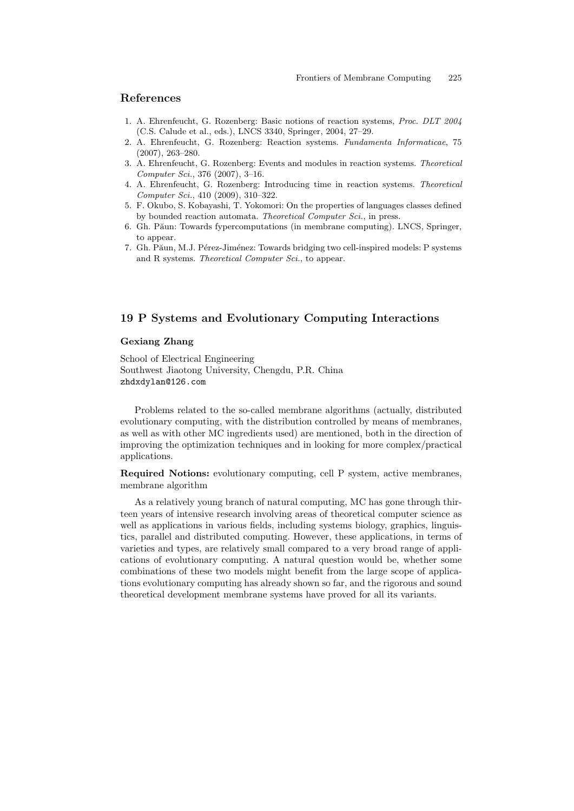### **References**

- 1. A. Ehrenfeucht, G. Rozenberg: Basic notions of reaction systems, *Proc. DLT 2004* (C.S. Calude et al., eds.), LNCS 3340, Springer, 2004, 27–29.
- 2. A. Ehrenfeucht, G. Rozenberg: Reaction systems. *Fundamenta Informaticae*, 75 (2007), 263–280.
- 3. A. Ehrenfeucht, G. Rozenberg: Events and modules in reaction systems. *Theoretical Computer Sci.*, 376 (2007), 3–16.
- 4. A. Ehrenfeucht, G. Rozenberg: Introducing time in reaction systems. *Theoretical Computer Sci.*, 410 (2009), 310–322.
- 5. F. Okubo, S. Kobayashi, T. Yokomori: On the properties of languages classes defined by bounded reaction automata. *Theoretical Computer Sci.*, in press.
- 6. Gh. Păun: Towards fypercomputations (in membrane computing). LNCS, Springer, to appear.
- 7. Gh. Păun, M.J. Pérez-Jiménez: Towards bridging two cell-inspired models: P systems and R systems. *Theoretical Computer Sci.*, to appear.

## **19 P Systems and Evolutionary Computing Interactions**

### **Gexiang Zhang**

School of Electrical Engineering Southwest Jiaotong University, Chengdu, P.R. China zhdxdylan@126.com

Problems related to the so-called membrane algorithms (actually, distributed evolutionary computing, with the distribution controlled by means of membranes, as well as with other MC ingredients used) are mentioned, both in the direction of improving the optimization techniques and in looking for more complex/practical applications.

**Required Notions:** evolutionary computing, cell P system, active membranes, membrane algorithm

As a relatively young branch of natural computing, MC has gone through thirteen years of intensive research involving areas of theoretical computer science as well as applications in various fields, including systems biology, graphics, linguistics, parallel and distributed computing. However, these applications, in terms of varieties and types, are relatively small compared to a very broad range of applications of evolutionary computing. A natural question would be, whether some combinations of these two models might benefit from the large scope of applications evolutionary computing has already shown so far, and the rigorous and sound theoretical development membrane systems have proved for all its variants.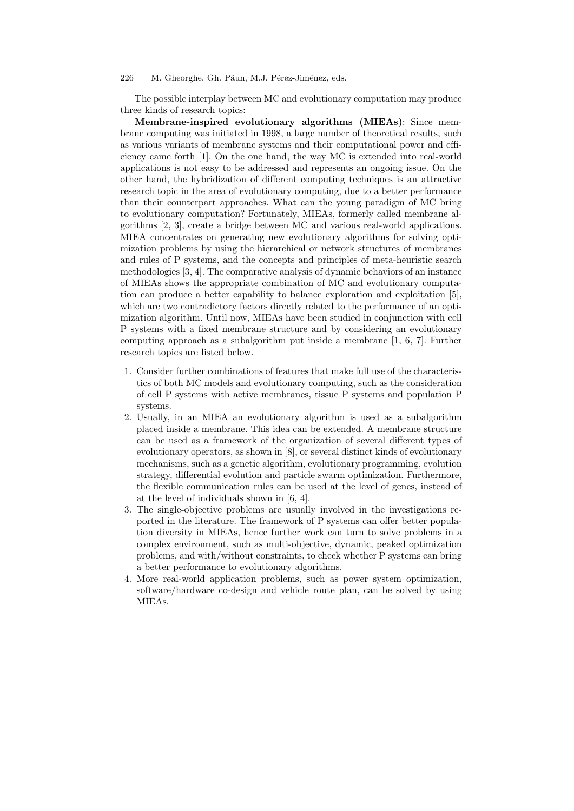The possible interplay between MC and evolutionary computation may produce three kinds of research topics:

**Membrane-inspired evolutionary algorithms (MIEAs)**: Since membrane computing was initiated in 1998, a large number of theoretical results, such as various variants of membrane systems and their computational power and efficiency came forth [1]. On the one hand, the way MC is extended into real-world applications is not easy to be addressed and represents an ongoing issue. On the other hand, the hybridization of different computing techniques is an attractive research topic in the area of evolutionary computing, due to a better performance than their counterpart approaches. What can the young paradigm of MC bring to evolutionary computation? Fortunately, MIEAs, formerly called membrane algorithms [2, 3], create a bridge between MC and various real-world applications. MIEA concentrates on generating new evolutionary algorithms for solving optimization problems by using the hierarchical or network structures of membranes and rules of P systems, and the concepts and principles of meta-heuristic search methodologies [3, 4]. The comparative analysis of dynamic behaviors of an instance of MIEAs shows the appropriate combination of MC and evolutionary computation can produce a better capability to balance exploration and exploitation [5], which are two contradictory factors directly related to the performance of an optimization algorithm. Until now, MIEAs have been studied in conjunction with cell P systems with a fixed membrane structure and by considering an evolutionary computing approach as a subalgorithm put inside a membrane [1, 6, 7]. Further research topics are listed below.

- 1. Consider further combinations of features that make full use of the characteristics of both MC models and evolutionary computing, such as the consideration of cell P systems with active membranes, tissue P systems and population P systems.
- 2. Usually, in an MIEA an evolutionary algorithm is used as a subalgorithm placed inside a membrane. This idea can be extended. A membrane structure can be used as a framework of the organization of several different types of evolutionary operators, as shown in [8], or several distinct kinds of evolutionary mechanisms, such as a genetic algorithm, evolutionary programming, evolution strategy, differential evolution and particle swarm optimization. Furthermore, the flexible communication rules can be used at the level of genes, instead of at the level of individuals shown in [6, 4].
- 3. The single-objective problems are usually involved in the investigations reported in the literature. The framework of P systems can offer better population diversity in MIEAs, hence further work can turn to solve problems in a complex environment, such as multi-objective, dynamic, peaked optimization problems, and with/without constraints, to check whether P systems can bring a better performance to evolutionary algorithms.
- 4. More real-world application problems, such as power system optimization, software/hardware co-design and vehicle route plan, can be solved by using MIEAs.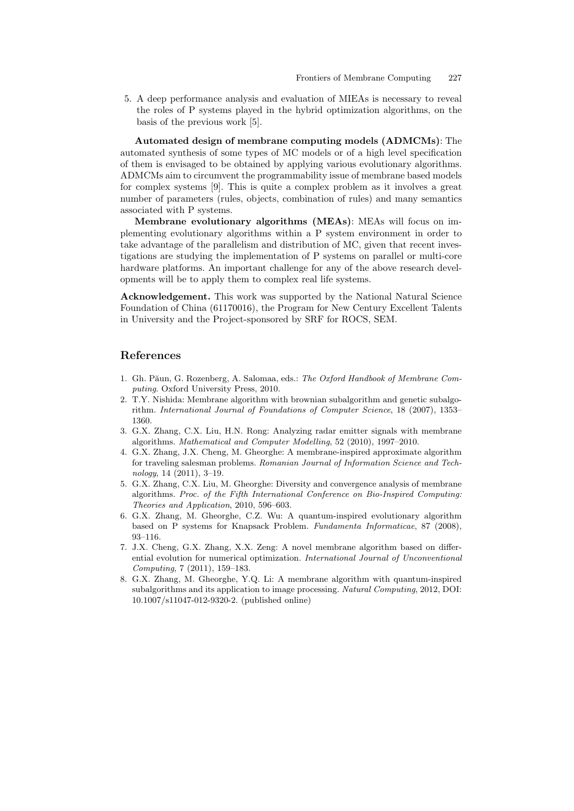5. A deep performance analysis and evaluation of MIEAs is necessary to reveal the roles of P systems played in the hybrid optimization algorithms, on the basis of the previous work [5].

**Automated design of membrane computing models (ADMCMs)**: The automated synthesis of some types of MC models or of a high level specification of them is envisaged to be obtained by applying various evolutionary algorithms. ADMCMs aim to circumvent the programmability issue of membrane based models for complex systems [9]. This is quite a complex problem as it involves a great number of parameters (rules, objects, combination of rules) and many semantics associated with P systems.

**Membrane evolutionary algorithms (MEAs)**: MEAs will focus on implementing evolutionary algorithms within a P system environment in order to take advantage of the parallelism and distribution of MC, given that recent investigations are studying the implementation of P systems on parallel or multi-core hardware platforms. An important challenge for any of the above research developments will be to apply them to complex real life systems.

**Acknowledgement.** This work was supported by the National Natural Science Foundation of China (61170016), the Program for New Century Excellent Talents in University and the Project-sponsored by SRF for ROCS, SEM.

- 1. Gh. Păun, G. Rozenberg, A. Salomaa, eds.: *The Oxford Handbook of Membrane Computing*. Oxford University Press, 2010.
- 2. T.Y. Nishida: Membrane algorithm with brownian subalgorithm and genetic subalgorithm. *International Journal of Foundations of Computer Science*, 18 (2007), 1353– 1360.
- 3. G.X. Zhang, C.X. Liu, H.N. Rong: Analyzing radar emitter signals with membrane algorithms. *Mathematical and Computer Modelling*, 52 (2010), 1997–2010.
- 4. G.X. Zhang, J.X. Cheng, M. Gheorghe: A membrane-inspired approximate algorithm for traveling salesman problems. *Romanian Journal of Information Science and Technology*, 14 (2011), 3–19.
- 5. G.X. Zhang, C.X. Liu, M. Gheorghe: Diversity and convergence analysis of membrane algorithms. *Proc. of the Fifth International Conference on Bio-Inspired Computing: Theories and Application*, 2010, 596–603.
- 6. G.X. Zhang, M. Gheorghe, C.Z. Wu: A quantum-inspired evolutionary algorithm based on P systems for Knapsack Problem. *Fundamenta Informaticae*, 87 (2008), 93–116.
- 7. J.X. Cheng, G.X. Zhang, X.X. Zeng: A novel membrane algorithm based on differential evolution for numerical optimization. *International Journal of Unconventional Computing*, 7 (2011), 159–183.
- 8. G.X. Zhang, M. Gheorghe, Y.Q. Li: A membrane algorithm with quantum-inspired subalgorithms and its application to image processing. *Natural Computing*, 2012, DOI: 10.1007/s11047-012-9320-2. (published online)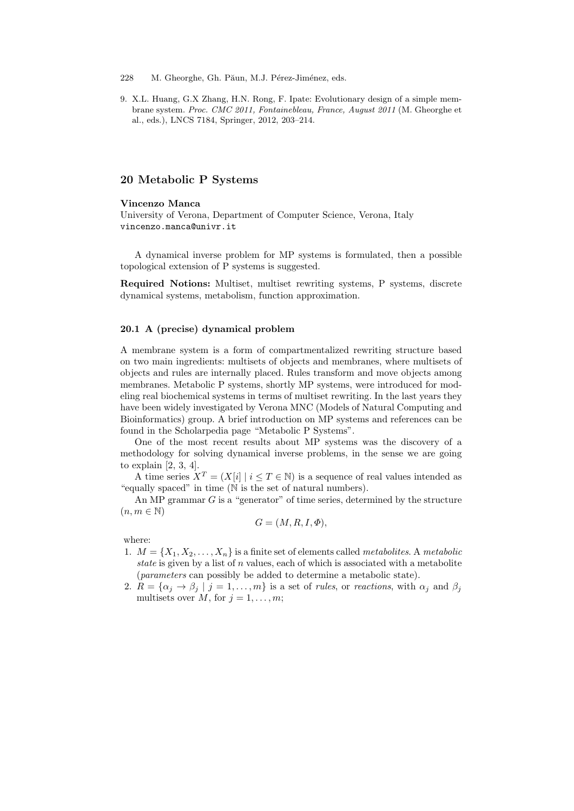9. X.L. Huang, G.X Zhang, H.N. Rong, F. Ipate: Evolutionary design of a simple membrane system. *Proc. CMC 2011, Fontainebleau, France, August 2011* (M. Gheorghe et al., eds.), LNCS 7184, Springer, 2012, 203–214.

## **20 Metabolic P Systems**

## **Vincenzo Manca**

University of Verona, Department of Computer Science, Verona, Italy vincenzo.manca@univr.it

A dynamical inverse problem for MP systems is formulated, then a possible topological extension of P systems is suggested.

**Required Notions:** Multiset, multiset rewriting systems, P systems, discrete dynamical systems, metabolism, function approximation.

#### **20.1 A (precise) dynamical problem**

A membrane system is a form of compartmentalized rewriting structure based on two main ingredients: multisets of objects and membranes, where multisets of objects and rules are internally placed. Rules transform and move objects among membranes. Metabolic P systems, shortly MP systems, were introduced for modeling real biochemical systems in terms of multiset rewriting. In the last years they have been widely investigated by Verona MNC (Models of Natural Computing and Bioinformatics) group. A brief introduction on MP systems and references can be found in the Scholarpedia page "Metabolic P Systems".

One of the most recent results about MP systems was the discovery of a methodology for solving dynamical inverse problems, in the sense we are going to explain [2, 3, 4].

A time series  $X^T = (X[i] \mid i \leq T \in \mathbb{N})$  is a sequence of real values intended as "equally spaced" in time (N is the set of natural numbers).

An MP grammar *G* is a "generator" of time series, determined by the structure  $(n, m \in \mathbb{N})$ 

$$
G = (M, R, I, \Phi),
$$

where:

- 1.  $M = \{X_1, X_2, \ldots, X_n\}$  is a finite set of elements called *metabolites*. A *metabolic state* is given by a list of *n* values, each of which is associated with a metabolite (*parameters* can possibly be added to determine a metabolic state).
- 2.  $R = {\alpha_i \rightarrow \beta_j | j = 1, ..., m}$  is a set of *rules*, or *reactions*, with  $\alpha_i$  and  $\beta_i$ multisets over  $M$ , for  $j = 1, \ldots, m$ ;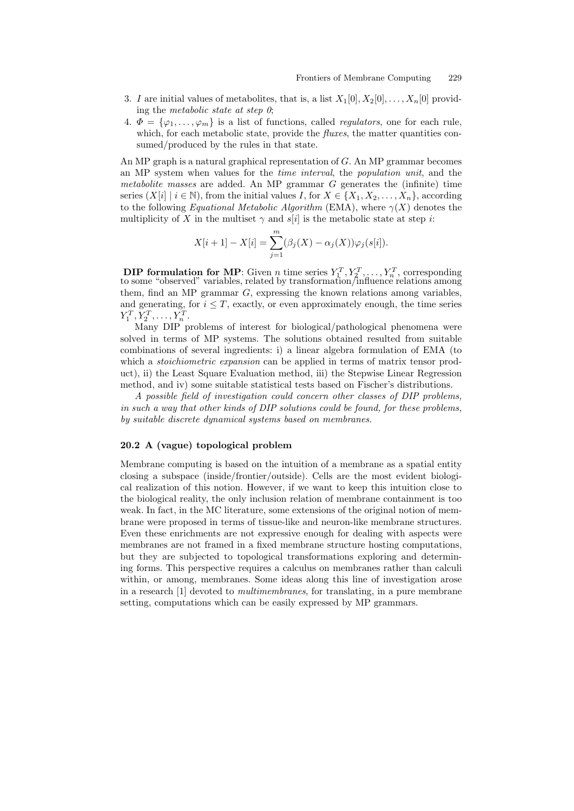- 3. *I* are initial values of metabolites, that is, a list  $X_1[0], X_2[0], \ldots, X_n[0]$  providing the *metabolic state at step 0*;
- 4.  $\Phi = {\varphi_1, \ldots, \varphi_m}$  is a list of functions, called *regulators*, one for each rule, which, for each metabolic state, provide the *fluxes*, the matter quantities consumed/produced by the rules in that state.

An MP graph is a natural graphical representation of *G*. An MP grammar becomes an MP system when values for the *time interval*, the *population unit*, and the *metabolite masses* are added. An MP grammar *G* generates the (infinite) time series  $(X[i] \mid i \in \mathbb{N})$ , from the initial values *I*, for  $X \in \{X_1, X_2, \ldots, X_n\}$ , according to the following *Equational Metabolic Algorithm* (EMA), where  $\gamma(X)$  denotes the multiplicity of *X* in the multiset  $\gamma$  and *s*[*i*] is the metabolic state at step *i*:

$$
X[i + 1] - X[i] = \sum_{j=1}^{m} (\beta_j(X) - \alpha_j(X))\varphi_j(s[i]).
$$

**DIP formulation for MP**: Given *n* time series  $Y_1^T, Y_2^T, \ldots, Y_n^T$ , corresponding **DIT** formulation for MI . Given *h* time series  $I_1, I_2, \ldots, I_n$ , corresponding to some "observed" variables, related by transformation/influence relations among them, find an MP grammar *G*, expressing the known relations among variables, and generating, for  $i \leq T$ , exactly, or even approximately enough, the time series  $Y_1^T, Y_2^T, \ldots, Y_n^T$ .

Many DIP problems of interest for biological/pathological phenomena were solved in terms of MP systems. The solutions obtained resulted from suitable combinations of several ingredients: i) a linear algebra formulation of EMA (to which a *stoichiometric expansion* can be applied in terms of matrix tensor product), ii) the Least Square Evaluation method, iii) the Stepwise Linear Regression method, and iv) some suitable statistical tests based on Fischer's distributions.

*A possible field of investigation could concern other classes of DIP problems, in such a way that other kinds of DIP solutions could be found, for these problems, by suitable discrete dynamical systems based on membranes.*

#### **20.2 A (vague) topological problem**

Membrane computing is based on the intuition of a membrane as a spatial entity closing a subspace (inside/frontier/outside). Cells are the most evident biological realization of this notion. However, if we want to keep this intuition close to the biological reality, the only inclusion relation of membrane containment is too weak. In fact, in the MC literature, some extensions of the original notion of membrane were proposed in terms of tissue-like and neuron-like membrane structures. Even these enrichments are not expressive enough for dealing with aspects were membranes are not framed in a fixed membrane structure hosting computations, but they are subjected to topological transformations exploring and determining forms. This perspective requires a calculus on membranes rather than calculi within, or among, membranes. Some ideas along this line of investigation arose in a research [1] devoted to *multimembranes*, for translating, in a pure membrane setting, computations which can be easily expressed by MP grammars.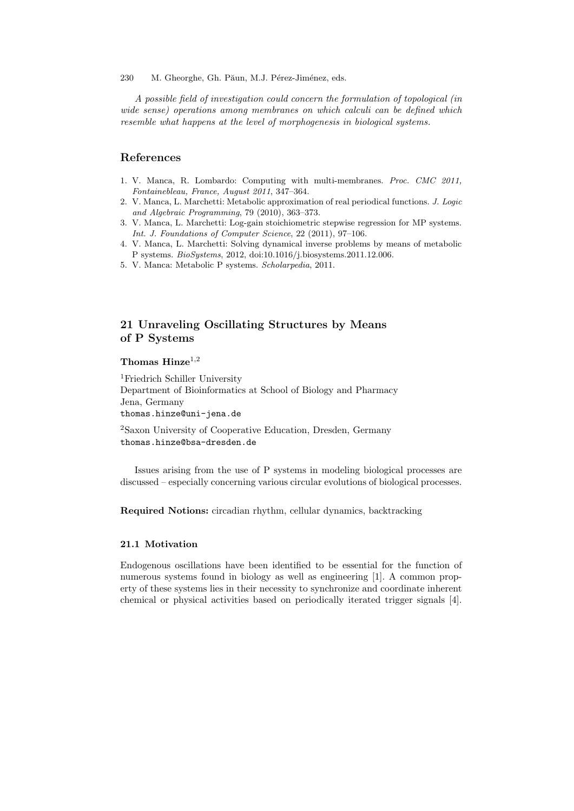*A possible field of investigation could concern the formulation of topological (in wide sense) operations among membranes on which calculi can be defined which resemble what happens at the level of morphogenesis in biological systems.*

## **References**

- 1. V. Manca, R. Lombardo: Computing with multi-membranes. *Proc. CMC 2011, Fontainebleau, France, August 2011*, 347–364.
- 2. V. Manca, L. Marchetti: Metabolic approximation of real periodical functions. *J. Logic and Algebraic Programming*, 79 (2010), 363–373.
- 3. V. Manca, L. Marchetti: Log-gain stoichiometric stepwise regression for MP systems. *Int. J. Foundations of Computer Science*, 22 (2011), 97–106.
- 4. V. Manca, L. Marchetti: Solving dynamical inverse problems by means of metabolic P systems. *BioSystems*, 2012, doi:10.1016/j.biosystems.2011.12.006.
- 5. V. Manca: Metabolic P systems. *Scholarpedia*, 2011.

# **21 Unraveling Oscillating Structures by Means of P Systems**

#### **Thomas Hinze**<sup>1</sup>*,*<sup>2</sup>

<sup>1</sup>Friedrich Schiller University Department of Bioinformatics at School of Biology and Pharmacy Jena, Germany thomas.hinze@uni-jena.de

<sup>2</sup>Saxon University of Cooperative Education, Dresden, Germany thomas.hinze@bsa-dresden.de

Issues arising from the use of P systems in modeling biological processes are discussed – especially concerning various circular evolutions of biological processes.

**Required Notions:** circadian rhythm, cellular dynamics, backtracking

## **21.1 Motivation**

Endogenous oscillations have been identified to be essential for the function of numerous systems found in biology as well as engineering [1]. A common property of these systems lies in their necessity to synchronize and coordinate inherent chemical or physical activities based on periodically iterated trigger signals [4].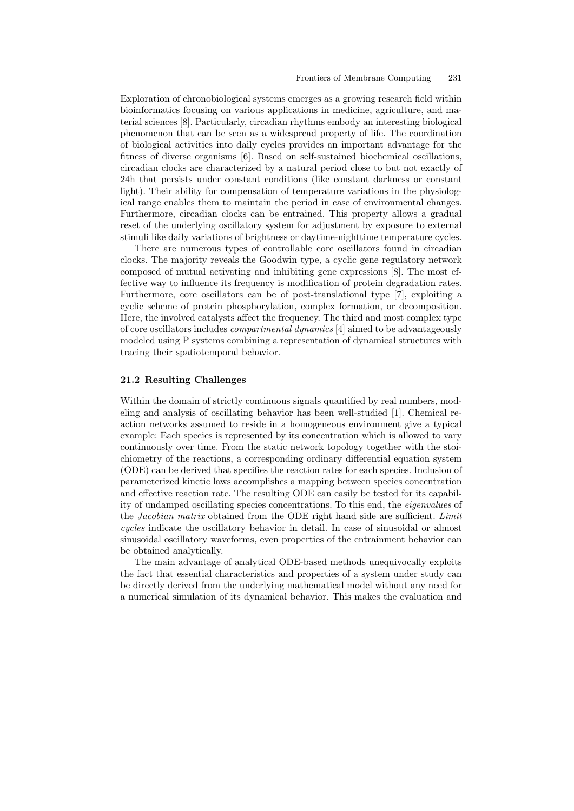#### Frontiers of Membrane Computing 231

Exploration of chronobiological systems emerges as a growing research field within bioinformatics focusing on various applications in medicine, agriculture, and material sciences [8]. Particularly, circadian rhythms embody an interesting biological phenomenon that can be seen as a widespread property of life. The coordination of biological activities into daily cycles provides an important advantage for the fitness of diverse organisms [6]. Based on self-sustained biochemical oscillations, circadian clocks are characterized by a natural period close to but not exactly of 24h that persists under constant conditions (like constant darkness or constant light). Their ability for compensation of temperature variations in the physiological range enables them to maintain the period in case of environmental changes. Furthermore, circadian clocks can be entrained. This property allows a gradual reset of the underlying oscillatory system for adjustment by exposure to external stimuli like daily variations of brightness or daytime-nighttime temperature cycles.

There are numerous types of controllable core oscillators found in circadian clocks. The majority reveals the Goodwin type, a cyclic gene regulatory network composed of mutual activating and inhibiting gene expressions [8]. The most effective way to influence its frequency is modification of protein degradation rates. Furthermore, core oscillators can be of post-translational type [7], exploiting a cyclic scheme of protein phosphorylation, complex formation, or decomposition. Here, the involved catalysts affect the frequency. The third and most complex type of core oscillators includes *compartmental dynamics* [4] aimed to be advantageously modeled using P systems combining a representation of dynamical structures with tracing their spatiotemporal behavior.

#### **21.2 Resulting Challenges**

Within the domain of strictly continuous signals quantified by real numbers, modeling and analysis of oscillating behavior has been well-studied [1]. Chemical reaction networks assumed to reside in a homogeneous environment give a typical example: Each species is represented by its concentration which is allowed to vary continuously over time. From the static network topology together with the stoichiometry of the reactions, a corresponding ordinary differential equation system (ODE) can be derived that specifies the reaction rates for each species. Inclusion of parameterized kinetic laws accomplishes a mapping between species concentration and effective reaction rate. The resulting ODE can easily be tested for its capability of undamped oscillating species concentrations. To this end, the *eigenvalues* of the *Jacobian matrix* obtained from the ODE right hand side are sufficient. *Limit cycles* indicate the oscillatory behavior in detail. In case of sinusoidal or almost sinusoidal oscillatory waveforms, even properties of the entrainment behavior can be obtained analytically.

The main advantage of analytical ODE-based methods unequivocally exploits the fact that essential characteristics and properties of a system under study can be directly derived from the underlying mathematical model without any need for a numerical simulation of its dynamical behavior. This makes the evaluation and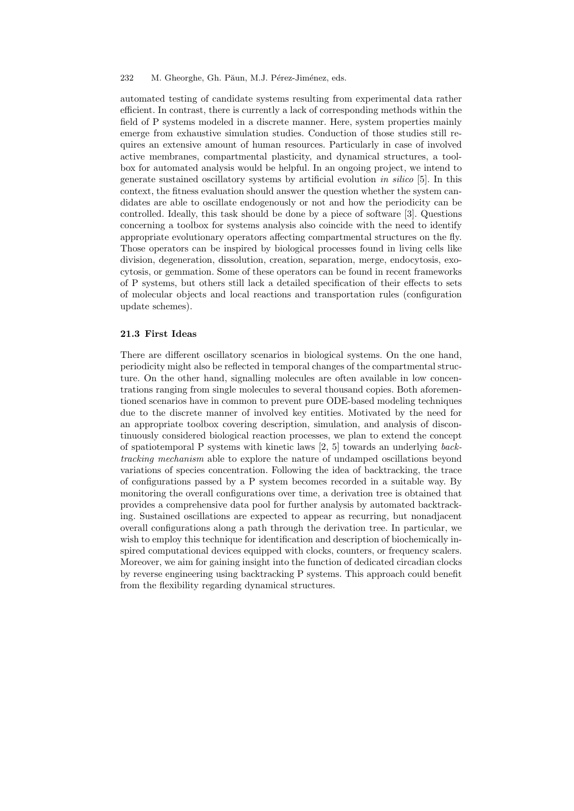automated testing of candidate systems resulting from experimental data rather efficient. In contrast, there is currently a lack of corresponding methods within the field of P systems modeled in a discrete manner. Here, system properties mainly emerge from exhaustive simulation studies. Conduction of those studies still requires an extensive amount of human resources. Particularly in case of involved active membranes, compartmental plasticity, and dynamical structures, a toolbox for automated analysis would be helpful. In an ongoing project, we intend to generate sustained oscillatory systems by artificial evolution *in silico* [5]. In this context, the fitness evaluation should answer the question whether the system candidates are able to oscillate endogenously or not and how the periodicity can be controlled. Ideally, this task should be done by a piece of software [3]. Questions concerning a toolbox for systems analysis also coincide with the need to identify appropriate evolutionary operators affecting compartmental structures on the fly. Those operators can be inspired by biological processes found in living cells like division, degeneration, dissolution, creation, separation, merge, endocytosis, exocytosis, or gemmation. Some of these operators can be found in recent frameworks of P systems, but others still lack a detailed specification of their effects to sets of molecular objects and local reactions and transportation rules (configuration update schemes).

#### **21.3 First Ideas**

There are different oscillatory scenarios in biological systems. On the one hand, periodicity might also be reflected in temporal changes of the compartmental structure. On the other hand, signalling molecules are often available in low concentrations ranging from single molecules to several thousand copies. Both aforementioned scenarios have in common to prevent pure ODE-based modeling techniques due to the discrete manner of involved key entities. Motivated by the need for an appropriate toolbox covering description, simulation, and analysis of discontinuously considered biological reaction processes, we plan to extend the concept of spatiotemporal P systems with kinetic laws [2, 5] towards an underlying *backtracking mechanism* able to explore the nature of undamped oscillations beyond variations of species concentration. Following the idea of backtracking, the trace of configurations passed by a P system becomes recorded in a suitable way. By monitoring the overall configurations over time, a derivation tree is obtained that provides a comprehensive data pool for further analysis by automated backtracking. Sustained oscillations are expected to appear as recurring, but nonadjacent overall configurations along a path through the derivation tree. In particular, we wish to employ this technique for identification and description of biochemically inspired computational devices equipped with clocks, counters, or frequency scalers. Moreover, we aim for gaining insight into the function of dedicated circadian clocks by reverse engineering using backtracking P systems. This approach could benefit from the flexibility regarding dynamical structures.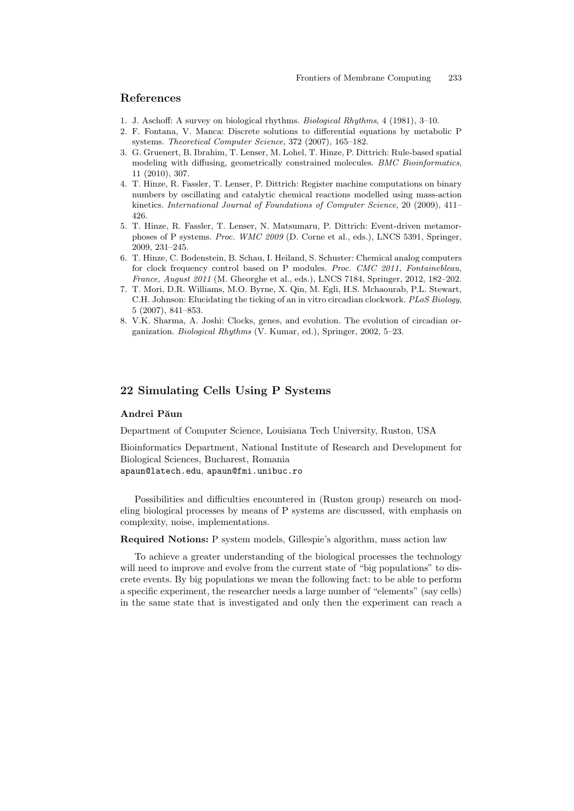### **References**

- 1. J. Aschoff: A survey on biological rhythms. *Biological Rhythms*, 4 (1981), 3–10.
- 2. F. Fontana, V. Manca: Discrete solutions to differential equations by metabolic P systems. *Theoretical Computer Science*, 372 (2007), 165–182.
- 3. G. Gruenert, B. Ibrahim, T. Lenser, M. Lohel, T. Hinze, P. Dittrich: Rule-based spatial modeling with diffusing, geometrically constrained molecules. *BMC Bioinformatics*, 11 (2010), 307.
- 4. T. Hinze, R. Fassler, T. Lenser, P. Dittrich: Register machine computations on binary numbers by oscillating and catalytic chemical reactions modelled using mass-action kinetics. *International Journal of Foundations of Computer Science*, 20 (2009), 411– 426.
- 5. T. Hinze, R. Fassler, T. Lenser, N. Matsumaru, P. Dittrich: Event-driven metamorphoses of P systems. *Proc. WMC 2009* (D. Corne et al., eds.), LNCS 5391, Springer, 2009, 231–245.
- 6. T. Hinze, C. Bodenstein, B. Schau, I. Heiland, S. Schuster: Chemical analog computers for clock frequency control based on P modules. *Proc. CMC 2011, Fontainebleau, France, August 2011* (M. Gheorghe et al., eds.), LNCS 7184, Springer, 2012, 182–202.
- 7. T. Mori, D.R. Williams, M.O. Byrne, X. Qin, M. Egli, H.S. Mchaourab, P.L. Stewart, C.H. Johnson: Elucidating the ticking of an in vitro circadian clockwork. *PLoS Biology*, 5 (2007), 841–853.
- 8. V.K. Sharma, A. Joshi: Clocks, genes, and evolution. The evolution of circadian organization. *Biological Rhythms* (V. Kumar, ed.), Springer, 2002, 5–23.

## **22 Simulating Cells Using P Systems**

### **Andrei Păun**

Department of Computer Science, Louisiana Tech University, Ruston, USA

Bioinformatics Department, National Institute of Research and Development for Biological Sciences, Bucharest, Romania apaun@latech.edu, apaun@fmi.unibuc.ro

Possibilities and difficulties encountered in (Ruston group) research on modeling biological processes by means of P systems are discussed, with emphasis on complexity, noise, implementations.

**Required Notions:** P system models, Gillespie's algorithm, mass action law

To achieve a greater understanding of the biological processes the technology will need to improve and evolve from the current state of "big populations" to discrete events. By big populations we mean the following fact: to be able to perform a specific experiment, the researcher needs a large number of "elements" (say cells) in the same state that is investigated and only then the experiment can reach a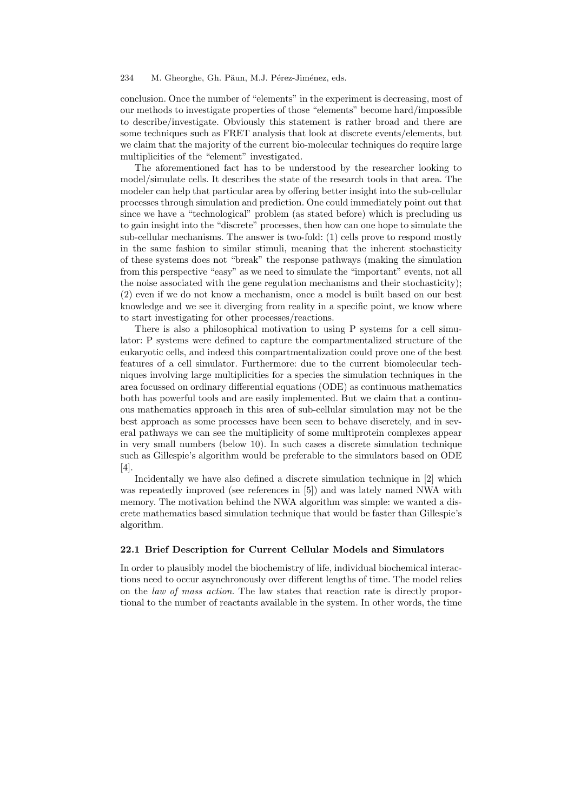conclusion. Once the number of "elements" in the experiment is decreasing, most of our methods to investigate properties of those "elements" become hard/impossible to describe/investigate. Obviously this statement is rather broad and there are some techniques such as FRET analysis that look at discrete events/elements, but we claim that the majority of the current bio-molecular techniques do require large multiplicities of the "element" investigated.

The aforementioned fact has to be understood by the researcher looking to model/simulate cells. It describes the state of the research tools in that area. The modeler can help that particular area by offering better insight into the sub-cellular processes through simulation and prediction. One could immediately point out that since we have a "technological" problem (as stated before) which is precluding us to gain insight into the "discrete" processes, then how can one hope to simulate the sub-cellular mechanisms. The answer is two-fold: (1) cells prove to respond mostly in the same fashion to similar stimuli, meaning that the inherent stochasticity of these systems does not "break" the response pathways (making the simulation from this perspective "easy" as we need to simulate the "important" events, not all the noise associated with the gene regulation mechanisms and their stochasticity); (2) even if we do not know a mechanism, once a model is built based on our best knowledge and we see it diverging from reality in a specific point, we know where to start investigating for other processes/reactions.

There is also a philosophical motivation to using P systems for a cell simulator: P systems were defined to capture the compartmentalized structure of the eukaryotic cells, and indeed this compartmentalization could prove one of the best features of a cell simulator. Furthermore: due to the current biomolecular techniques involving large multiplicities for a species the simulation techniques in the area focussed on ordinary differential equations (ODE) as continuous mathematics both has powerful tools and are easily implemented. But we claim that a continuous mathematics approach in this area of sub-cellular simulation may not be the best approach as some processes have been seen to behave discretely, and in several pathways we can see the multiplicity of some multiprotein complexes appear in very small numbers (below 10). In such cases a discrete simulation technique such as Gillespie's algorithm would be preferable to the simulators based on ODE [4].

Incidentally we have also defined a discrete simulation technique in [2] which was repeatedly improved (see references in [5]) and was lately named NWA with memory. The motivation behind the NWA algorithm was simple: we wanted a discrete mathematics based simulation technique that would be faster than Gillespie's algorithm.

#### **22.1 Brief Description for Current Cellular Models and Simulators**

In order to plausibly model the biochemistry of life, individual biochemical interactions need to occur asynchronously over different lengths of time. The model relies on the *law of mass action*. The law states that reaction rate is directly proportional to the number of reactants available in the system. In other words, the time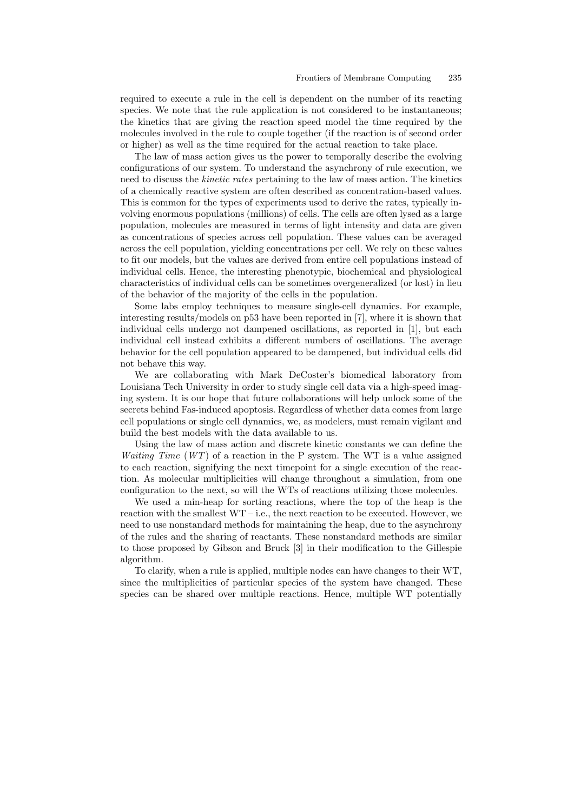required to execute a rule in the cell is dependent on the number of its reacting species. We note that the rule application is not considered to be instantaneous; the kinetics that are giving the reaction speed model the time required by the molecules involved in the rule to couple together (if the reaction is of second order or higher) as well as the time required for the actual reaction to take place.

The law of mass action gives us the power to temporally describe the evolving configurations of our system. To understand the asynchrony of rule execution, we need to discuss the *kinetic rates* pertaining to the law of mass action. The kinetics of a chemically reactive system are often described as concentration-based values. This is common for the types of experiments used to derive the rates, typically involving enormous populations (millions) of cells. The cells are often lysed as a large population, molecules are measured in terms of light intensity and data are given as concentrations of species across cell population. These values can be averaged across the cell population, yielding concentrations per cell. We rely on these values to fit our models, but the values are derived from entire cell populations instead of individual cells. Hence, the interesting phenotypic, biochemical and physiological characteristics of individual cells can be sometimes overgeneralized (or lost) in lieu of the behavior of the majority of the cells in the population.

Some labs employ techniques to measure single-cell dynamics. For example, interesting results/models on p53 have been reported in [7], where it is shown that individual cells undergo not dampened oscillations, as reported in [1], but each individual cell instead exhibits a different numbers of oscillations. The average behavior for the cell population appeared to be dampened, but individual cells did not behave this way.

We are collaborating with Mark DeCoster's biomedical laboratory from Louisiana Tech University in order to study single cell data via a high-speed imaging system. It is our hope that future collaborations will help unlock some of the secrets behind Fas-induced apoptosis. Regardless of whether data comes from large cell populations or single cell dynamics, we, as modelers, must remain vigilant and build the best models with the data available to us.

Using the law of mass action and discrete kinetic constants we can define the *Waiting Time* (*WT*) of a reaction in the P system. The WT is a value assigned to each reaction, signifying the next timepoint for a single execution of the reaction. As molecular multiplicities will change throughout a simulation, from one configuration to the next, so will the WTs of reactions utilizing those molecules.

We used a min-heap for sorting reactions, where the top of the heap is the reaction with the smallest  $WT - i.e.,$  the next reaction to be executed. However, we need to use nonstandard methods for maintaining the heap, due to the asynchrony of the rules and the sharing of reactants. These nonstandard methods are similar to those proposed by Gibson and Bruck [3] in their modification to the Gillespie algorithm.

To clarify, when a rule is applied, multiple nodes can have changes to their WT, since the multiplicities of particular species of the system have changed. These species can be shared over multiple reactions. Hence, multiple WT potentially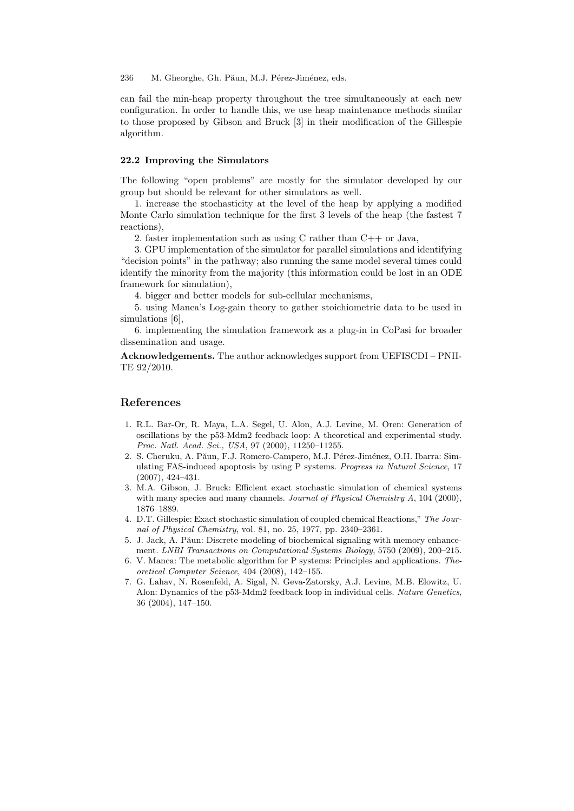can fail the min-heap property throughout the tree simultaneously at each new configuration. In order to handle this, we use heap maintenance methods similar to those proposed by Gibson and Bruck [3] in their modification of the Gillespie algorithm.

#### **22.2 Improving the Simulators**

The following "open problems" are mostly for the simulator developed by our group but should be relevant for other simulators as well.

1. increase the stochasticity at the level of the heap by applying a modified Monte Carlo simulation technique for the first 3 levels of the heap (the fastest 7 reactions),

2. faster implementation such as using C rather than  $C_{++}$  or Java,

3. GPU implementation of the simulator for parallel simulations and identifying "decision points" in the pathway; also running the same model several times could identify the minority from the majority (this information could be lost in an ODE framework for simulation),

4. bigger and better models for sub-cellular mechanisms,

5. using Manca's Log-gain theory to gather stoichiometric data to be used in simulations [6],

6. implementing the simulation framework as a plug-in in CoPasi for broader dissemination and usage.

**Acknowledgements.** The author acknowledges support from UEFISCDI – PNII-TE 92/2010.

- 1. R.L. Bar-Or, R. Maya, L.A. Segel, U. Alon, A.J. Levine, M. Oren: Generation of oscillations by the p53-Mdm2 feedback loop: A theoretical and experimental study. *Proc. Natl. Acad. Sci., USA*, 97 (2000), 11250–11255.
- 2. S. Cheruku, A. Păun, F.J. Romero-Campero, M.J. Pérez-Jiménez, O.H. Ibarra: Simulating FAS-induced apoptosis by using P systems. *Progress in Natural Science*, 17 (2007), 424–431.
- 3. M.A. Gibson, J. Bruck: Efficient exact stochastic simulation of chemical systems with many species and many channels. *Journal of Physical Chemistry A*, 104 (2000), 1876–1889.
- 4. D.T. Gillespie: Exact stochastic simulation of coupled chemical Reactions," *The Journal of Physical Chemistry*, vol. 81, no. 25, 1977, pp. 2340–2361.
- 5. J. Jack, A. Păun: Discrete modeling of biochemical signaling with memory enhancement. *LNBI Transactions on Computational Systems Biology*, 5750 (2009), 200–215.
- 6. V. Manca: The metabolic algorithm for P systems: Principles and applications. *Theoretical Computer Science*, 404 (2008), 142–155.
- 7. G. Lahav, N. Rosenfeld, A. Sigal, N. Geva-Zatorsky, A.J. Levine, M.B. Elowitz, U. Alon: Dynamics of the p53-Mdm2 feedback loop in individual cells. *Nature Genetics*, 36 (2004), 147–150.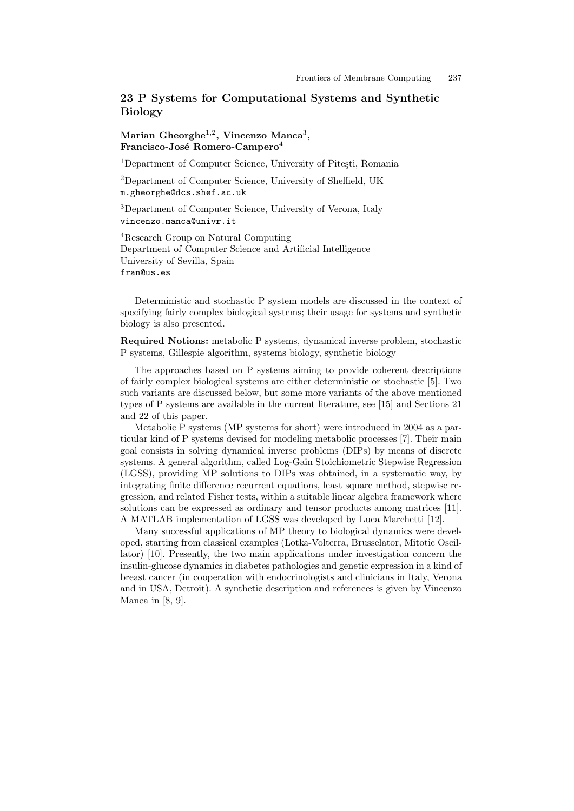# **23 P Systems for Computational Systems and Synthetic Biology**

## **Marian Gheorghe**<sup>1</sup>*,*<sup>2</sup> **, Vincenzo Manca**<sup>3</sup> **,** Francisco-José Romero-Campero<sup>4</sup>

<sup>1</sup>Department of Computer Science, University of Pitești, Romania

<sup>2</sup>Department of Computer Science, University of Sheffield, UK m.gheorghe@dcs.shef.ac.uk

<sup>3</sup>Department of Computer Science, University of Verona, Italy vincenzo.manca@univr.it

<sup>4</sup>Research Group on Natural Computing Department of Computer Science and Artificial Intelligence University of Sevilla, Spain fran@us.es

Deterministic and stochastic P system models are discussed in the context of specifying fairly complex biological systems; their usage for systems and synthetic biology is also presented.

**Required Notions:** metabolic P systems, dynamical inverse problem, stochastic P systems, Gillespie algorithm, systems biology, synthetic biology

The approaches based on P systems aiming to provide coherent descriptions of fairly complex biological systems are either deterministic or stochastic [5]. Two such variants are discussed below, but some more variants of the above mentioned types of P systems are available in the current literature, see [15] and Sections 21 and 22 of this paper.

Metabolic P systems (MP systems for short) were introduced in 2004 as a particular kind of P systems devised for modeling metabolic processes [7]. Their main goal consists in solving dynamical inverse problems (DIPs) by means of discrete systems. A general algorithm, called Log-Gain Stoichiometric Stepwise Regression (LGSS), providing MP solutions to DIPs was obtained, in a systematic way, by integrating finite difference recurrent equations, least square method, stepwise regression, and related Fisher tests, within a suitable linear algebra framework where solutions can be expressed as ordinary and tensor products among matrices [11]. A MATLAB implementation of LGSS was developed by Luca Marchetti [12].

Many successful applications of MP theory to biological dynamics were developed, starting from classical examples (Lotka-Volterra, Brusselator, Mitotic Oscillator) [10]. Presently, the two main applications under investigation concern the insulin-glucose dynamics in diabetes pathologies and genetic expression in a kind of breast cancer (in cooperation with endocrinologists and clinicians in Italy, Verona and in USA, Detroit). A synthetic description and references is given by Vincenzo Manca in [8, 9].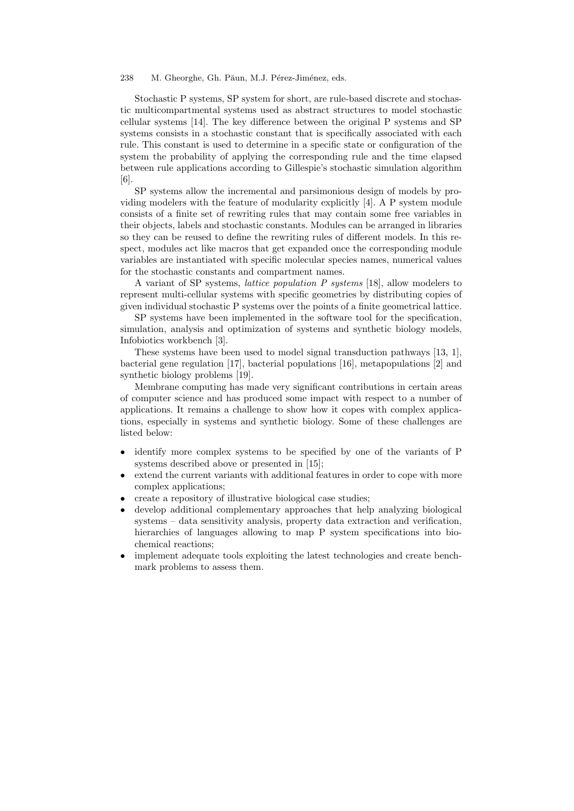Stochastic P systems, SP system for short, are rule-based discrete and stochastic multicompartmental systems used as abstract structures to model stochastic cellular systems [14]. The key difference between the original P systems and SP systems consists in a stochastic constant that is specifically associated with each rule. This constant is used to determine in a specific state or configuration of the system the probability of applying the corresponding rule and the time elapsed between rule applications according to Gillespie's stochastic simulation algorithm [6].

SP systems allow the incremental and parsimonious design of models by providing modelers with the feature of modularity explicitly [4]. A P system module consists of a finite set of rewriting rules that may contain some free variables in their objects, labels and stochastic constants. Modules can be arranged in libraries so they can be reused to define the rewriting rules of different models. In this respect, modules act like macros that get expanded once the corresponding module variables are instantiated with specific molecular species names, numerical values for the stochastic constants and compartment names.

A variant of SP systems, *lattice population P systems* [18], allow modelers to represent multi-cellular systems with specific geometries by distributing copies of given individual stochastic P systems over the points of a finite geometrical lattice.

SP systems have been implemented in the software tool for the specification, simulation, analysis and optimization of systems and synthetic biology models, Infobiotics workbench [3].

These systems have been used to model signal transduction pathways [13, 1], bacterial gene regulation [17], bacterial populations [16], metapopulations [2] and synthetic biology problems [19].

Membrane computing has made very significant contributions in certain areas of computer science and has produced some impact with respect to a number of applications. It remains a challenge to show how it copes with complex applications, especially in systems and synthetic biology. Some of these challenges are listed below:

- *•* identify more complex systems to be specified by one of the variants of P systems described above or presented in [15];
- *•* extend the current variants with additional features in order to cope with more complex applications;
- *•* create a repository of illustrative biological case studies;
- *•* develop additional complementary approaches that help analyzing biological systems – data sensitivity analysis, property data extraction and verification, hierarchies of languages allowing to map P system specifications into biochemical reactions;
- implement adequate tools exploiting the latest technologies and create benchmark problems to assess them.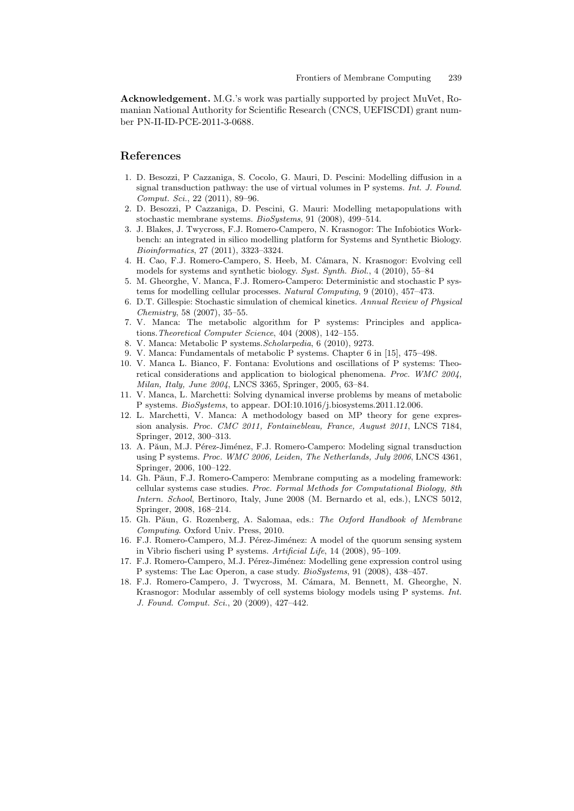**Acknowledgement.** M.G.'s work was partially supported by project MuVet, Romanian National Authority for Scientific Research (CNCS, UEFISCDI) grant number PN-II-ID-PCE-2011-3-0688.

- 1. D. Besozzi, P Cazzaniga, S. Cocolo, G. Mauri, D. Pescini: Modelling diffusion in a signal transduction pathway: the use of virtual volumes in P systems. *Int. J. Found. Comput. Sci.*, 22 (2011), 89–96.
- 2. D. Besozzi, P Cazzaniga, D. Pescini, G. Mauri: Modelling metapopulations with stochastic membrane systems. *BioSystems*, 91 (2008), 499–514.
- 3. J. Blakes, J. Twycross, F.J. Romero-Campero, N. Krasnogor: The Infobiotics Workbench: an integrated in silico modelling platform for Systems and Synthetic Biology. *Bioinformatics*, 27 (2011), 3323–3324.
- 4. H. Cao, F.J. Romero-Campero, S. Heeb, M. C´amara, N. Krasnogor: Evolving cell models for systems and synthetic biology. *Syst. Synth. Biol.*, 4 (2010), 55–84
- 5. M. Gheorghe, V. Manca, F.J. Romero-Campero: Deterministic and stochastic P systems for modelling cellular processes. *Natural Computing*, 9 (2010), 457–473.
- 6. D.T. Gillespie: Stochastic simulation of chemical kinetics. *Annual Review of Physical Chemistry*, 58 (2007), 35–55.
- 7. V. Manca: The metabolic algorithm for P systems: Principles and applications.*Theoretical Computer Science*, 404 (2008), 142–155.
- 8. V. Manca: Metabolic P systems.*Scholarpedia*, 6 (2010), 9273.
- 9. V. Manca: Fundamentals of metabolic P systems. Chapter 6 in [15], 475–498.
- 10. V. Manca L. Bianco, F. Fontana: Evolutions and oscillations of P systems: Theoretical considerations and application to biological phenomena. *Proc. WMC 2004, Milan, Italy, June 2004*, LNCS 3365, Springer, 2005, 63–84.
- 11. V. Manca, L. Marchetti: Solving dynamical inverse problems by means of metabolic P systems. *BioSystems*, to appear. DOI:10.1016/j.biosystems.2011.12.006.
- 12. L. Marchetti, V. Manca: A methodology based on MP theory for gene expression analysis. *Proc. CMC 2011, Fontainebleau, France, August 2011*, LNCS 7184, Springer, 2012, 300–313.
- 13. A. Păun, M.J. Pérez-Jiménez, F.J. Romero-Campero: Modeling signal transduction using P systems. *Proc. WMC 2006, Leiden, The Netherlands, July 2006*, LNCS 4361, Springer, 2006, 100–122.
- 14. Gh. Păun, F.J. Romero-Campero: Membrane computing as a modeling framework: cellular systems case studies. *Proc. Formal Methods for Computational Biology, 8th Intern. School*, Bertinoro, Italy, June 2008 (M. Bernardo et al, eds.), LNCS 5012, Springer, 2008, 168–214.
- 15. Gh. Păun, G. Rozenberg, A. Salomaa, eds.: *The Oxford Handbook of Membrane Computing*. Oxford Univ. Press, 2010.
- 16. F.J. Romero-Campero, M.J. Pérez-Jiménez: A model of the quorum sensing system in Vibrio fischeri using P systems. *Artificial Life*, 14 (2008), 95–109.
- 17. F.J. Romero-Campero, M.J. Pérez-Jiménez: Modelling gene expression control using P systems: The Lac Operon, a case study. *BioSystems*, 91 (2008), 438–457.
- 18. F.J. Romero-Campero, J. Twycross, M. Cámara, M. Bennett, M. Gheorghe, N. Krasnogor: Modular assembly of cell systems biology models using P systems. *Int. J. Found. Comput. Sci.*, 20 (2009), 427–442.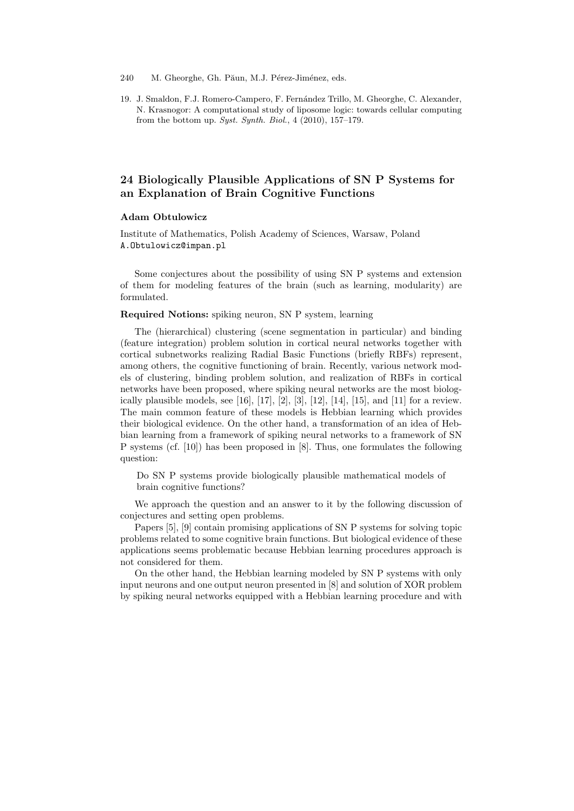- 240 M. Gheorghe, Gh. Păun, M.J. Pérez-Jiménez, eds.
- 19. J. Smaldon, F.J. Romero-Campero, F. Fernández Trillo, M. Gheorghe, C. Alexander, N. Krasnogor: A computational study of liposome logic: towards cellular computing from the bottom up. *Syst. Synth. Biol.*, 4 (2010), 157–179.

# **24 Biologically Plausible Applications of SN P Systems for an Explanation of Brain Cognitive Functions**

## **Adam Obtulowicz**

Institute of Mathematics, Polish Academy of Sciences, Warsaw, Poland A.Obtulowicz@impan.pl

Some conjectures about the possibility of using SN P systems and extension of them for modeling features of the brain (such as learning, modularity) are formulated.

### **Required Notions:** spiking neuron, SN P system, learning

The (hierarchical) clustering (scene segmentation in particular) and binding (feature integration) problem solution in cortical neural networks together with cortical subnetworks realizing Radial Basic Functions (briefly RBFs) represent, among others, the cognitive functioning of brain. Recently, various network models of clustering, binding problem solution, and realization of RBFs in cortical networks have been proposed, where spiking neural networks are the most biologically plausible models, see  $[16]$ ,  $[17]$ ,  $[2]$ ,  $[3]$ ,  $[12]$ ,  $[14]$ ,  $[15]$ , and  $[11]$  for a review. The main common feature of these models is Hebbian learning which provides their biological evidence. On the other hand, a transformation of an idea of Hebbian learning from a framework of spiking neural networks to a framework of SN P systems (cf. [10]) has been proposed in [8]. Thus, one formulates the following question:

Do SN P systems provide biologically plausible mathematical models of brain cognitive functions?

We approach the question and an answer to it by the following discussion of conjectures and setting open problems.

Papers [5], [9] contain promising applications of SN P systems for solving topic problems related to some cognitive brain functions. But biological evidence of these applications seems problematic because Hebbian learning procedures approach is not considered for them.

On the other hand, the Hebbian learning modeled by SN P systems with only input neurons and one output neuron presented in [8] and solution of XOR problem by spiking neural networks equipped with a Hebbian learning procedure and with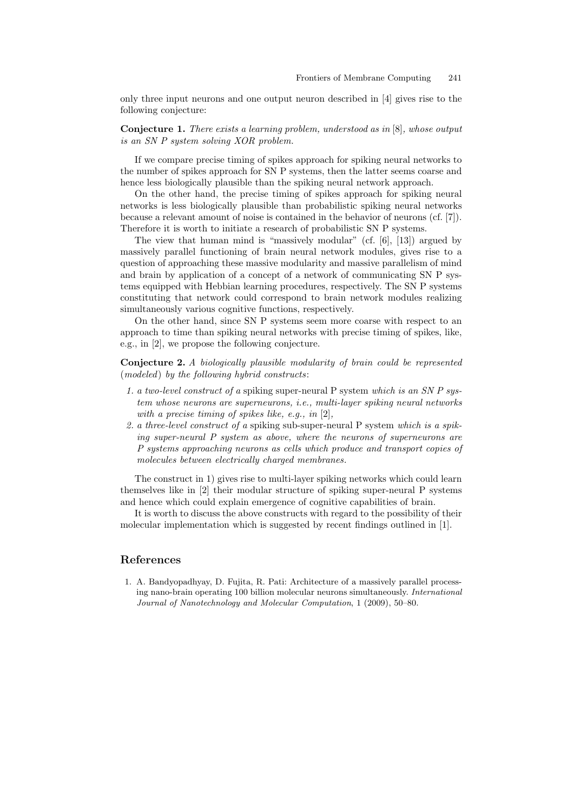only three input neurons and one output neuron described in [4] gives rise to the following conjecture:

**Conjecture 1.** *There exists a learning problem, understood as in* [8]*, whose output is an SN P system solving XOR problem.*

If we compare precise timing of spikes approach for spiking neural networks to the number of spikes approach for SN P systems, then the latter seems coarse and hence less biologically plausible than the spiking neural network approach.

On the other hand, the precise timing of spikes approach for spiking neural networks is less biologically plausible than probabilistic spiking neural networks because a relevant amount of noise is contained in the behavior of neurons (cf. [7]). Therefore it is worth to initiate a research of probabilistic SN P systems.

The view that human mind is "massively modular" (cf. [6], [13]) argued by massively parallel functioning of brain neural network modules, gives rise to a question of approaching these massive modularity and massive parallelism of mind and brain by application of a concept of a network of communicating SN P systems equipped with Hebbian learning procedures, respectively. The SN P systems constituting that network could correspond to brain network modules realizing simultaneously various cognitive functions, respectively.

On the other hand, since SN P systems seem more coarse with respect to an approach to time than spiking neural networks with precise timing of spikes, like, e.g., in [2], we propose the following conjecture.

**Conjecture 2.** *A biologically plausible modularity of brain could be represented* (*modeled*) *by the following hybrid constructs*:

- *1. a two-level construct of a* spiking super-neural P system *which is an SN P system whose neurons are superneurons, i.e., multi-layer spiking neural networks with a precise timing of spikes like, e.g., in* [2]*,*
- *2. a three-level construct of a* spiking sub-super-neural P system *which is a spiking super-neural P system as above, where the neurons of superneurons are P systems approaching neurons as cells which produce and transport copies of molecules between electrically charged membranes.*

The construct in 1) gives rise to multi-layer spiking networks which could learn themselves like in [2] their modular structure of spiking super-neural P systems and hence which could explain emergence of cognitive capabilities of brain.

It is worth to discuss the above constructs with regard to the possibility of their molecular implementation which is suggested by recent findings outlined in [1].

## **References**

1. A. Bandyopadhyay, D. Fujita, R. Pati: Architecture of a massively parallel processing nano-brain operating 100 billion molecular neurons simultaneously. *International Journal of Nanotechnology and Molecular Computation*, 1 (2009), 50–80.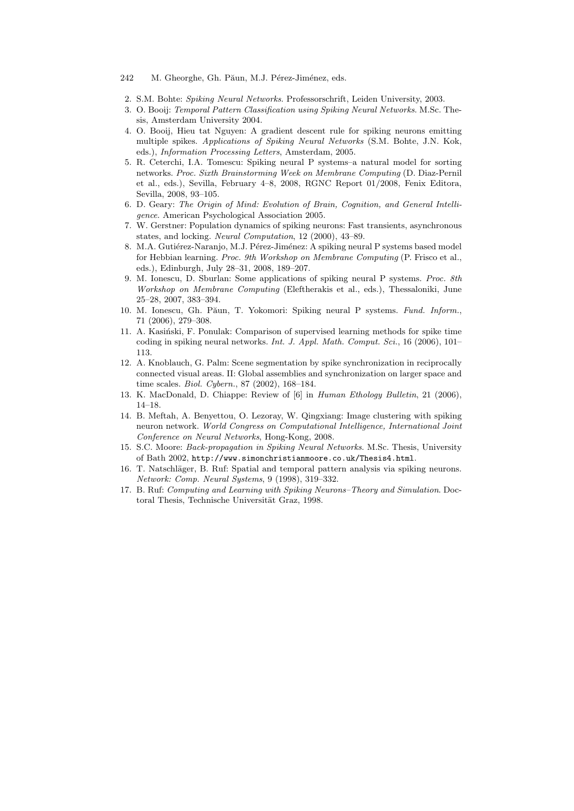- 242 M. Gheorghe, Gh. Păun, M.J. Pérez-Jiménez, eds.
- 2. S.M. Bohte: *Spiking Neural Networks*. Professorschrift, Leiden University, 2003.
- 3. O. Booij: *Temporal Pattern Classification using Spiking Neural Networks*. M.Sc. Thesis, Amsterdam University 2004.
- 4. O. Booij, Hieu tat Nguyen: A gradient descent rule for spiking neurons emitting multiple spikes. *Applications of Spiking Neural Networks* (S.M. Bohte, J.N. Kok, eds.), *Information Processing Letters*, Amsterdam, 2005.
- 5. R. Ceterchi, I.A. Tomescu: Spiking neural P systems–a natural model for sorting networks. *Proc. Sixth Brainstorming Week on Membrane Computing* (D. Diaz-Pernil et al., eds.), Sevilla, February 4–8, 2008, RGNC Report 01/2008, Fenix Editora, Sevilla, 2008, 93–105.
- 6. D. Geary: *The Origin of Mind: Evolution of Brain, Cognition, and General Intelligence*. American Psychological Association 2005.
- 7. W. Gerstner: Population dynamics of spiking neurons: Fast transients, asynchronous states, and locking. *Neural Computation*, 12 (2000), 43–89.
- 8. M.A. Gutiérez-Naranjo, M.J. Pérez-Jiménez: A spiking neural P systems based model for Hebbian learning. *Proc. 9th Workshop on Membrane Computing* (P. Frisco et al., eds.), Edinburgh, July 28–31, 2008, 189–207.
- 9. M. Ionescu, D. Sburlan: Some applications of spiking neural P systems. *Proc. 8th Workshop on Membrane Computing* (Eleftherakis et al., eds.), Thessaloniki, June 25–28, 2007, 383–394.
- 10. M. Ionescu, Gh. Păun, T. Yokomori: Spiking neural P systems. *Fund. Inform.*, 71 (2006), 279–308.
- 11. A. Kasiński, F. Ponulak: Comparison of supervised learning methods for spike time coding in spiking neural networks. *Int. J. Appl. Math. Comput. Sci.*, 16 (2006), 101– 113.
- 12. A. Knoblauch, G. Palm: Scene segmentation by spike synchronization in reciprocally connected visual areas. II: Global assemblies and synchronization on larger space and time scales. *Biol. Cybern.*, 87 (2002), 168–184.
- 13. K. MacDonald, D. Chiappe: Review of [6] in *Human Ethology Bulletin*, 21 (2006), 14–18.
- 14. B. Meftah, A. Benyettou, O. Lezoray, W. Qingxiang: Image clustering with spiking neuron network. *World Congress on Computational Intelligence, International Joint Conference on Neural Networks*, Hong-Kong, 2008.
- 15. S.C. Moore: *Back-propagation in Spiking Neural Networks*. M.Sc. Thesis, University of Bath 2002, http://www.simonchristianmoore.co.uk/Thesis4.html.
- 16. T. Natschläger, B. Ruf: Spatial and temporal pattern analysis via spiking neurons. *Network: Comp. Neural Systems*, 9 (1998), 319–332.
- 17. B. Ruf: *Computing and Learning with Spiking Neurons–Theory and Simulation*. Doctoral Thesis, Technische Universität Graz, 1998.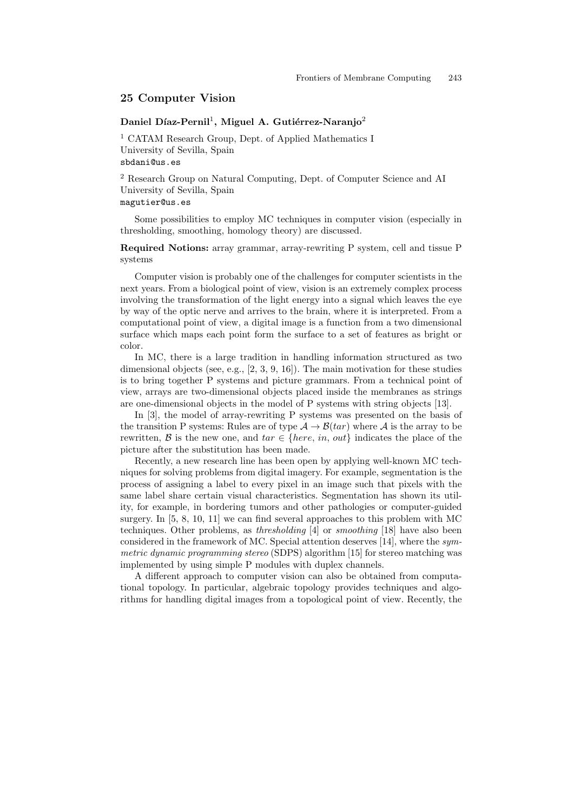# **25 Computer Vision**

# Daniel Díaz-Pernil<sup>1</sup>, Miguel A. Gutiérrez-Naranjo<sup>2</sup>

<sup>1</sup> CATAM Research Group, Dept. of Applied Mathematics I University of Sevilla, Spain sbdani@us.es

<sup>2</sup> Research Group on Natural Computing, Dept. of Computer Science and AI University of Sevilla, Spain

### magutier@us.es

Some possibilities to employ MC techniques in computer vision (especially in thresholding, smoothing, homology theory) are discussed.

**Required Notions:** array grammar, array-rewriting P system, cell and tissue P systems

Computer vision is probably one of the challenges for computer scientists in the next years. From a biological point of view, vision is an extremely complex process involving the transformation of the light energy into a signal which leaves the eye by way of the optic nerve and arrives to the brain, where it is interpreted. From a computational point of view, a digital image is a function from a two dimensional surface which maps each point form the surface to a set of features as bright or color.

In MC, there is a large tradition in handling information structured as two dimensional objects (see, e.g.,  $[2, 3, 9, 16]$ ). The main motivation for these studies is to bring together P systems and picture grammars. From a technical point of view, arrays are two-dimensional objects placed inside the membranes as strings are one-dimensional objects in the model of P systems with string objects [13].

In [3], the model of array-rewriting P systems was presented on the basis of the transition P systems: Rules are of type  $A \rightarrow \mathcal{B}(tar)$  where *A* is the array to be rewritten, *B* is the new one, and  $tar \in \{here, in, out\}$  indicates the place of the picture after the substitution has been made.

Recently, a new research line has been open by applying well-known MC techniques for solving problems from digital imagery. For example, segmentation is the process of assigning a label to every pixel in an image such that pixels with the same label share certain visual characteristics. Segmentation has shown its utility, for example, in bordering tumors and other pathologies or computer-guided surgery. In [5, 8, 10, 11] we can find several approaches to this problem with MC techniques. Other problems, as *thresholding* [4] or *smoothing* [18] have also been considered in the framework of MC. Special attention deserves [14], where the *symmetric dynamic programming stereo* (SDPS) algorithm [15] for stereo matching was implemented by using simple P modules with duplex channels.

A different approach to computer vision can also be obtained from computational topology. In particular, algebraic topology provides techniques and algorithms for handling digital images from a topological point of view. Recently, the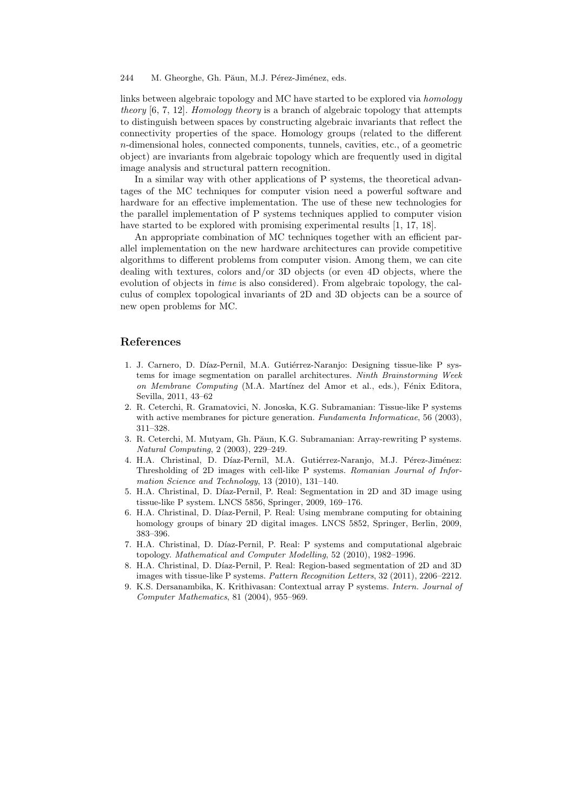244 M. Gheorghe, Gh. Păun, M.J. Pérez-Jiménez, eds.

links between algebraic topology and MC have started to be explored via *homology theory* [6, 7, 12]. *Homology theory* is a branch of algebraic topology that attempts to distinguish between spaces by constructing algebraic invariants that reflect the connectivity properties of the space. Homology groups (related to the different *n*-dimensional holes, connected components, tunnels, cavities, etc., of a geometric object) are invariants from algebraic topology which are frequently used in digital image analysis and structural pattern recognition.

In a similar way with other applications of P systems, the theoretical advantages of the MC techniques for computer vision need a powerful software and hardware for an effective implementation. The use of these new technologies for the parallel implementation of P systems techniques applied to computer vision have started to be explored with promising experimental results [1, 17, 18].

An appropriate combination of MC techniques together with an efficient parallel implementation on the new hardware architectures can provide competitive algorithms to different problems from computer vision. Among them, we can cite dealing with textures, colors and/or 3D objects (or even 4D objects, where the evolution of objects in *time* is also considered). From algebraic topology, the calculus of complex topological invariants of 2D and 3D objects can be a source of new open problems for MC.

# **References**

- 1. J. Carnero, D. Díaz-Pernil, M.A. Gutiérrez-Naranjo: Designing tissue-like P systems for image segmentation on parallel architectures. *Ninth Brainstorming Week on Membrane Computing* (M.A. Martínez del Amor et al., eds.), Fénix Editora, Sevilla, 2011, 43–62
- 2. R. Ceterchi, R. Gramatovici, N. Jonoska, K.G. Subramanian: Tissue-like P systems with active membranes for picture generation. *Fundamenta Informaticae*, 56 (2003), 311–328.
- 3. R. Ceterchi, M. Mutyam, Gh. Păun, K.G. Subramanian: Array-rewriting P systems. *Natural Computing*, 2 (2003), 229–249.
- 4. H.A. Christinal, D. Díaz-Pernil, M.A. Gutiérrez-Naranjo, M.J. Pérez-Jiménez: Thresholding of 2D images with cell-like P systems. *Romanian Journal of Information Science and Technology*, 13 (2010), 131–140.
- 5. H.A. Christinal, D. Díaz-Pernil, P. Real: Segmentation in 2D and 3D image using tissue-like P system. LNCS 5856, Springer, 2009, 169–176.
- 6. H.A. Christinal, D. Díaz-Pernil, P. Real: Using membrane computing for obtaining homology groups of binary 2D digital images. LNCS 5852, Springer, Berlin, 2009, 383–396.
- 7. H.A. Christinal, D. Díaz-Pernil, P. Real: P systems and computational algebraic topology. *Mathematical and Computer Modelling*, 52 (2010), 1982–1996.
- 8. H.A. Christinal, D. Díaz-Pernil, P. Real: Region-based segmentation of 2D and 3D images with tissue-like P systems. *Pattern Recognition Letters*, 32 (2011), 2206–2212.
- 9. K.S. Dersanambika, K. Krithivasan: Contextual array P systems. *Intern. Journal of Computer Mathematics*, 81 (2004), 955–969.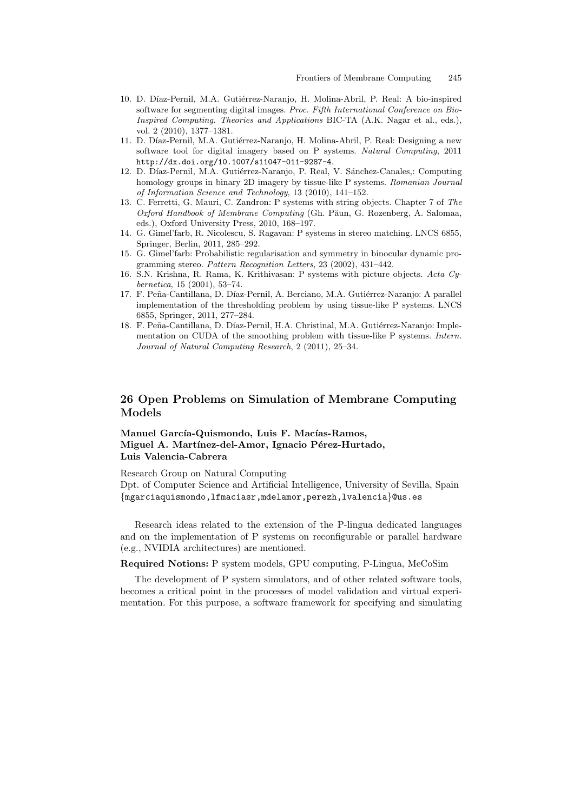- 10. D. Díaz-Pernil, M.A. Gutiérrez-Naranjo, H. Molina-Abril, P. Real: A bio-inspired software for segmenting digital images. *Proc. Fifth International Conference on Bio-Inspired Computing. Theories and Applications* BIC-TA (A.K. Nagar et al., eds.), vol. 2 (2010), 1377–1381.
- 11. D. Díaz-Pernil, M.A. Gutiérrez-Naranjo, H. Molina-Abril, P. Real: Designing a new software tool for digital imagery based on P systems. *Natural Computing*, 2011 http://dx.doi.org/10.1007/s11047-011-9287-4.
- 12. D. Díaz-Pernil, M.A. Gutiérrez-Naranjo, P. Real, V. Sánchez-Canales,: Computing homology groups in binary 2D imagery by tissue-like P systems. *Romanian Journal of Information Science and Technology*, 13 (2010), 141–152.
- 13. C. Ferretti, G. Mauri, C. Zandron: P systems with string objects. Chapter 7 of *The Oxford Handbook of Membrane Computing* (Gh. Păun, G. Rozenberg, A. Salomaa, eds.), Oxford University Press, 2010, 168–197.
- 14. G. Gimel'farb, R. Nicolescu, S. Ragavan: P systems in stereo matching. LNCS 6855, Springer, Berlin, 2011, 285–292.
- 15. G. Gimel'farb: Probabilistic regularisation and symmetry in binocular dynamic programming stereo. *Pattern Recognition Letters*, 23 (2002), 431–442.
- 16. S.N. Krishna, R. Rama, K. Krithivasan: P systems with picture objects. *Acta Cybernetica*, 15 (2001), 53–74.
- 17. F. Peña-Cantillana, D. Díaz-Pernil, A. Berciano, M.A. Gutiérrez-Naranjo: A parallel implementation of the thresholding problem by using tissue-like P systems. LNCS 6855, Springer, 2011, 277–284.
- 18. F. Peña-Cantillana, D. Díaz-Pernil, H.A. Christinal, M.A. Gutiérrez-Naranjo: Implementation on CUDA of the smoothing problem with tissue-like P systems. *Intern. Journal of Natural Computing Research*, 2 (2011), 25–34.

# **26 Open Problems on Simulation of Membrane Computing Models**

## Manuel García-Quismondo, Luis F. Macías-Ramos, Miguel A. Martínez-del-Amor, Ignacio Pérez-Hurtado, **Luis Valencia-Cabrera**

Research Group on Natural Computing

Dpt. of Computer Science and Artificial Intelligence, University of Sevilla, Spain *{*mgarciaquismondo,lfmaciasr,mdelamor,perezh,lvalencia*}*@us.es

Research ideas related to the extension of the P-lingua dedicated languages and on the implementation of P systems on reconfigurable or parallel hardware (e.g., NVIDIA architectures) are mentioned.

**Required Notions:** P system models, GPU computing, P-Lingua, MeCoSim

The development of P system simulators, and of other related software tools, becomes a critical point in the processes of model validation and virtual experimentation. For this purpose, a software framework for specifying and simulating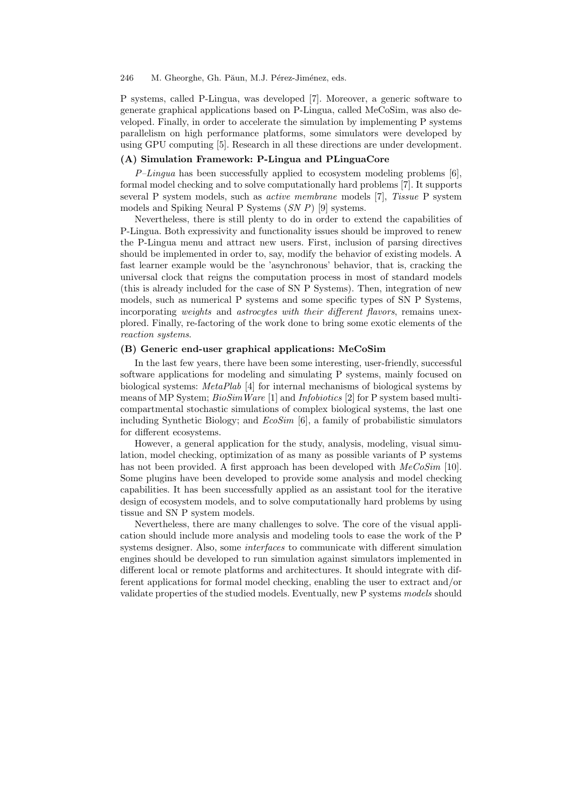#### 246 M. Gheorghe, Gh. Păun, M.J. Pérez-Jiménez, eds.

P systems, called P-Lingua, was developed [7]. Moreover, a generic software to generate graphical applications based on P-Lingua, called MeCoSim, was also developed. Finally, in order to accelerate the simulation by implementing P systems parallelism on high performance platforms, some simulators were developed by using GPU computing [5]. Research in all these directions are under development.

## **(A) Simulation Framework: P-Lingua and PLinguaCore**

*P–Lingua* has been successfully applied to ecosystem modeling problems [6]. formal model checking and to solve computationally hard problems [7]. It supports several P system models, such as *active membrane* models [7], *Tissue* P system models and Spiking Neural P Systems (*SN P*) [9] systems.

Nevertheless, there is still plenty to do in order to extend the capabilities of P-Lingua. Both expressivity and functionality issues should be improved to renew the P-Lingua menu and attract new users. First, inclusion of parsing directives should be implemented in order to, say, modify the behavior of existing models. A fast learner example would be the 'asynchronous' behavior, that is, cracking the universal clock that reigns the computation process in most of standard models (this is already included for the case of SN P Systems). Then, integration of new models, such as numerical P systems and some specific types of SN P Systems, incorporating *weights* and *astrocytes with their different flavors*, remains unexplored. Finally, re-factoring of the work done to bring some exotic elements of the *reaction systems*.

### **(B) Generic end-user graphical applications: MeCoSim**

In the last few years, there have been some interesting, user-friendly, successful software applications for modeling and simulating P systems, mainly focused on biological systems: *MetaPlab* [4] for internal mechanisms of biological systems by means of MP System; *BioSimWare* [1] and *Infobiotics* [2] for P system based multicompartmental stochastic simulations of complex biological systems, the last one including Synthetic Biology; and *EcoSim* [6], a family of probabilistic simulators for different ecosystems.

However, a general application for the study, analysis, modeling, visual simulation, model checking, optimization of as many as possible variants of P systems has not been provided. A first approach has been developed with *MeCoSim* [10]. Some plugins have been developed to provide some analysis and model checking capabilities. It has been successfully applied as an assistant tool for the iterative design of ecosystem models, and to solve computationally hard problems by using tissue and SN P system models.

Nevertheless, there are many challenges to solve. The core of the visual application should include more analysis and modeling tools to ease the work of the P systems designer. Also, some *interfaces* to communicate with different simulation engines should be developed to run simulation against simulators implemented in different local or remote platforms and architectures. It should integrate with different applications for formal model checking, enabling the user to extract and/or validate properties of the studied models. Eventually, new P systems *models* should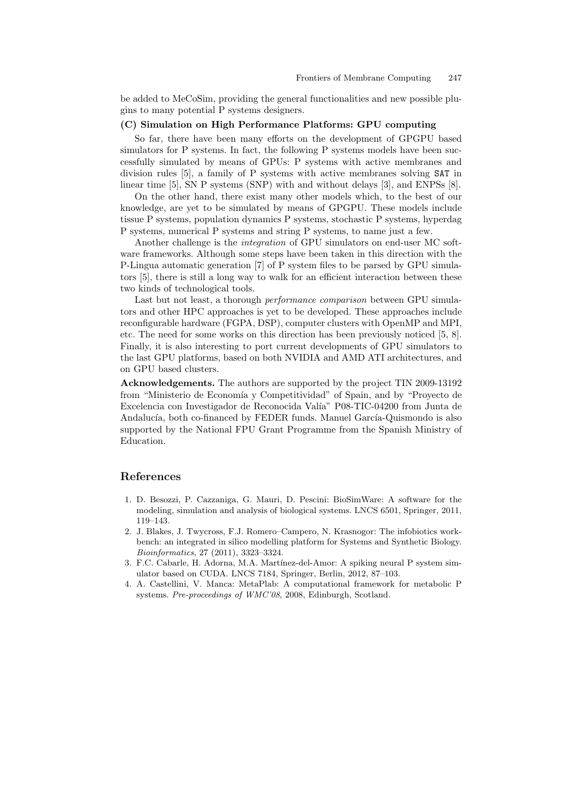be added to MeCoSim, providing the general functionalities and new possible plugins to many potential P systems designers.

#### **(C) Simulation on High Performance Platforms: GPU computing**

So far, there have been many efforts on the development of GPGPU based simulators for P systems. In fact, the following P systems models have been successfully simulated by means of GPUs: P systems with active membranes and division rules [5], a family of P systems with active membranes solving SAT in linear time [5], SN P systems (SNP) with and without delays [3], and ENPSs [8].

On the other hand, there exist many other models which, to the best of our knowledge, are yet to be simulated by means of GPGPU. These models include tissue P systems, population dynamics P systems, stochastic P systems, hyperdag P systems, numerical P systems and string P systems, to name just a few.

Another challenge is the *integration* of GPU simulators on end-user MC software frameworks. Although some steps have been taken in this direction with the P-Lingua automatic generation [7] of P system files to be parsed by GPU simulators [5], there is still a long way to walk for an efficient interaction between these two kinds of technological tools.

Last but not least, a thorough *performance comparison* between GPU simulators and other HPC approaches is yet to be developed. These approaches include reconfigurable hardware (FGPA, DSP), computer clusters with OpenMP and MPI, etc. The need for some works on this direction has been previously noticed [5, 8]. Finally, it is also interesting to port current developments of GPU simulators to the last GPU platforms, based on both NVIDIA and AMD ATI architectures, and on GPU based clusters.

**Acknowledgements.** The authors are supported by the project TIN 2009-13192 from "Ministerio de Economía y Competitividad" of Spain, and by "Proyecto de Excelencia con Investigador de Reconocida Valía" P08-TIC-04200 from Junta de Andalucía, both co-financed by FEDER funds. Manuel García-Quismondo is also supported by the National FPU Grant Programme from the Spanish Ministry of Education.

## **References**

- 1. D. Besozzi, P. Cazzaniga, G. Mauri, D. Pescini: BioSimWare: A software for the modeling, simulation and analysis of biological systems. LNCS 6501, Springer, 2011, 119–143.
- 2. J. Blakes, J. Twycross, F.J. Romero–Campero, N. Krasnogor: The infobiotics workbench: an integrated in silico modelling platform for Systems and Synthetic Biology. *Bioinformatics*, 27 (2011), 3323–3324.
- 3. F.C. Cabarle, H. Adorna, M.A. Mart´ınez-del-Amor: A spiking neural P system simulator based on CUDA. LNCS 7184, Springer, Berlin, 2012, 87–103.
- 4. A. Castellini, V. Manca: MetaPlab: A computational framework for metabolic P systems. *Pre-proceedings of WMC'08*, 2008, Edinburgh, Scotland.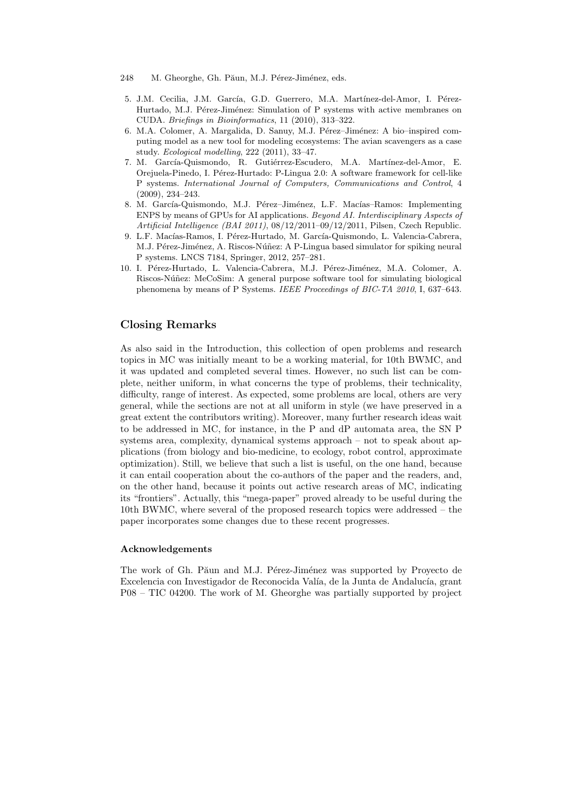- 248 M. Gheorghe, Gh. Păun, M.J. Pérez-Jiménez, eds.
- 5. J.M. Cecilia, J.M. García, G.D. Guerrero, M.A. Martínez-del-Amor, I. Pérez-Hurtado, M.J. Pérez-Jiménez: Simulation of P systems with active membranes on CUDA. *Briefings in Bioinformatics*, 11 (2010), 313–322.
- 6. M.A. Colomer, A. Margalida, D. Sanuy, M.J. Pérez–Jiménez: A bio–inspired computing model as a new tool for modeling ecosystems: The avian scavengers as a case study. *Ecological modelling*, 222 (2011), 33–47.
- 7. M. García-Quismondo, R. Gutiérrez-Escudero, M.A. Martínez-del-Amor, E. Orejuela-Pinedo, I. Pérez-Hurtado: P-Lingua 2.0: A software framework for cell-like P systems. *International Journal of Computers, Communications and Control*, 4 (2009), 234–243.
- 8. M. García-Quismondo, M.J. Pérez–Jiménez, L.F. Macías–Ramos: Implementing ENPS by means of GPUs for AI applications. *Beyond AI. Interdisciplinary Aspects of Artificial Intelligence (BAI 2011)*, 08/12/2011–09/12/2011, Pilsen, Czech Republic.
- 9. L.F. Macías-Ramos, I. Pérez-Hurtado, M. García-Quismondo, L. Valencia-Cabrera, M.J. Pérez-Jiménez, A. Riscos-Núñez: A P-Lingua based simulator for spiking neural P systems. LNCS 7184, Springer, 2012, 257–281.
- 10. I. Pérez-Hurtado, L. Valencia-Cabrera, M.J. Pérez-Jiménez, M.A. Colomer, A. Riscos-Núñez: MeCoSim: A general purpose software tool for simulating biological phenomena by means of P Systems. *IEEE Proceedings of BIC-TA 2010*, I, 637–643.

# **Closing Remarks**

As also said in the Introduction, this collection of open problems and research topics in MC was initially meant to be a working material, for 10th BWMC, and it was updated and completed several times. However, no such list can be complete, neither uniform, in what concerns the type of problems, their technicality, difficulty, range of interest. As expected, some problems are local, others are very general, while the sections are not at all uniform in style (we have preserved in a great extent the contributors writing). Moreover, many further research ideas wait to be addressed in MC, for instance, in the P and dP automata area, the SN P systems area, complexity, dynamical systems approach – not to speak about applications (from biology and bio-medicine, to ecology, robot control, approximate optimization). Still, we believe that such a list is useful, on the one hand, because it can entail cooperation about the co-authors of the paper and the readers, and, on the other hand, because it points out active research areas of MC, indicating its "frontiers". Actually, this "mega-paper" proved already to be useful during the 10th BWMC, where several of the proposed research topics were addressed – the paper incorporates some changes due to these recent progresses.

## **Acknowledgements**

The work of Gh. Păun and M.J. Pérez-Jiménez was supported by Proyecto de Excelencia con Investigador de Reconocida Valía, de la Junta de Andalucía, grant P08 – TIC 04200. The work of M. Gheorghe was partially supported by project